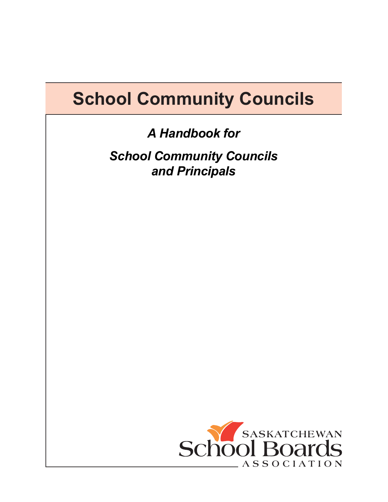# **School Community Councils**

*A Handbook for*

*School Community Councils and Principals*

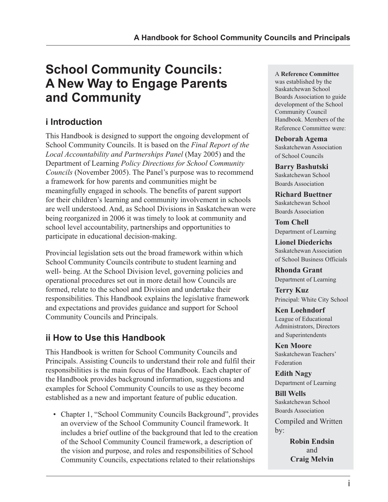# **School Community Councils: A New Way to Engage Parents and Community**

# **i Introduction**

This Handbook is designed to support the ongoing development of School Community Councils. It is based on the *Final Report of the Local Accountability and Partnerships Panel* (May 2005) and the Department of Learning *Policy Directions for School Community Councils* (November 2005). The Panel's purpose was to recommend a framework for how parents and communities might be meaningfully engaged in schools. The benefits of parent support for their children's learning and community involvement in schools are well understood. And, as School Divisions in Saskatchewan were being reorganized in 2006 it was timely to look at community and school level accountability, partnerships and opportunities to participate in educational decision-making.

Provincial legislation sets out the broad framework within which School Community Councils contribute to student learning and well- being. At the School Division level, governing policies and operational procedures set out in more detail how Councils are formed, relate to the school and Division and undertake their responsibilities. This Handbook explains the legislative framework and expectations and provides guidance and support for School Community Councils and Principals.

# **ii How to Use this Handbook**

This Handbook is written for School Community Councils and Principals. Assisting Councils to understand their role and fulfil their responsibilities is the main focus of the Handbook. Each chapter of the Handbook provides background information, suggestions and examples for School Community Councils to use as they become established as a new and important feature of public education.

• Chapter 1, "School Community Councils Background", provides an overview of the School Community Council framework. It includes a brief outline of the background that led to the creation of the School Community Council framework, a description of the vision and purpose, and roles and responsibilities of School Community Councils, expectations related to their relationships

#### A **Reference Committee**

was established by the Saskatchewan School Boards Association to guide development of the School Community Council Handbook. Members of the Reference Committee were:

#### **Deborah Agema**

Saskatchewan Association of School Councils

**Barry Bashutski** Saskatchewan School Boards Association

**Richard Buettner** Saskatchewan School Boards Association

**Tom Chell** Department of Learning

**Lionel Diederichs** Saskatchewan Association of School Business Officials

**Rhonda Grant** Department of Learning

**Terry Kuz** Principal: White City School

**Ken Loehndorf** League of Educational Administrators, Directors and Superintendents

**Ken Moore** Saskatchewan Teachers' Federation

**Edith Nagy** Department of Learning

**Bill Wells** Saskatchewan School Boards Association Compiled and Written by:

> **Robin Endsin** and **Craig Melvin**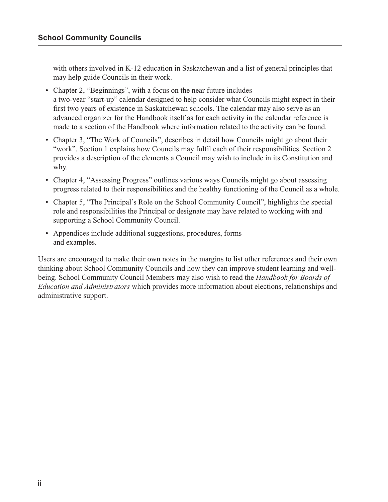with others involved in K-12 education in Saskatchewan and a list of general principles that may help guide Councils in their work.

- Chapter 2, "Beginnings", with a focus on the near future includes a two-year "start-up" calendar designed to help consider what Councils might expect in their first two years of existence in Saskatchewan schools. The calendar may also serve as an advanced organizer for the Handbook itself as for each activity in the calendar reference is made to a section of the Handbook where information related to the activity can be found.
- Chapter 3, "The Work of Councils", describes in detail how Councils might go about their "work". Section 1 explains how Councils may fulfil each of their responsibilities. Section 2 provides a description of the elements a Council may wish to include in its Constitution and why.
- Chapter 4, "Assessing Progress" outlines various ways Councils might go about assessing progress related to their responsibilities and the healthy functioning of the Council as a whole.
- Chapter 5, "The Principal's Role on the School Community Council", highlights the special role and responsibilities the Principal or designate may have related to working with and supporting a School Community Council.
- Appendices include additional suggestions, procedures, forms and examples.

Users are encouraged to make their own notes in the margins to list other references and their own thinking about School Community Councils and how they can improve student learning and wellbeing. School Community Council Members may also wish to read the *Handbook for Boards of Education and Administrators* which provides more information about elections, relationships and administrative support.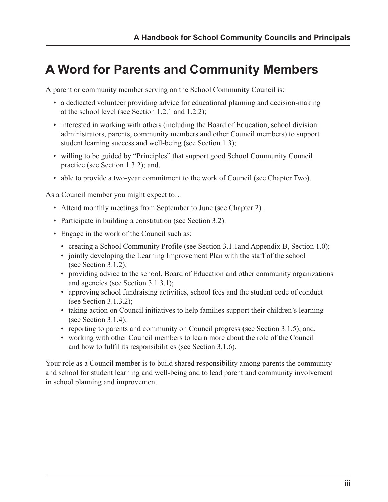# **A Word for Parents and Community Members**

A parent or community member serving on the School Community Council is:

- a dedicated volunteer providing advice for educational planning and decision-making at the school level (see Section 1.2.1 and 1.2.2);
- interested in working with others (including the Board of Education, school division administrators, parents, community members and other Council members) to support student learning success and well-being (see Section 1.3);
- willing to be guided by "Principles" that support good School Community Council practice (see Section 1.3.2); and,
- able to provide a two-year commitment to the work of Council (see Chapter Two).

As a Council member you might expect to…

- Attend monthly meetings from September to June (see Chapter 2).
- Participate in building a constitution (see Section 3.2).
- Engage in the work of the Council such as:
	- creating a School Community Profile (see Section 3.1.1and Appendix B, Section 1.0);
	- jointly developing the Learning Improvement Plan with the staff of the school (see Section 3.1.2);
	- providing advice to the school, Board of Education and other community organizations and agencies (see Section 3.1.3.1);
	- approving school fundraising activities, school fees and the student code of conduct (see Section 3.1.3.2);
	- taking action on Council initiatives to help families support their children's learning (see Section 3.1.4);
	- reporting to parents and community on Council progress (see Section 3.1.5); and,
	- working with other Council members to learn more about the role of the Council and how to fulfil its responsibilities (see Section 3.1.6).

Your role as a Council member is to build shared responsibility among parents the community and school for student learning and well-being and to lead parent and community involvement in school planning and improvement.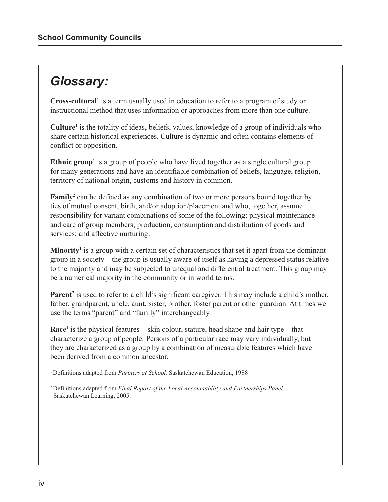# *Glossary:*

**Cross-cultural1** is a term usually used in education to refer to a program of study or instructional method that uses information or approaches from more than one culture.

**Culture1** is the totality of ideas, beliefs, values, knowledge of a group of individuals who share certain historical experiences. Culture is dynamic and often contains elements of conflict or opposition.

**Ethnic group<sup>1</sup>** is a group of people who have lived together as a single cultural group for many generations and have an identifiable combination of beliefs, language, religion, territory of national origin, customs and history in common.

Family<sup>2</sup> can be defined as any combination of two or more persons bound together by ties of mutual consent, birth, and/or adoption/placement and who, together, assume responsibility for variant combinations of some of the following: physical maintenance and care of group members; production, consumption and distribution of goods and services; and affective nurturing.

Minority<sup>1</sup> is a group with a certain set of characteristics that set it apart from the dominant group in a society – the group is usually aware of itself as having a depressed status relative to the majority and may be subjected to unequal and differential treatment. This group may be a numerical majority in the community or in world terms.

Parent<sup>2</sup> is used to refer to a child's significant caregiver. This may include a child's mother, father, grandparent, uncle, aunt, sister, brother, foster parent or other guardian. At times we use the terms "parent" and "family" interchangeably.

**Race1** is the physical features – skin colour, stature, head shape and hair type – that characterize a group of people. Persons of a particular race may vary individually, but they are characterized as a group by a combination of measurable features which have been derived from a common ancestor.

<sup>1</sup> Definitions adapted from *Partners at School*, Saskatchewan Education, 1988

2 Definitions adapted from *Final Report of the Local Accountability and Partnerships Panel*, Saskatchewan Learning, 2005.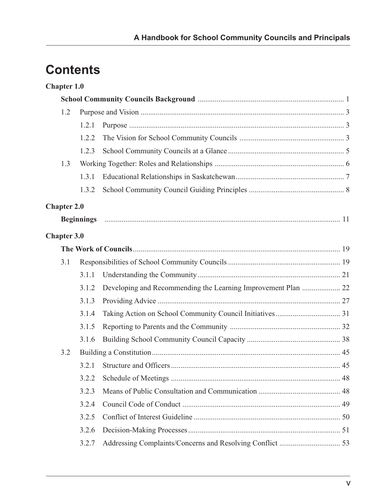# **Contents**

|       | <b>Chapter 1.0</b> |       |                                                               |  |
|-------|--------------------|-------|---------------------------------------------------------------|--|
|       |                    |       |                                                               |  |
|       | 1.2                |       |                                                               |  |
| 1.2.1 |                    |       |                                                               |  |
|       |                    | 1.2.2 |                                                               |  |
|       |                    | 1.2.3 |                                                               |  |
|       | 1.3                |       |                                                               |  |
|       |                    | 1.3.1 |                                                               |  |
|       |                    | 1.3.2 |                                                               |  |
|       | <b>Chapter 2.0</b> |       |                                                               |  |
|       |                    |       |                                                               |  |
|       | <b>Chapter 3.0</b> |       |                                                               |  |
|       |                    |       |                                                               |  |
|       | 3.1                |       |                                                               |  |
|       |                    | 3.1.1 |                                                               |  |
|       |                    | 3.1.2 | Developing and Recommending the Learning Improvement Plan  22 |  |
|       |                    | 3.1.3 |                                                               |  |
|       |                    | 3.1.4 |                                                               |  |
|       |                    | 3.1.5 |                                                               |  |
|       |                    | 3.1.6 |                                                               |  |
|       | 3.2                |       |                                                               |  |
|       |                    |       |                                                               |  |
|       |                    | 3.2.2 |                                                               |  |
|       |                    | 3.2.3 |                                                               |  |
|       |                    | 3.2.4 |                                                               |  |
|       |                    | 3.2.5 |                                                               |  |
|       |                    | 3.2.6 |                                                               |  |
|       |                    | 3.2.7 |                                                               |  |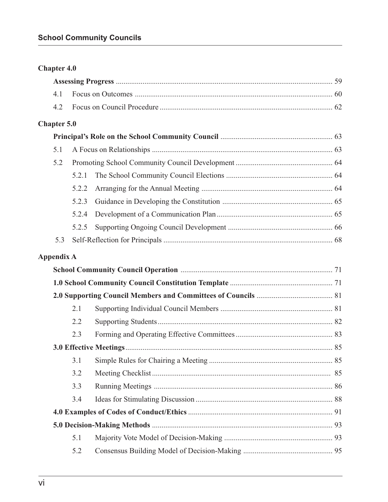| <b>Chapter 4.0</b> |
|--------------------|
|--------------------|

# **Chapter 5.0**

| 5.1 |  |  |  |
|-----|--|--|--|
| 5.2 |  |  |  |
|     |  |  |  |
|     |  |  |  |
|     |  |  |  |
|     |  |  |  |
|     |  |  |  |
| 5.3 |  |  |  |

# **Appendix A**

| 2.1 |  |  |  |  |
|-----|--|--|--|--|
| 2.2 |  |  |  |  |
| 2.3 |  |  |  |  |
|     |  |  |  |  |
| 3.1 |  |  |  |  |
| 3.2 |  |  |  |  |
| 3.3 |  |  |  |  |
| 3.4 |  |  |  |  |
|     |  |  |  |  |
|     |  |  |  |  |
| 5.1 |  |  |  |  |
| 5.2 |  |  |  |  |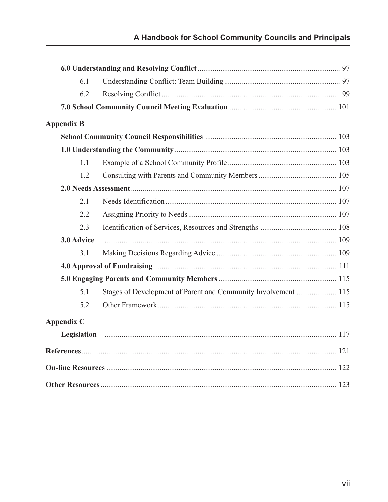| 6.1               |                                                                |  |
|-------------------|----------------------------------------------------------------|--|
| 6.2               |                                                                |  |
|                   |                                                                |  |
| <b>Appendix B</b> |                                                                |  |
|                   |                                                                |  |
|                   |                                                                |  |
| 1.1               |                                                                |  |
| 1.2               |                                                                |  |
|                   |                                                                |  |
| 2.1               |                                                                |  |
| 2.2               |                                                                |  |
| 2.3               |                                                                |  |
| 3.0 Advice        |                                                                |  |
| 3.1               |                                                                |  |
|                   |                                                                |  |
|                   |                                                                |  |
| 5.1               | Stages of Development of Parent and Community Involvement  115 |  |
| 5.2               |                                                                |  |
| <b>Appendix C</b> |                                                                |  |
|                   |                                                                |  |
|                   |                                                                |  |
|                   |                                                                |  |
|                   |                                                                |  |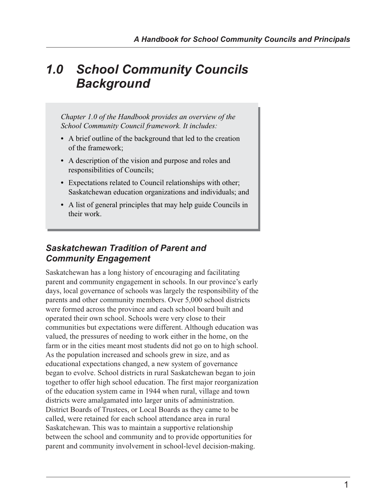# *1.0 School Community Councils Background*

*Chapter 1.0 of the Handbook provides an overview of the School Community Council framework. It includes:*

- *•* A brief outline of the background that led to the creation of the framework;
- *•* A description of the vision and purpose and roles and responsibilities of Councils;
- *•* Expectations related to Council relationships with other; Saskatchewan education organizations and individuals; and
- *•* A list of general principles that may help guide Councils in their work.

# *Saskatchewan Tradition of Parent and Community Engagement*

Saskatchewan has a long history of encouraging and facilitating parent and community engagement in schools. In our province's early days, local governance of schools was largely the responsibility of the parents and other community members. Over 5,000 school districts were formed across the province and each school board built and operated their own school. Schools were very close to their communities but expectations were different. Although education was valued, the pressures of needing to work either in the home, on the farm or in the cities meant most students did not go on to high school. As the population increased and schools grew in size, and as educational expectations changed, a new system of governance began to evolve. School districts in rural Saskatchewan began to join together to offer high school education. The first major reorganization of the education system came in 1944 when rural, village and town districts were amalgamated into larger units of administration. District Boards of Trustees, or Local Boards as they came to be called, were retained for each school attendance area in rural Saskatchewan. This was to maintain a supportive relationship between the school and community and to provide opportunities for parent and community involvement in school-level decision-making.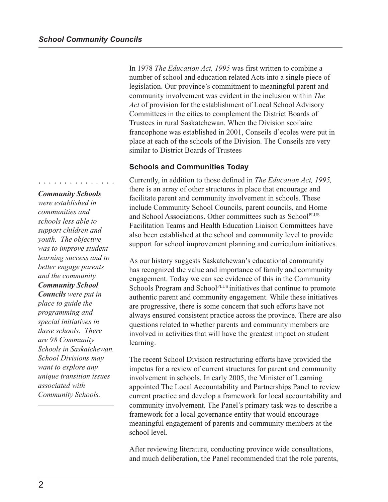In 1978 *The Education Act, 1995* was first written to combine a number of school and education related Acts into a single piece of legislation. Our province's commitment to meaningful parent and community involvement was evident in the inclusion within *The Act* of provision for the establishment of Local School Advisory Committees in the cities to complement the District Boards of Trustees in rural Saskatchewan. When the Division scoilaire francophone was established in 2001, Conseils d'ecoles were put in place at each of the schools of the Division. The Conseils are very similar to District Boards of Trustees

#### **Schools and Communities Today**

Currently, in addition to those defined in *The Education Act, 1995,* there is an array of other structures in place that encourage and facilitate parent and community involvement in schools. These include Community School Councils, parent councils, and Home and School Associations. Other committees such as SchoolPLUS Facilitation Teams and Health Education Liaison Committees have also been established at the school and community level to provide support for school improvement planning and curriculum initiatives.

As our history suggests Saskatchewan's educational community has recognized the value and importance of family and community engagement. Today we can see evidence of this in the Community Schools Program and School<sup>PLUS</sup> initiatives that continue to promote authentic parent and community engagement. While these initiatives are progressive, there is some concern that such efforts have not always ensured consistent practice across the province. There are also questions related to whether parents and community members are involved in activities that will have the greatest impact on student learning.

The recent School Division restructuring efforts have provided the impetus for a review of current structures for parent and community involvement in schools. In early 2005, the Minister of Learning appointed The Local Accountability and Partnerships Panel to review current practice and develop a framework for local accountability and community involvement. The Panel's primary task was to describe a framework for a local governance entity that would encourage meaningful engagement of parents and community members at the school level.

After reviewing literature, conducting province wide consultations, and much deliberation, the Panel recommended that the role parents,

#### *Community Schools*

○○○○○○○○○○○○○○○

*were established in communities and schools less able to support children and youth. The objective was to improve student learning success and to better engage parents and the community. Community School Councils were put in place to guide the programming and special initiatives in those schools. There are 98 Community Schools in Saskatchewan. School Divisions may want to explore any unique transition issues*

*associated with Community Schools.*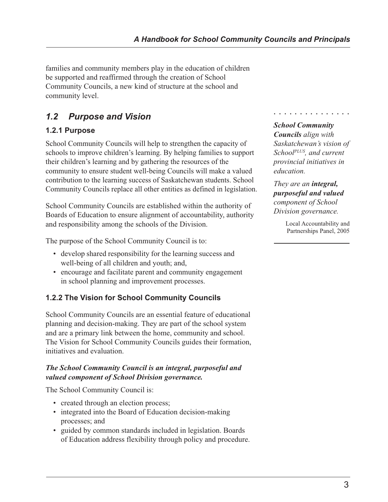families and community members play in the education of children be supported and reaffirmed through the creation of School Community Councils, a new kind of structure at the school and community level.

# *1.2 Purpose and Vision*

# **1.2.1 Purpose**

School Community Councils will help to strengthen the capacity of schools to improve children's learning. By helping families to support their children's learning and by gathering the resources of the community to ensure student well-being Councils will make a valued contribution to the learning success of Saskatchewan students. School Community Councils replace all other entities as defined in legislation.

School Community Councils are established within the authority of Boards of Education to ensure alignment of accountability, authority and responsibility among the schools of the Division.

The purpose of the School Community Council is to:

- develop shared responsibility for the learning success and well-being of all children and youth; and,
- encourage and facilitate parent and community engagement in school planning and improvement processes.

# **1.2.2 The Vision for School Community Councils**

School Community Councils are an essential feature of educational planning and decision-making. They are part of the school system and are a primary link between the home, community and school. The Vision for School Community Councils guides their formation, initiatives and evaluation.

## *The School Community Council is an integral, purposeful and valued component of School Division governance.*

The School Community Council is:

- created through an election process;
- integrated into the Board of Education decision-making processes; and
- guided by common standards included in legislation. Boards of Education address flexibility through policy and procedure.

# *School Community*

○○○○○○○○○○○○○○○

*Councils align with Saskatchewan's vision of SchoolPLUS, and current provincial initiatives in education.*

*They are an integral, purposeful and valued component of School Division governance.*

> Local Accountability and Partnerships Panel, 2005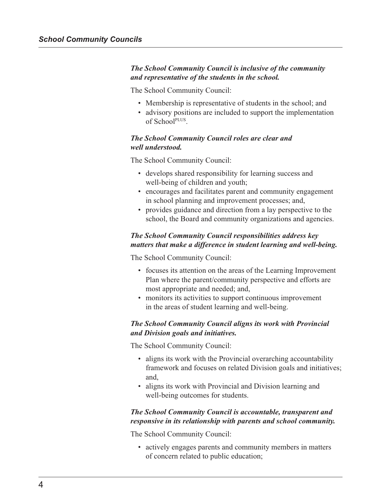#### *The School Community Council is inclusive of the community and representative of the students in the school.*

The School Community Council:

- Membership is representative of students in the school; and
- advisory positions are included to support the implementation of SchoolPLUS.

#### *The School Community Council roles are clear and well understood.*

The School Community Council:

- develops shared responsibility for learning success and well-being of children and youth;
- encourages and facilitates parent and community engagement in school planning and improvement processes; and,
- provides guidance and direction from a lay perspective to the school, the Board and community organizations and agencies.

### *The School Community Council responsibilities address key matters that make a difference in student learning and well-being.*

The School Community Council:

- focuses its attention on the areas of the Learning Improvement Plan where the parent/community perspective and efforts are most appropriate and needed; and,
- monitors its activities to support continuous improvement in the areas of student learning and well-being.

#### *The School Community Council aligns its work with Provincial and Division goals and initiatives.*

The School Community Council:

- aligns its work with the Provincial overarching accountability framework and focuses on related Division goals and initiatives; and,
- aligns its work with Provincial and Division learning and well-being outcomes for students.

#### *The School Community Council is accountable, transparent and responsive in its relationship with parents and school community.*

The School Community Council:

• actively engages parents and community members in matters of concern related to public education;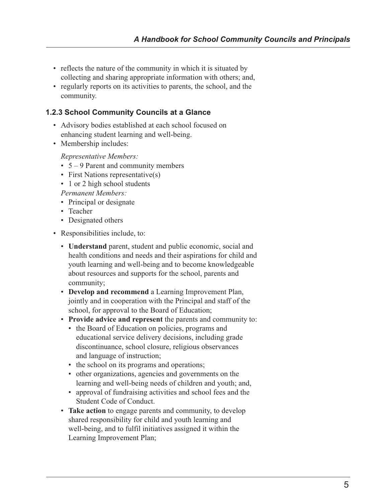- reflects the nature of the community in which it is situated by collecting and sharing appropriate information with others; and,
- regularly reports on its activities to parents, the school, and the community.

## **1.2.3 School Community Councils at a Glance**

- Advisory bodies established at each school focused on enhancing student learning and well-being.
- Membership includes:

*Representative Members:*

- $5 9$  Parent and community members
- First Nations representative(s)
- 1 or 2 high school students

*Permanent Members:*

- Principal or designate
- Teacher
- Designated others
- Responsibilities include, to:
	- **Understand** parent, student and public economic, social and health conditions and needs and their aspirations for child and youth learning and well-being and to become knowledgeable about resources and supports for the school, parents and community;
	- **Develop and recommend** a Learning Improvement Plan, jointly and in cooperation with the Principal and staff of the school, for approval to the Board of Education;
	- **Provide advice and represent** the parents and community to:
		- the Board of Education on policies, programs and educational service delivery decisions, including grade discontinuance, school closure, religious observances and language of instruction;
		- the school on its programs and operations;
		- other organizations, agencies and governments on the learning and well-being needs of children and youth; and,
		- approval of fundraising activities and school fees and the Student Code of Conduct.
	- **Take action** to engage parents and community, to develop shared responsibility for child and youth learning and well-being, and to fulfil initiatives assigned it within the Learning Improvement Plan;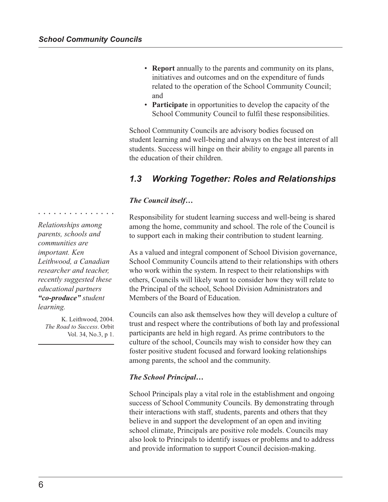- **Report** annually to the parents and community on its plans, initiatives and outcomes and on the expenditure of funds related to the operation of the School Community Council; and
- **Participate** in opportunities to develop the capacity of the School Community Council to fulfil these responsibilities.

School Community Councils are advisory bodies focused on student learning and well-being and always on the best interest of all students. Success will hinge on their ability to engage all parents in the education of their children.

# *1.3 Working Together: Roles and Relationships*

### *The Council itself…*

Responsibility for student learning success and well-being is shared among the home, community and school. The role of the Council is to support each in making their contribution to student learning.

As a valued and integral component of School Division governance, School Community Councils attend to their relationships with others who work within the system. In respect to their relationships with others, Councils will likely want to consider how they will relate to the Principal of the school, School Division Administrators and Members of the Board of Education.

Councils can also ask themselves how they will develop a culture of trust and respect where the contributions of both lay and professional participants are held in high regard. As prime contributors to the culture of the school, Councils may wish to consider how they can foster positive student focused and forward looking relationships among parents, the school and the community.

#### *The School Principal…*

School Principals play a vital role in the establishment and ongoing success of School Community Councils. By demonstrating through their interactions with staff, students, parents and others that they believe in and support the development of an open and inviting school climate, Principals are positive role models. Councils may also look to Principals to identify issues or problems and to address and provide information to support Council decision-making.

*Relationships among parents, schools and communities are important. Ken Leithwood, a Canadian researcher and teacher, recently suggested these educational partners "co-produce" student learning.*

○○○○○○○○○○○○○○○

K. Leithwood, 2004. *The Road to Success*. Orbit Vol. 34, No.3, p 1.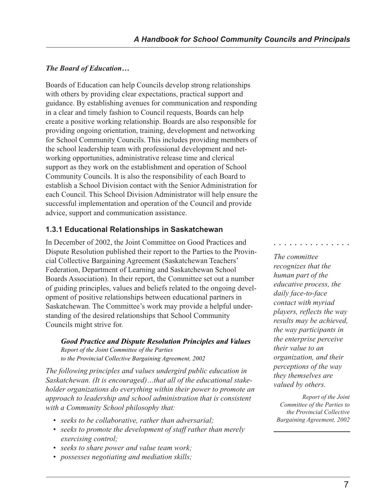## *The Board of Education…*

Boards of Education can help Councils develop strong relationships with others by providing clear expectations, practical support and guidance. By establishing avenues for communication and responding in a clear and timely fashion to Council requests, Boards can help create a positive working relationship. Boards are also responsible for providing ongoing orientation, training, development and networking for School Community Councils. This includes providing members of the school leadership team with professional development and networking opportunities, administrative release time and clerical support as they work on the establishment and operation of School Community Councils. It is also the responsibility of each Board to establish a School Division contact with the Senior Administration for each Council. This School Division Administrator will help ensure the successful implementation and operation of the Council and provide advice, support and communication assistance.

## **1.3.1 Educational Relationships in Saskatchewan**

In December of 2002, the Joint Committee on Good Practices and Dispute Resolution published their report to the Parties to the Provincial Collective Bargaining Agreement (Saskatchewan Teachers' Federation, Department of Learning and Saskatchewan School Boards Association). In their report, the Committee set out a number of guiding principles, values and beliefs related to the ongoing development of positive relationships between educational partners in Saskatchewan. The Committee's work may provide a helpful understanding of the desired relationships that School Community Councils might strive for.

*Good Practice and Dispute Resolution Principles and Values Report of the Joint Committee of the Parties to the Provincial Collective Bargaining Agreement, 2002*

*The following principles and values undergird public education in Saskatchewan. (It is encouraged)…that all of the educational stakeholder organizations do everything within their power to promote an approach to leadership and school administration that is consistent with a Community School philosophy that:*

- *seeks to be collaborative, rather than adversarial;*
- *seeks to promote the development of staff rather than merely exercising control;*
- *seeks to share power and value team work;*
- *possesses negotiating and mediation skills;*

○○○○○○○○○○○○○○○

*The committee recognizes that the human part of the educative process, the daily face-to-face contact with myriad players, reflects the way results may be achieved, the way participants in the enterprise perceive their value to an organization, and their perceptions of the way they themselves are valued by others.*

*Report of the Joint Committee of the Parties to the Provincial Collective Bargaining Agreement, 2002*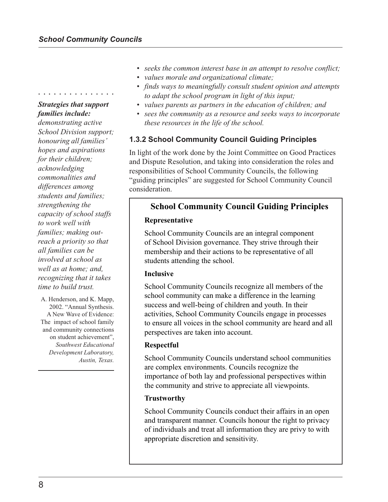# *Strategies that support families include:*

○○○○○○○○○○○○○○○

*demonstrating active School Division support; honouring all families' hopes and aspirations for their children; acknowledging commonalities and differences among students and families; strengthening the capacity of school staffs to work well with families; making outreach a priority so that all families can be involved at school as well as at home; and, recognizing that it takes time to build trust.*

A. Henderson, and K. Mapp, 2002. "Annual Synthesis. A New Wave of Evidence: The impact of school family and community connections on student achievement", *Southwest Educational Development Laboratory, Austin, Texas.*

- *seeks the common interest base in an attempt to resolve conflict;*
- *values morale and organizational climate;*
- *finds ways to meaningfully consult student opinion and attempts to adapt the school program in light of this input;*
- *values parents as partners in the education of children; and*
- *sees the community as a resource and seeks ways to incorporate these resources in the life of the school.*

## **1.3.2 School Community Council Guiding Principles**

In light of the work done by the Joint Committee on Good Practices and Dispute Resolution, and taking into consideration the roles and responsibilities of School Community Councils, the following "guiding principles" are suggested for School Community Council consideration.

# **School Community Council Guiding Principles**

#### **Representative**

School Community Councils are an integral component of School Division governance. They strive through their membership and their actions to be representative of all students attending the school.

#### **Inclusive**

School Community Councils recognize all members of the school community can make a difference in the learning success and well-being of children and youth. In their activities, School Community Councils engage in processes to ensure all voices in the school community are heard and all perspectives are taken into account.

#### **Respectful**

School Community Councils understand school communities are complex environments. Councils recognize the importance of both lay and professional perspectives within the community and strive to appreciate all viewpoints.

#### **Trustworthy**

School Community Councils conduct their affairs in an open and transparent manner. Councils honour the right to privacy of individuals and treat all information they are privy to with appropriate discretion and sensitivity.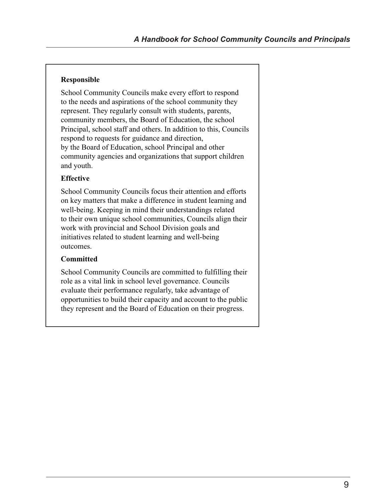#### **Responsible**

School Community Councils make every effort to respond to the needs and aspirations of the school community they represent. They regularly consult with students, parents, community members, the Board of Education, the school Principal, school staff and others. In addition to this, Councils respond to requests for guidance and direction, by the Board of Education, school Principal and other community agencies and organizations that support children and youth.

### **Effective**

School Community Councils focus their attention and efforts on key matters that make a difference in student learning and well-being. Keeping in mind their understandings related to their own unique school communities, Councils align their work with provincial and School Division goals and initiatives related to student learning and well-being outcomes.

#### **Committed**

School Community Councils are committed to fulfilling their role as a vital link in school level governance. Councils evaluate their performance regularly, take advantage of opportunities to build their capacity and account to the public they represent and the Board of Education on their progress.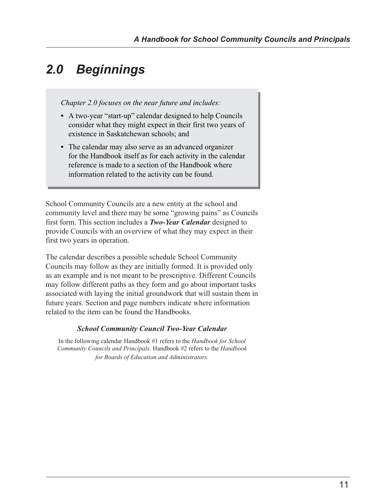# *2.0 Beginnings*

*Chapter 2.0 focuses on the near future and includes:*

- *•* A two-year "start-up" calendar designed to help Councils consider what they might expect in their first two years of existence in Saskatchewan schools; and
- *•* The calendar may also serve as an advanced organizer for the Handbook itself as for each activity in the calendar reference is made to a section of the Handbook where information related to the activity can be found.

School Community Councils are a new entity at the school and community level and there may be some "growing pains" as Councils first form. This section includes a *Two-Year Calendar* designed to provide Councils with an overview of what they may expect in their first two years in operation.

The calendar describes a possible schedule School Community Councils may follow as they are initially formed. It is provided only as an example and is not meant to be prescriptive. Different Councils may follow different paths as they form and go about important tasks associated with laying the initial groundwork that will sustain them in future years. Section and page numbers indicate where information related to the item can be found the Handbooks.

#### *School Community Council Two-Year Calendar*

In the following calendar Handbook #1 refers to the *Handbook for School Community Councils and Principals*. Handbook #2 refers to the *Handbook for Boards of Education and Administrators.*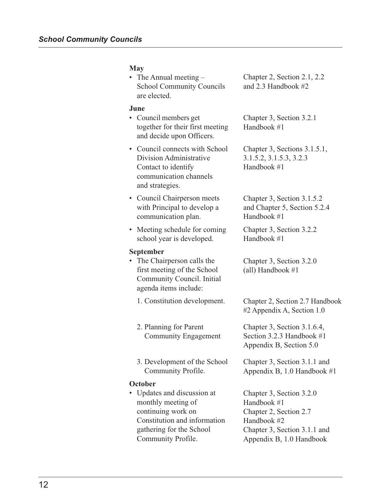#### **May**

• The Annual meeting – School Community Councils are elected.

#### **June**

- Council members get together for their first meeting and decide upon Officers.
- Council connects with School Division Administrative Contact to identify communication channels and strategies.
- Council Chairperson meets with Principal to develop a communication plan.
- Meeting schedule for coming school year is developed.

#### **September**

- The Chairperson calls the first meeting of the School Community Council. Initial agenda items include:
	- 1. Constitution development.
	- 2. Planning for Parent Community Engagement
	- 3. Development of the School Community Profile.

#### **October**

• Updates and discussion at monthly meeting of continuing work on Constitution and information gathering for the School Community Profile.

Chapter 2, Section 2.1, 2.2 and 2.3 Handbook #2

Chapter 3, Section 3.2.1 Handbook #1

Chapter 3, Sections 3.1.5.1, 3.1.5.2, 3.1.5.3, 3.2.3 Handbook #1

Chapter 3, Section 3.1.5.2 and Chapter 5, Section 5.2.4 Handbook #1

Chapter 3, Section 3.2.2 Handbook #1

Chapter 3, Section 3.2.0 (all) Handbook #1

Chapter 2, Section 2.7 Handbook #2 Appendix A, Section 1.0

Chapter 3, Section 3.1.6.4, Section 3.2.3 Handbook #1 Appendix B, Section 5.0

Chapter 3, Section 3.1.1 and Appendix B, 1.0 Handbook #1

Chapter 3, Section 3.2.0 Handbook #1 Chapter 2, Section 2.7 Handbook #2 Chapter 3, Section 3.1.1 and Appendix B, 1.0 Handbook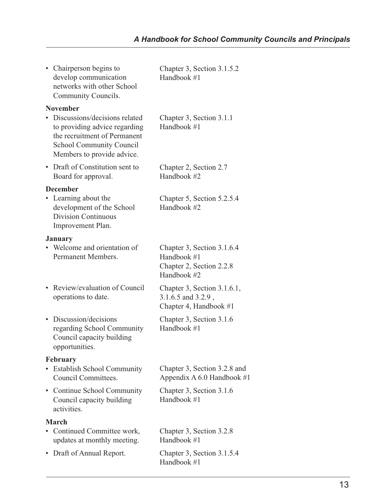|           | • Chairperson begins to<br>develop communication<br>networks with other School<br>Community Councils.                                                             | Chapter 3, Section 3.1.5.2<br>Handbook #1                                            |
|-----------|-------------------------------------------------------------------------------------------------------------------------------------------------------------------|--------------------------------------------------------------------------------------|
|           | <b>November</b>                                                                                                                                                   |                                                                                      |
|           | • Discussions/decisions related<br>to providing advice regarding<br>the recruitment of Permanent<br><b>School Community Council</b><br>Members to provide advice. | Chapter 3, Section 3.1.1<br>Handbook #1                                              |
| $\bullet$ | Draft of Constitution sent to<br>Board for approval.                                                                                                              | Chapter 2, Section 2.7<br>Handbook #2                                                |
|           | <b>December</b>                                                                                                                                                   |                                                                                      |
|           | Learning about the<br>development of the School<br><b>Division Continuous</b><br>Improvement Plan.                                                                | Chapter 5, Section 5.2.5.4<br>Handbook #2                                            |
|           | <b>January</b>                                                                                                                                                    |                                                                                      |
|           | Welcome and orientation of<br>Permanent Members.                                                                                                                  | Chapter 3, Section 3.1.6.4<br>Handbook #1<br>Chapter 2, Section 2.2.8<br>Handbook #2 |
| $\bullet$ | Review/evaluation of Council<br>operations to date.                                                                                                               | Chapter 3, Section 3.1.6.1,<br>3.1.6.5 and 3.2.9,<br>Chapter 4, Handbook #1          |
|           | Discussion/decisions<br>regarding School Community<br>Council capacity building<br>opportunities.                                                                 | Chapter 3, Section 3.1.6<br>Handbook #1                                              |
|           | <b>February</b>                                                                                                                                                   |                                                                                      |
|           | • Establish School Community<br>Council Committees.                                                                                                               | Chapter 3, Section 3.2.8 and<br>Appendix A $6.0$ Handbook #1                         |
|           | • Continue School Community<br>Council capacity building<br>activities.                                                                                           | Chapter 3, Section 3.1.6<br>Handbook #1                                              |
|           | <b>March</b>                                                                                                                                                      |                                                                                      |
|           | Continued Committee work,<br>updates at monthly meeting.                                                                                                          | Chapter 3, Section 3.2.8<br>Handbook #1                                              |
| $\bullet$ | Draft of Annual Report.                                                                                                                                           | Chapter 3, Section 3.1.5.4<br>Handbook #1                                            |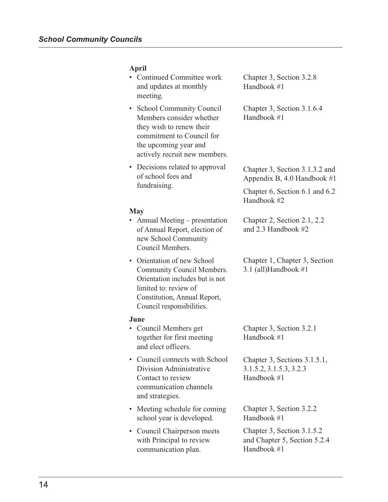# **April**

|           | Continued Committee work<br>and updates at monthly<br>meeting.                                                                                                                   | Chapter 3, Section 3.2.8<br>Handbook #1                                   |
|-----------|----------------------------------------------------------------------------------------------------------------------------------------------------------------------------------|---------------------------------------------------------------------------|
| $\bullet$ | <b>School Community Council</b><br>Members consider whether<br>they wish to renew their<br>commitment to Council for<br>the upcoming year and<br>actively recruit new members.   | Chapter 3, Section 3.1.6.4<br>Handbook #1                                 |
| $\bullet$ | Decisions related to approval<br>of school fees and                                                                                                                              | Chapter 3, Section 3.1.3.2 and<br>Appendix B, 4.0 Handbook $#1$           |
|           | fundraising.                                                                                                                                                                     | Chapter 6, Section 6.1 and 6.2<br>Handbook #2                             |
|           | <b>May</b>                                                                                                                                                                       |                                                                           |
|           | Annual Meeting – presentation<br>of Annual Report, election of<br>new School Community<br>Council Members.                                                                       | Chapter 2, Section 2.1, 2.2<br>and 2.3 Handbook #2                        |
| $\bullet$ | Orientation of new School<br>Community Council Members.<br>Orientation includes but is not<br>limited to: review of<br>Constitution, Annual Report,<br>Council responsibilities. | Chapter 1, Chapter 3, Section<br>3.1 (all)Handbook $#1$                   |
|           | June                                                                                                                                                                             |                                                                           |
|           | Council Members get<br>together for first meeting<br>and elect officers.                                                                                                         | Chapter 3, Section 3.2.1<br>Handbook #1                                   |
|           | Council connects with School<br>Division Administrative<br>Contact to review<br>communication channels<br>and strategies.                                                        | Chapter 3, Sections 3.1.5.1,<br>3.1.5.2, 3.1.5.3, 3.2.3<br>Handbook #1    |
| $\bullet$ | Meeting schedule for coming<br>school year is developed.                                                                                                                         | Chapter 3, Section 3.2.2<br>Handbook #1                                   |
| ٠         | Council Chairperson meets<br>with Principal to review<br>communication plan.                                                                                                     | Chapter 3, Section 3.1.5.2<br>and Chapter 5, Section 5.2.4<br>Handbook #1 |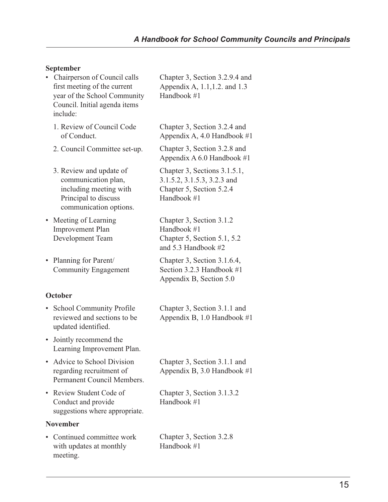## **September**

| $\bullet$ | Chairperson of Council calls<br>first meeting of the current<br>year of the School Community<br>Council. Initial agenda items<br>include: | Chapter 3, Section 3.2.9.4 and<br>Appendix A, 1.1, 1.2. and 1.3<br>Handbook #1                         |
|-----------|-------------------------------------------------------------------------------------------------------------------------------------------|--------------------------------------------------------------------------------------------------------|
|           | 1. Review of Council Code<br>of Conduct.                                                                                                  | Chapter 3, Section 3.2.4 and<br>Appendix A, 4.0 Handbook $#1$                                          |
|           | 2. Council Committee set-up.                                                                                                              | Chapter 3, Section 3.2.8 and<br>Appendix A $6.0$ Handbook #1                                           |
|           | 3. Review and update of<br>communication plan,<br>including meeting with<br>Principal to discuss<br>communication options.                | Chapter 3, Sections 3.1.5.1,<br>3.1.5.2, 3.1.5.3, 3.2.3 and<br>Chapter 5, Section 5.2.4<br>Handbook #1 |
| $\bullet$ | Meeting of Learning<br><b>Improvement Plan</b><br>Development Team                                                                        | Chapter 3, Section 3.1.2<br>Handbook #1<br>Chapter 5, Section 5.1, 5.2<br>and 5.3 Handbook #2          |
| ٠         | Planning for Parent/<br><b>Community Engagement</b>                                                                                       | Chapter 3, Section 3.1.6.4,<br>Section 3.2.3 Handbook #1<br>Appendix B, Section 5.0                    |
| October   |                                                                                                                                           |                                                                                                        |
| ٠         | School Community Profile<br>reviewed and sections to be<br>updated identified.                                                            | Chapter 3, Section 3.1.1 and<br>Appendix B, 1.0 Handbook #1                                            |
| $\bullet$ | Jointly recommend the<br>Learning Improvement Plan.                                                                                       |                                                                                                        |

- Advice to School Division regarding recruitment of Permanent Council Members.
- Review Student Code of Conduct and provide suggestions where appropriate.

### **November**

• Continued committee work with updates at monthly meeting.

Chapter 3, Section 3.1.1 and Appendix B, 3.0 Handbook #1

Chapter 3, Section 3.1.3.2 Handbook #1

Chapter 3, Section 3.2.8 Handbook #1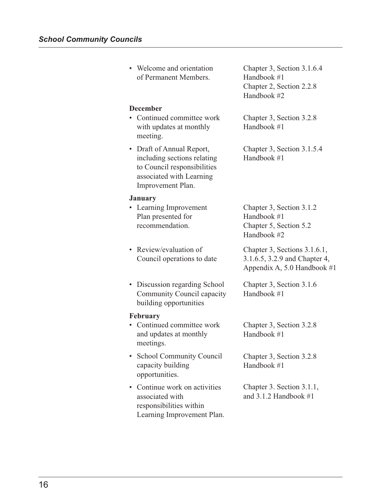| • Welcome and orientation<br>of Permanent Members.                                                                                       | Chapter 3, Section 3.1.6.4<br>Handbook #1<br>Chapter 2, Section 2.2.8<br>Handbook #2         |
|------------------------------------------------------------------------------------------------------------------------------------------|----------------------------------------------------------------------------------------------|
| <b>December</b><br>Continued committee work<br>with updates at monthly<br>meeting.                                                       | Chapter 3, Section 3.2.8<br>Handbook #1                                                      |
| • Draft of Annual Report,<br>including sections relating<br>to Council responsibilities<br>associated with Learning<br>Improvement Plan. | Chapter 3, Section 3.1.5.4<br>Handbook #1                                                    |
| <b>January</b><br>• Learning Improvement<br>Plan presented for<br>recommendation.                                                        | Chapter 3, Section 3.1.2<br>Handbook #1<br>Chapter 5, Section 5.2<br>Handbook #2             |
| • Review/evaluation of<br>Council operations to date                                                                                     | Chapter 3, Sections 3.1.6.1,<br>3.1.6.5, 3.2.9 and Chapter 4,<br>Appendix A, 5.0 Handbook #1 |
| • Discussion regarding School<br>Community Council capacity<br>building opportunities                                                    | Chapter 3, Section 3.1.6<br>Handbook #1                                                      |
| February<br>• Continued committee work<br>and updates at monthly<br>meetings.                                                            | Chapter 3, Section 3.2.8<br>Handbook #1                                                      |
| <b>School Community Council</b><br>capacity building<br>opportunities.                                                                   | Chapter 3, Section 3.2.8<br>Handbook #1                                                      |
| Continue work on activities<br>associated with<br>responsibilities within<br>Learning Improvement Plan.                                  | Chapter 3. Section 3.1.1,<br>and $3.1.2$ Handbook $#1$                                       |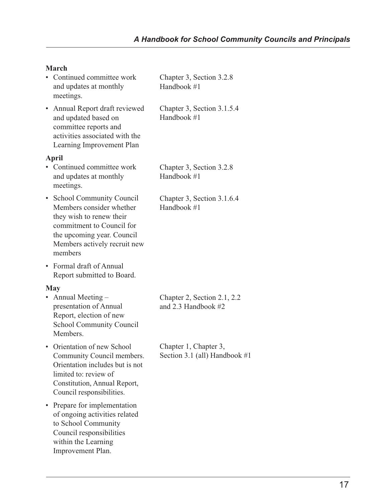# **March**

|           | • Continued committee work<br>and updates at monthly<br>meetings.                                                                                                                                     | Chapter 3, Section 3.2.8<br>Handbook #1                |
|-----------|-------------------------------------------------------------------------------------------------------------------------------------------------------------------------------------------------------|--------------------------------------------------------|
|           | • Annual Report draft reviewed<br>and updated based on<br>committee reports and<br>activities associated with the<br>Learning Improvement Plan                                                        | Chapter 3, Section 3.1.5.4<br>Handbook #1              |
|           | April<br>• Continued committee work<br>and updates at monthly                                                                                                                                         | Chapter 3, Section 3.2.8<br>Handbook #1                |
|           | meetings.<br>• School Community Council<br>Members consider whether<br>they wish to renew their<br>commitment to Council for<br>the upcoming year. Council<br>Members actively recruit new<br>members | Chapter 3, Section 3.1.6.4<br>Handbook #1              |
|           | • Formal draft of Annual<br>Report submitted to Board.                                                                                                                                                |                                                        |
| $\bullet$ | May<br>Annual Meeting -<br>presentation of Annual<br>Report, election of new<br><b>School Community Council</b><br>Members.                                                                           | Chapter 2, Section 2.1, 2.2<br>and 2.3 Handbook #2     |
|           | • Orientation of new School<br>Community Council members.<br>Orientation includes but is not<br>limited to: review of<br>Constitution, Annual Report,<br>Council responsibilities.                    | Chapter 1, Chapter 3,<br>Section 3.1 (all) Handbook #1 |
| ٠         | Prepare for implementation<br>of ongoing activities related<br>to School Community<br>Council responsibilities<br>within the Learning<br>Improvement Plan.                                            |                                                        |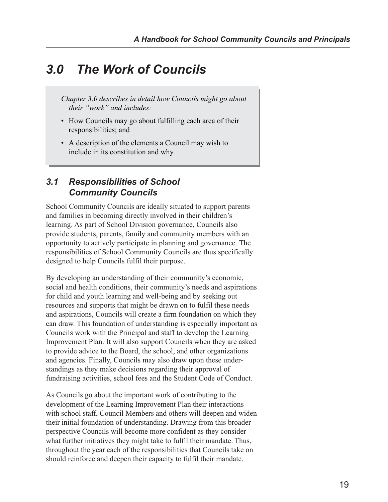# *3.0 The Work of Councils*

*Chapter 3.0 describes in detail how Councils might go about their "work" and includes:*

- *•* How Councils may go about fulfilling each area of their responsibilities; and
- *•* A description of the elements a Council may wish to include in its constitution and why.

# *3.1 Responsibilities of School Community Councils*

School Community Councils are ideally situated to support parents and families in becoming directly involved in their children's learning. As part of School Division governance, Councils also provide students, parents, family and community members with an opportunity to actively participate in planning and governance. The responsibilities of School Community Councils are thus specifically designed to help Councils fulfil their purpose.

By developing an understanding of their community's economic, social and health conditions, their community's needs and aspirations for child and youth learning and well-being and by seeking out resources and supports that might be drawn on to fulfil these needs and aspirations, Councils will create a firm foundation on which they can draw. This foundation of understanding is especially important as Councils work with the Principal and staff to develop the Learning Improvement Plan. It will also support Councils when they are asked to provide advice to the Board, the school, and other organizations and agencies. Finally, Councils may also draw upon these understandings as they make decisions regarding their approval of fundraising activities, school fees and the Student Code of Conduct.

As Councils go about the important work of contributing to the development of the Learning Improvement Plan their interactions with school staff, Council Members and others will deepen and widen their initial foundation of understanding. Drawing from this broader perspective Councils will become more confident as they consider what further initiatives they might take to fulfil their mandate. Thus, throughout the year each of the responsibilities that Councils take on should reinforce and deepen their capacity to fulfil their mandate.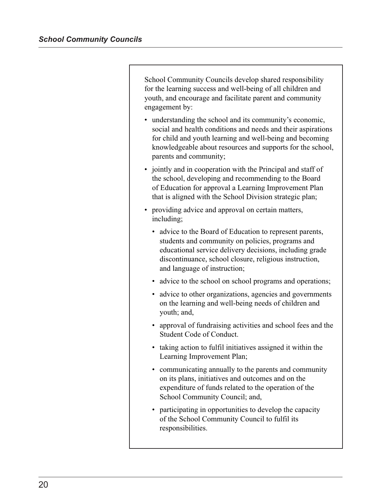School Community Councils develop shared responsibility for the learning success and well-being of all children and youth, and encourage and facilitate parent and community engagement by:

- understanding the school and its community's economic, social and health conditions and needs and their aspirations for child and youth learning and well-being and becoming knowledgeable about resources and supports for the school, parents and community;
- jointly and in cooperation with the Principal and staff of the school, developing and recommending to the Board of Education for approval a Learning Improvement Plan that is aligned with the School Division strategic plan;
- providing advice and approval on certain matters, including;
	- advice to the Board of Education to represent parents, students and community on policies, programs and educational service delivery decisions, including grade discontinuance, school closure, religious instruction, and language of instruction;
	- advice to the school on school programs and operations;
	- advice to other organizations, agencies and governments on the learning and well-being needs of children and youth; and,
	- approval of fundraising activities and school fees and the Student Code of Conduct.
	- taking action to fulfil initiatives assigned it within the Learning Improvement Plan;
	- communicating annually to the parents and community on its plans, initiatives and outcomes and on the expenditure of funds related to the operation of the School Community Council; and,
	- participating in opportunities to develop the capacity of the School Community Council to fulfil its responsibilities.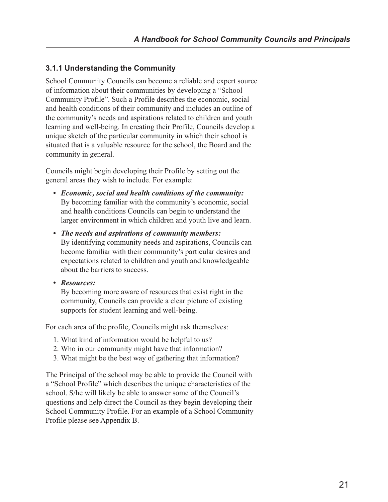## **3.1.1 Understanding the Community**

School Community Councils can become a reliable and expert source of information about their communities by developing a "School Community Profile". Such a Profile describes the economic, social and health conditions of their community and includes an outline of the community's needs and aspirations related to children and youth learning and well-being. In creating their Profile, Councils develop a unique sketch of the particular community in which their school is situated that is a valuable resource for the school, the Board and the community in general.

Councils might begin developing their Profile by setting out the general areas they wish to include. For example:

- *Economic, social and health conditions of the community:* By becoming familiar with the community's economic, social and health conditions Councils can begin to understand the larger environment in which children and youth live and learn.
- *The needs and aspirations of community members:* By identifying community needs and aspirations, Councils can become familiar with their community's particular desires and expectations related to children and youth and knowledgeable about the barriers to success.
- *Resources:*

By becoming more aware of resources that exist right in the community, Councils can provide a clear picture of existing supports for student learning and well-being.

For each area of the profile, Councils might ask themselves:

- 1. What kind of information would be helpful to us?
- 2. Who in our community might have that information?
- 3. What might be the best way of gathering that information?

The Principal of the school may be able to provide the Council with a "School Profile" which describes the unique characteristics of the school. S/he will likely be able to answer some of the Council's questions and help direct the Council as they begin developing their School Community Profile. For an example of a School Community Profile please see Appendix B.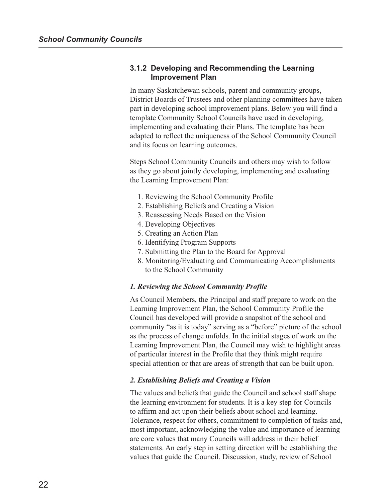#### **3.1.2 Developing and Recommending the Learning Improvement Plan**

In many Saskatchewan schools, parent and community groups, District Boards of Trustees and other planning committees have taken part in developing school improvement plans. Below you will find a template Community School Councils have used in developing, implementing and evaluating their Plans. The template has been adapted to reflect the uniqueness of the School Community Council and its focus on learning outcomes.

Steps School Community Councils and others may wish to follow as they go about jointly developing, implementing and evaluating the Learning Improvement Plan:

- 1. Reviewing the School Community Profile
- 2. Establishing Beliefs and Creating a Vision
- 3. Reassessing Needs Based on the Vision
- 4. Developing Objectives
- 5. Creating an Action Plan
- 6. Identifying Program Supports
- 7. Submitting the Plan to the Board for Approval
- 8. Monitoring/Evaluating and Communicating Accomplishments to the School Community

#### *1. Reviewing the School Community Profile*

As Council Members, the Principal and staff prepare to work on the Learning Improvement Plan, the School Community Profile the Council has developed will provide a snapshot of the school and community "as it is today" serving as a "before" picture of the school as the process of change unfolds. In the initial stages of work on the Learning Improvement Plan, the Council may wish to highlight areas of particular interest in the Profile that they think might require special attention or that are areas of strength that can be built upon.

#### *2. Establishing Beliefs and Creating a Vision*

The values and beliefs that guide the Council and school staff shape the learning environment for students. It is a key step for Councils to affirm and act upon their beliefs about school and learning. Tolerance, respect for others, commitment to completion of tasks and, most important, acknowledging the value and importance of learning are core values that many Councils will address in their belief statements. An early step in setting direction will be establishing the values that guide the Council. Discussion, study, review of School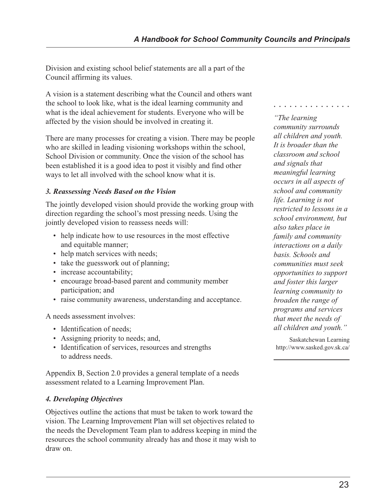Division and existing school belief statements are all a part of the Council affirming its values.

A vision is a statement describing what the Council and others want the school to look like, what is the ideal learning community and what is the ideal achievement for students. Everyone who will be affected by the vision should be involved in creating it.

There are many processes for creating a vision. There may be people who are skilled in leading visioning workshops within the school, School Division or community. Once the vision of the school has been established it is a good idea to post it visibly and find other ways to let all involved with the school know what it is.

## *3. Reassessing Needs Based on the Vision*

The jointly developed vision should provide the working group with direction regarding the school's most pressing needs. Using the jointly developed vision to reassess needs will:

- help indicate how to use resources in the most effective and equitable manner;
- help match services with needs;
- take the guesswork out of planning;
- increase accountability;
- encourage broad-based parent and community member participation; and
- raise community awareness, understanding and acceptance.

A needs assessment involves:

- Identification of needs;
- Assigning priority to needs; and,
- Identification of services, resources and strengths to address needs.

Appendix B, Section 2.0 provides a general template of a needs assessment related to a Learning Improvement Plan.

## *4. Developing Objectives*

Objectives outline the actions that must be taken to work toward the vision. The Learning Improvement Plan will set objectives related to the needs the Development Team plan to address keeping in mind the resources the school community already has and those it may wish to draw on.

*"The learning community surrounds all children and youth. It is broader than the classroom and school and signals that meaningful learning occurs in all aspects of school and community life. Learning is not restricted to lessons in a school environment, but also takes place in family and community interactions on a daily basis. Schools and communities must seek opportunities to support and foster this larger learning community to broaden the range of programs and services that meet the needs of all children and youth."*

○○○○○○○○○○○○○○○

Saskatchewan Learning http://www.sasked.gov.sk.ca/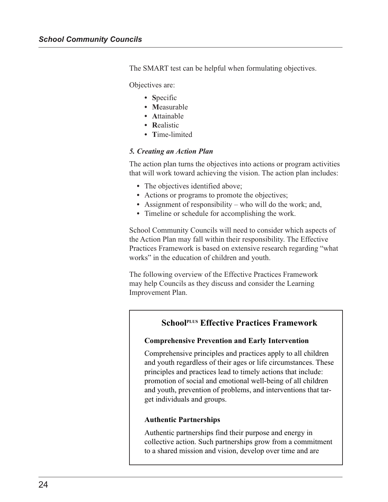The SMART test can be helpful when formulating objectives.

Objectives are:

- **S**pecific
- **M**easurable
- **A**ttainable
- **R**ealistic
- **T**ime-limited

#### *5. Creating an Action Plan*

The action plan turns the objectives into actions or program activities that will work toward achieving the vision. The action plan includes:

- The objectives identified above;
- Actions or programs to promote the objectives;
- **•** Assignment of responsibility who will do the work; and,
- **•** Timeline or schedule for accomplishing the work.

School Community Councils will need to consider which aspects of the Action Plan may fall within their responsibility. The Effective Practices Framework is based on extensive research regarding "what works" in the education of children and youth.

The following overview of the Effective Practices Framework may help Councils as they discuss and consider the Learning Improvement Plan.

# **SchoolPLUS Effective Practices Framework**

#### **Comprehensive Prevention and Early Intervention**

Comprehensive principles and practices apply to all children and youth regardless of their ages or life circumstances. These principles and practices lead to timely actions that include: promotion of social and emotional well-being of all children and youth, prevention of problems, and interventions that target individuals and groups.

#### **Authentic Partnerships**

Authentic partnerships find their purpose and energy in collective action. Such partnerships grow from a commitment to a shared mission and vision, develop over time and are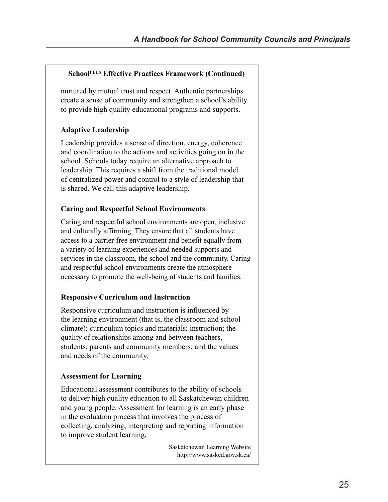### **SchoolPLUS Effective Practices Framework (Continued)**

nurtured by mutual trust and respect. Authentic partnerships create a sense of community and strengthen a school's ability to provide high quality educational programs and supports.

## **Adaptive Leadership**

Leadership provides a sense of direction, energy, coherence and coordination to the actions and activities going on in the school. Schools today require an alternative approach to leadership. This requires a shift from the traditional model of centralized power and control to a style of leadership that is shared. We call this adaptive leadership.

## **Caring and Respectful School Environments**

Caring and respectful school environments are open, inclusive and culturally affirming. They ensure that all students have access to a barrier-free environment and benefit equally from a variety of learning experiences and needed supports and services in the classroom, the school and the community. Caring and respectful school environments create the atmosphere necessary to promote the well-being of students and families.

## **Responsive Curriculum and Instruction**

Responsive curriculum and instruction is influenced by the learning environment (that is, the classroom and school climate); curriculum topics and materials; instruction; the quality of relationships among and between teachers, students, parents and community members; and the values and needs of the community.

### **Assessment for Learning**

Educational assessment contributes to the ability of schools to deliver high quality education to all Saskatchewan children and young people. Assessment for learning is an early phase in the evaluation process that involves the process of collecting, analyzing, interpreting and reporting information to improve student learning.

> Saskatchewan Learning Website http://www.sasked.gov.sk.ca/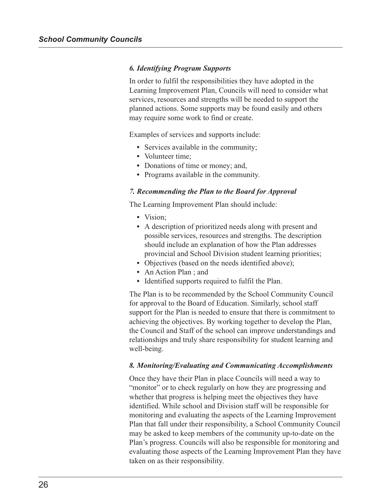#### *6. Identifying Program Supports*

In order to fulfil the responsibilities they have adopted in the Learning Improvement Plan, Councils will need to consider what services, resources and strengths will be needed to support the planned actions. Some supports may be found easily and others may require some work to find or create.

Examples of services and supports include:

- **•** Services available in the community;
- **•** Volunteer time;
- **•** Donations of time or money; and,
- **•** Programs available in the community.

#### *7. Recommending the Plan to the Board for Approval*

The Learning Improvement Plan should include:

- **•** Vision;
- **•** A description of prioritized needs along with present and possible services, resources and strengths. The description should include an explanation of how the Plan addresses provincial and School Division student learning priorities;
- Objectives (based on the needs identified above);
- **•** An Action Plan ; and
- **•** Identified supports required to fulfil the Plan.

The Plan is to be recommended by the School Community Council for approval to the Board of Education. Similarly, school staff support for the Plan is needed to ensure that there is commitment to achieving the objectives. By working together to develop the Plan, the Council and Staff of the school can improve understandings and relationships and truly share responsibility for student learning and well-being.

#### *8. Monitoring/Evaluating and Communicating Accomplishments*

Once they have their Plan in place Councils will need a way to "monitor" or to check regularly on how they are progressing and whether that progress is helping meet the objectives they have identified. While school and Division staff will be responsible for monitoring and evaluating the aspects of the Learning Improvement Plan that fall under their responsibility, a School Community Council may be asked to keep members of the community up-to-date on the Plan's progress. Councils will also be responsible for monitoring and evaluating those aspects of the Learning Improvement Plan they have taken on as their responsibility.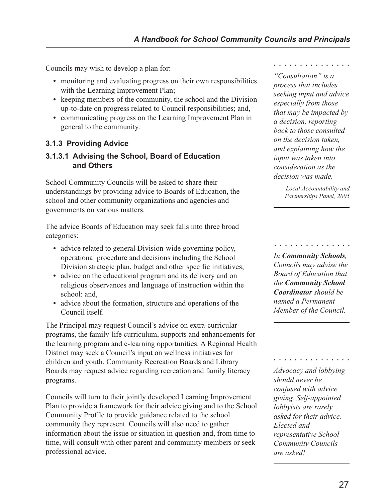Councils may wish to develop a plan for:

- monitoring and evaluating progress on their own responsibilities with the Learning Improvement Plan;
- keeping members of the community, the school and the Division up-to-date on progress related to Council responsibilities; and,
- **•** communicating progress on the Learning Improvement Plan in general to the community.

# **3.1.3 Providing Advice**

# **3.1.3.1 Advising the School, Board of Education and Others**

School Community Councils will be asked to share their understandings by providing advice to Boards of Education, the school and other community organizations and agencies and governments on various matters.

The advice Boards of Education may seek falls into three broad categories:

- advice related to general Division-wide governing policy, operational procedure and decisions including the School Division strategic plan, budget and other specific initiatives;
- advice on the educational program and its delivery and on religious observances and language of instruction within the school: and,
- **•** advice about the formation, structure and operations of the Council itself.

The Principal may request Council's advice on extra-curricular programs, the family-life curriculum, supports and enhancements for the learning program and e-learning opportunities. A Regional Health District may seek a Council's input on wellness initiatives for children and youth. Community Recreation Boards and Library Boards may request advice regarding recreation and family literacy programs.

Councils will turn to their jointly developed Learning Improvement Plan to provide a framework for their advice giving and to the School Community Profile to provide guidance related to the school community they represent. Councils will also need to gather information about the issue or situation in question and, from time to time, will consult with other parent and community members or seek professional advice.

○○○○○○○○○○○○○○○

*"Consultation" is a process that includes seeking input and advice especially from those that may be impacted by a decision, reporting back to those consulted on the decision taken, and explaining how the input was taken into consideration as the decision was made.*

> *Local Accountability and Partnerships Panel, 2005*

> > ○○○○○○○○○○○○○○○

*In Community Schools, Councils may advise the Board of Education that the Community School Coordinator should be named a Permanent Member of the Council.*

*Advocacy and lobbying should never be confused with advice giving. Self-appointed lobbyists are rarely asked for their advice. Elected and representative School Community Councils are asked!*

○○○○○○○○○○○○○○○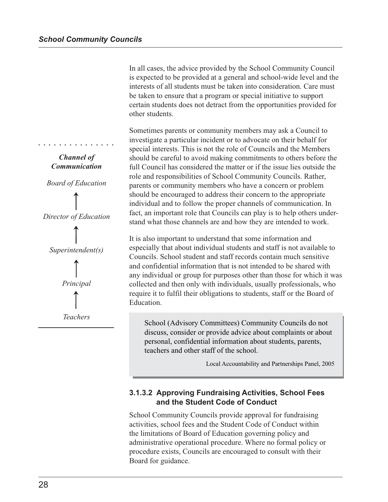In all cases, the advice provided by the School Community Council is expected to be provided at a general and school-wide level and the interests of all students must be taken into consideration. Care must be taken to ensure that a program or special initiative to support certain students does not detract from the opportunities provided for other students.

Sometimes parents or community members may ask a Council to investigate a particular incident or to advocate on their behalf for special interests. This is not the role of Councils and the Members should be careful to avoid making commitments to others before the full Council has considered the matter or if the issue lies outside the role and responsibilities of School Community Councils. Rather, parents or community members who have a concern or problem should be encouraged to address their concern to the appropriate individual and to follow the proper channels of communication. In fact, an important role that Councils can play is to help others understand what those channels are and how they are intended to work.

It is also important to understand that some information and especially that about individual students and staff is not available to Councils. School student and staff records contain much sensitive and confidential information that is not intended to be shared with any individual or group for purposes other than those for which it was collected and then only with individuals, usually professionals, who require it to fulfil their obligations to students, staff or the Board of Education.

School (Advisory Committees) Community Councils do not discuss, consider or provide advice about complaints or about personal, confidential information about students, parents, teachers and other staff of the school.

Local Accountability and Partnerships Panel, 2005

# **3.1.3.2 Approving Fundraising Activities, School Fees and the Student Code of Conduct**

School Community Councils provide approval for fundraising activities, school fees and the Student Code of Conduct within the limitations of Board of Education governing policy and administrative operational procedure. Where no formal policy or procedure exists, Councils are encouraged to consult with their Board for guidance.



○○○○○○○○○○○○○○○

*Board of Education*





*Teachers*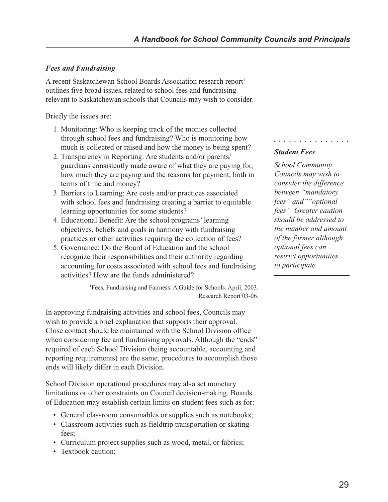# *Fees and Fundraising*

A recent Saskatchewan School Boards Association research report<sup>1</sup> outlines five broad issues, related to school fees and fundraising relevant to Saskatchewan schools that Councils may wish to consider.

Briefly the issues are:

- 1. Monitoring: Who is keeping track of the monies collected through school fees and fundraising? Who is monitoring how much is collected or raised and how the money is being spent?
- 2. Transparency in Reporting: Are students and/or parents/ guardians consistently made aware of what they are paying for, how much they are paying and the reasons for payment, both in terms of time and money?
- 3. Barriers to Learning: Are costs and/or practices associated with school fees and fundraising creating a barrier to equitable learning opportunities for some students?
- 4. Educational Benefit: Are the school programs' learning objectives, beliefs and goals in harmony with fundraising practices or other activities requiring the collection of fees?
- 5. Governance: Do the Board of Education and the school recognize their responsibilities and their authority regarding accounting for costs associated with school fees and fundraising activities? How are the funds administered?

1 Fees, Fundraising and Fairness: A Guide for Schools. April, 2003. Research Report 03-06.

In approving fundraising activities and school fees, Councils may wish to provide a brief explanation that supports their approval. Close contact should be maintained with the School Division office when considering fee and fundraising approvals. Although the "ends" required of each School Division (being accountable, accounting and reporting requirements) are the same, procedures to accomplish those ends will likely differ in each Division.

School Division operational procedures may also set monetary limitations or other constraints on Council decision-making. Boards of Education may establish certain limits on student fees such as for:

- General classroom consumables or supplies such as notebooks;
- Classroom activities such as fieldtrip transportation or skating fees;
- Curriculum project supplies such as wood, metal, or fabrics;
- Textbook caution;

# *Student Fees*

*School Community Councils may wish to consider the difference between "mandatory fees" and""optional fees". Greater caution should be addressed to the number and amount of the former although optional fees can restrict opportunities to participate.*

○○○○○○○○○○○○○○○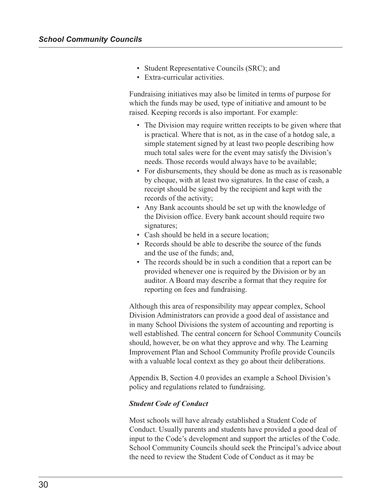- Student Representative Councils (SRC); and
- Extra-curricular activities.

Fundraising initiatives may also be limited in terms of purpose for which the funds may be used, type of initiative and amount to be raised. Keeping records is also important. For example:

- The Division may require written receipts to be given where that is practical. Where that is not, as in the case of a hotdog sale, a simple statement signed by at least two people describing how much total sales were for the event may satisfy the Division's needs. Those records would always have to be available;
- For disbursements, they should be done as much as is reasonable by cheque, with at least two signatures. In the case of cash, a receipt should be signed by the recipient and kept with the records of the activity;
- Any Bank accounts should be set up with the knowledge of the Division office. Every bank account should require two signatures;
- Cash should be held in a secure location;
- Records should be able to describe the source of the funds and the use of the funds; and,
- The records should be in such a condition that a report can be provided whenever one is required by the Division or by an auditor. A Board may describe a format that they require for reporting on fees and fundraising.

Although this area of responsibility may appear complex, School Division Administrators can provide a good deal of assistance and in many School Divisions the system of accounting and reporting is well established. The central concern for School Community Councils should, however, be on what they approve and why. The Learning Improvement Plan and School Community Profile provide Councils with a valuable local context as they go about their deliberations.

Appendix B, Section 4.0 provides an example a School Division's policy and regulations related to fundraising.

#### *Student Code of Conduct*

Most schools will have already established a Student Code of Conduct. Usually parents and students have provided a good deal of input to the Code's development and support the articles of the Code. School Community Councils should seek the Principal's advice about the need to review the Student Code of Conduct as it may be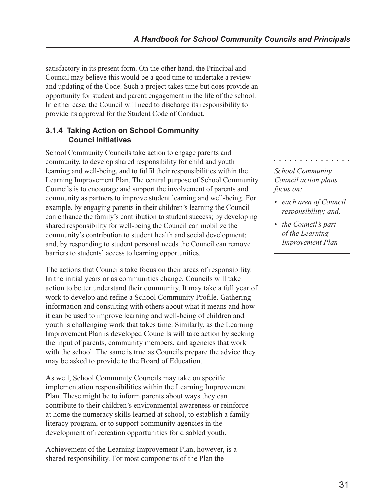satisfactory in its present form. On the other hand, the Principal and Council may believe this would be a good time to undertake a review and updating of the Code. Such a project takes time but does provide an opportunity for student and parent engagement in the life of the school. In either case, the Council will need to discharge its responsibility to provide its approval for the Student Code of Conduct.

# **3.1.4 Taking Action on School Community Counci Initiatives**

School Community Councils take action to engage parents and community, to develop shared responsibility for child and youth learning and well-being, and to fulfil their responsibilities within the Learning Improvement Plan. The central purpose of School Community Councils is to encourage and support the involvement of parents and community as partners to improve student learning and well-being. For example, by engaging parents in their children's learning the Council can enhance the family's contribution to student success; by developing shared responsibility for well-being the Council can mobilize the community's contribution to student health and social development; and, by responding to student personal needs the Council can remove barriers to students' access to learning opportunities.

The actions that Councils take focus on their areas of responsibility. In the initial years or as communities change, Councils will take action to better understand their community. It may take a full year of work to develop and refine a School Community Profile. Gathering information and consulting with others about what it means and how it can be used to improve learning and well-being of children and youth is challenging work that takes time. Similarly, as the Learning Improvement Plan is developed Councils will take action by seeking the input of parents, community members, and agencies that work with the school. The same is true as Councils prepare the advice they may be asked to provide to the Board of Education.

As well, School Community Councils may take on specific implementation responsibilities within the Learning Improvement Plan. These might be to inform parents about ways they can contribute to their children's environmental awareness or reinforce at home the numeracy skills learned at school, to establish a family literacy program, or to support community agencies in the development of recreation opportunities for disabled youth.

Achievement of the Learning Improvement Plan, however, is a shared responsibility. For most components of the Plan the

○○○○○○○○○○○○○○○

*School Community Council action plans focus on:*

- *each area of Council responsibility; and,*
- *the Council's part of the Learning Improvement Plan*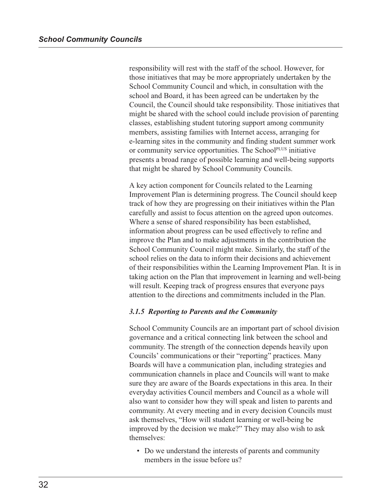responsibility will rest with the staff of the school. However, for those initiatives that may be more appropriately undertaken by the School Community Council and which, in consultation with the school and Board, it has been agreed can be undertaken by the Council, the Council should take responsibility. Those initiatives that might be shared with the school could include provision of parenting classes, establishing student tutoring support among community members, assisting families with Internet access, arranging for e-learning sites in the community and finding student summer work or community service opportunities. The School<sup>PLUS</sup> initiative presents a broad range of possible learning and well-being supports that might be shared by School Community Councils.

A key action component for Councils related to the Learning Improvement Plan is determining progress. The Council should keep track of how they are progressing on their initiatives within the Plan carefully and assist to focus attention on the agreed upon outcomes. Where a sense of shared responsibility has been established, information about progress can be used effectively to refine and improve the Plan and to make adjustments in the contribution the School Community Council might make. Similarly, the staff of the school relies on the data to inform their decisions and achievement of their responsibilities within the Learning Improvement Plan. It is in taking action on the Plan that improvement in learning and well-being will result. Keeping track of progress ensures that everyone pays attention to the directions and commitments included in the Plan.

#### *3.1.5 Reporting to Parents and the Community*

School Community Councils are an important part of school division governance and a critical connecting link between the school and community. The strength of the connection depends heavily upon Councils' communications or their "reporting" practices. Many Boards will have a communication plan, including strategies and communication channels in place and Councils will want to make sure they are aware of the Boards expectations in this area. In their everyday activities Council members and Council as a whole will also want to consider how they will speak and listen to parents and community. At every meeting and in every decision Councils must ask themselves, "How will student learning or well-being be improved by the decision we make?" They may also wish to ask themselves:

• Do we understand the interests of parents and community members in the issue before us?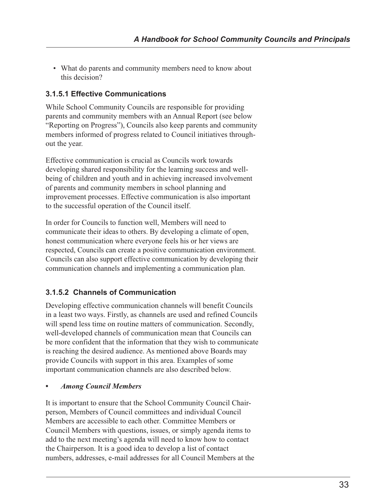• What do parents and community members need to know about this decision?

# **3.1.5.1 Effective Communications**

While School Community Councils are responsible for providing parents and community members with an Annual Report (see below "Reporting on Progress"), Councils also keep parents and community members informed of progress related to Council initiatives throughout the year.

Effective communication is crucial as Councils work towards developing shared responsibility for the learning success and wellbeing of children and youth and in achieving increased involvement of parents and community members in school planning and improvement processes. Effective communication is also important to the successful operation of the Council itself.

In order for Councils to function well, Members will need to communicate their ideas to others. By developing a climate of open, honest communication where everyone feels his or her views are respected, Councils can create a positive communication environment. Councils can also support effective communication by developing their communication channels and implementing a communication plan.

# **3.1.5.2 Channels of Communication**

Developing effective communication channels will benefit Councils in a least two ways. Firstly, as channels are used and refined Councils will spend less time on routine matters of communication. Secondly, well-developed channels of communication mean that Councils can be more confident that the information that they wish to communicate is reaching the desired audience. As mentioned above Boards may provide Councils with support in this area. Examples of some important communication channels are also described below.

# *• Among Council Members*

It is important to ensure that the School Community Council Chairperson, Members of Council committees and individual Council Members are accessible to each other. Committee Members or Council Members with questions, issues, or simply agenda items to add to the next meeting's agenda will need to know how to contact the Chairperson. It is a good idea to develop a list of contact numbers, addresses, e-mail addresses for all Council Members at the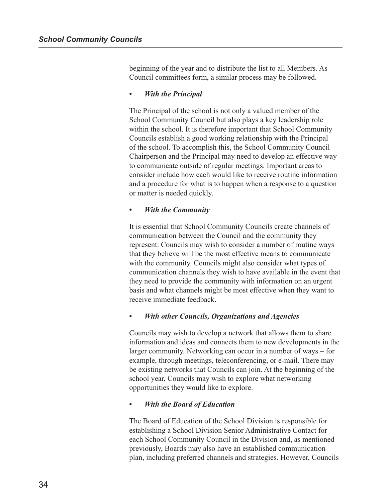beginning of the year and to distribute the list to all Members. As Council committees form, a similar process may be followed.

#### *• With the Principal*

The Principal of the school is not only a valued member of the School Community Council but also plays a key leadership role within the school. It is therefore important that School Community Councils establish a good working relationship with the Principal of the school. To accomplish this, the School Community Council Chairperson and the Principal may need to develop an effective way to communicate outside of regular meetings. Important areas to consider include how each would like to receive routine information and a procedure for what is to happen when a response to a question or matter is needed quickly.

#### *• With the Community*

It is essential that School Community Councils create channels of communication between the Council and the community they represent. Councils may wish to consider a number of routine ways that they believe will be the most effective means to communicate with the community. Councils might also consider what types of communication channels they wish to have available in the event that they need to provide the community with information on an urgent basis and what channels might be most effective when they want to receive immediate feedback.

#### *• With other Councils, Organizations and Agencies*

Councils may wish to develop a network that allows them to share information and ideas and connects them to new developments in the larger community. Networking can occur in a number of ways – for example, through meetings, teleconferencing, or e-mail. There may be existing networks that Councils can join. At the beginning of the school year, Councils may wish to explore what networking opportunities they would like to explore.

#### *• With the Board of Education*

The Board of Education of the School Division is responsible for establishing a School Division Senior Administrative Contact for each School Community Council in the Division and, as mentioned previously, Boards may also have an established communication plan, including preferred channels and strategies. However, Councils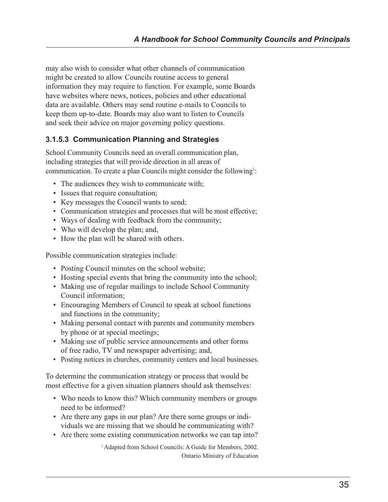may also wish to consider what other channels of communication might be created to allow Councils routine access to general information they may require to function. For example, some Boards have websites where news, notices, policies and other educational data are available. Others may send routine e-mails to Councils to keep them up-to-date. Boards may also want to listen to Councils and seek their advice on major governing policy questions.

# **3.1.5.3 Communication Planning and Strategies**

School Community Councils need an overall communication plan, including strategies that will provide direction in all areas of communication. To create a plan Councils might consider the following<sup>1</sup>:

- The audiences they wish to communicate with;
- Issues that require consultation;
- Key messages the Council wants to send;
- Communication strategies and processes that will be most effective;
- Ways of dealing with feedback from the community;
- Who will develop the plan; and,
- How the plan will be shared with others.

Possible communication strategies include:

- Posting Council minutes on the school website;
- Hosting special events that bring the community into the school;
- Making use of regular mailings to include School Community Council information;
- Encouraging Members of Council to speak at school functions and functions in the community;
- Making personal contact with parents and community members by phone or at special meetings;
- Making use of public service announcements and other forms of free radio, TV and newspaper advertising; and,
- Posting notices in churches, community centers and local businesses.

To determine the communication strategy or process that would be most effective for a given situation planners should ask themselves:

- Who needs to know this? Which community members or groups need to be informed?
- Are there any gaps in our plan? Are there some groups or individuals we are missing that we should be communicating with?
- Are there some existing communication networks we can tap into?

<sup>1</sup> Adapted from School Councils: A Guide for Members, 2002. Ontario Ministry of Education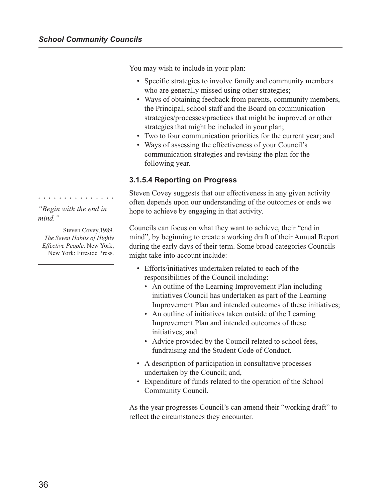You may wish to include in your plan:

- Specific strategies to involve family and community members who are generally missed using other strategies;
- Ways of obtaining feedback from parents, community members, the Principal, school staff and the Board on communication strategies/processes/practices that might be improved or other strategies that might be included in your plan;
- Two to four communication priorities for the current year; and
- Ways of assessing the effectiveness of your Council's communication strategies and revising the plan for the following year.

# **3.1.5.4 Reporting on Progress**

Steven Covey suggests that our effectiveness in any given activity often depends upon our understanding of the outcomes or ends we hope to achieve by engaging in that activity.

Councils can focus on what they want to achieve, their "end in mind", by beginning to create a working draft of their Annual Report during the early days of their term. Some broad categories Councils might take into account include:

- Efforts/initiatives undertaken related to each of the responsibilities of the Council including:
	- An outline of the Learning Improvement Plan including initiatives Council has undertaken as part of the Learning Improvement Plan and intended outcomes of these initiatives;
	- An outline of initiatives taken outside of the Learning Improvement Plan and intended outcomes of these initiatives; and
	- Advice provided by the Council related to school fees, fundraising and the Student Code of Conduct.
- A description of participation in consultative processes undertaken by the Council; and,
- Expenditure of funds related to the operation of the School Community Council.

As the year progresses Council's can amend their "working draft" to reflect the circumstances they encounter.

*"Begin with the end in mind."*

○○○○○○○○○○○○○○○

Steven Covey,1989. *The Seven Habits of Highly Effective People*. New York, New York: Fireside Press.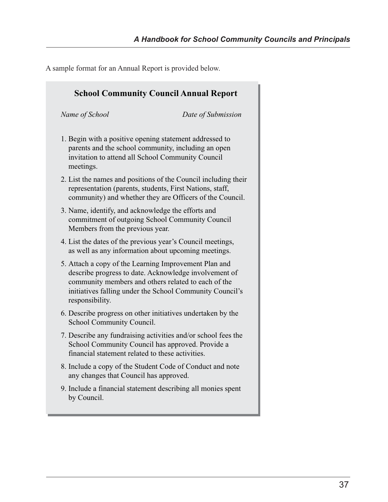A sample format for an Annual Report is provided below.

| <b>School Community Council Annual Report</b>                                                                                                                                                                                                        |                    |  |
|------------------------------------------------------------------------------------------------------------------------------------------------------------------------------------------------------------------------------------------------------|--------------------|--|
| Name of School                                                                                                                                                                                                                                       | Date of Submission |  |
| 1. Begin with a positive opening statement addressed to<br>parents and the school community, including an open<br>invitation to attend all School Community Council<br>meetings.                                                                     |                    |  |
| 2. List the names and positions of the Council including their<br>representation (parents, students, First Nations, staff,<br>community) and whether they are Officers of the Council.                                                               |                    |  |
| 3. Name, identify, and acknowledge the efforts and<br>commitment of outgoing School Community Council<br>Members from the previous year.                                                                                                             |                    |  |
| 4. List the dates of the previous year's Council meetings,<br>as well as any information about upcoming meetings.                                                                                                                                    |                    |  |
| 5. Attach a copy of the Learning Improvement Plan and<br>describe progress to date. Acknowledge involvement of<br>community members and others related to each of the<br>initiatives falling under the School Community Council's<br>responsibility. |                    |  |
| 6. Describe progress on other initiatives undertaken by the<br>School Community Council.                                                                                                                                                             |                    |  |
| 7. Describe any fundraising activities and/or school fees the<br>School Community Council has approved. Provide a<br>financial statement related to these activities.                                                                                |                    |  |
| 8. Include a copy of the Student Code of Conduct and note<br>any changes that Council has approved.                                                                                                                                                  |                    |  |
| 9. Include a financial statement describing all monies spent<br>by Council.                                                                                                                                                                          |                    |  |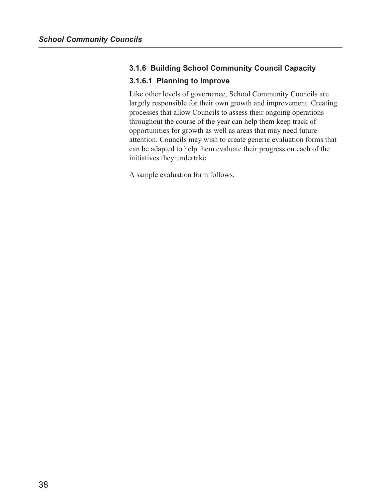# **3.1.6 Building School Community Council Capacity**

# **3.1.6.1 Planning to Improve**

Like other levels of governance, School Community Councils are largely responsible for their own growth and improvement. Creating processes that allow Councils to assess their ongoing operations throughout the course of the year can help them keep track of opportunities for growth as well as areas that may need future attention. Councils may wish to create generic evaluation forms that can be adapted to help them evaluate their progress on each of the initiatives they undertake.

A sample evaluation form follows.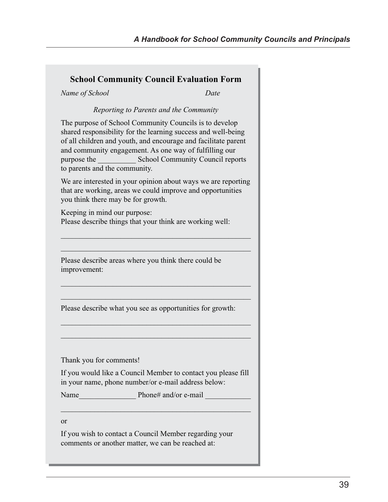# **School Community Council Evaluation Form**

*Name of School Date*

#### *Reporting to Parents and the Community*

The purpose of School Community Councils is to develop shared responsibility for the learning success and well-being of all children and youth, and encourage and facilitate parent and community engagement. As one way of fulfilling our purpose the School Community Council reports to parents and the community.

We are interested in your opinion about ways we are reporting that are working, areas we could improve and opportunities you think there may be for growth.

\_\_\_\_\_\_\_\_\_\_\_\_\_\_\_\_\_\_\_\_\_\_\_\_\_\_\_\_\_\_\_\_\_\_\_\_\_\_\_\_\_\_\_\_\_\_\_\_\_\_\_

\_\_\_\_\_\_\_\_\_\_\_\_\_\_\_\_\_\_\_\_\_\_\_\_\_\_\_\_\_\_\_\_\_\_\_\_\_\_\_\_\_\_\_\_\_\_\_\_\_\_\_

\_\_\_\_\_\_\_\_\_\_\_\_\_\_\_\_\_\_\_\_\_\_\_\_\_\_\_\_\_\_\_\_\_\_\_\_\_\_\_\_\_\_\_\_\_\_\_\_\_\_\_

\_\_\_\_\_\_\_\_\_\_\_\_\_\_\_\_\_\_\_\_\_\_\_\_\_\_\_\_\_\_\_\_\_\_\_\_\_\_\_\_\_\_\_\_\_\_\_\_\_\_\_

\_\_\_\_\_\_\_\_\_\_\_\_\_\_\_\_\_\_\_\_\_\_\_\_\_\_\_\_\_\_\_\_\_\_\_\_\_\_\_\_\_\_\_\_\_\_\_\_\_\_\_

\_\_\_\_\_\_\_\_\_\_\_\_\_\_\_\_\_\_\_\_\_\_\_\_\_\_\_\_\_\_\_\_\_\_\_\_\_\_\_\_\_\_\_\_\_\_\_\_\_\_\_

Keeping in mind our purpose: Please describe things that your think are working well:

Please describe areas where you think there could be improvement:

Please describe what you see as opportunities for growth:

Thank you for comments!

If you would like a Council Member to contact you please fill in your name, phone number/or e-mail address below:

\_\_\_\_\_\_\_\_\_\_\_\_\_\_\_\_\_\_\_\_\_\_\_\_\_\_\_\_\_\_\_\_\_\_\_\_\_\_\_\_\_\_\_\_\_\_\_\_\_\_\_

Name Phone# and/or e-mail

or

If you wish to contact a Council Member regarding your comments or another matter, we can be reached at: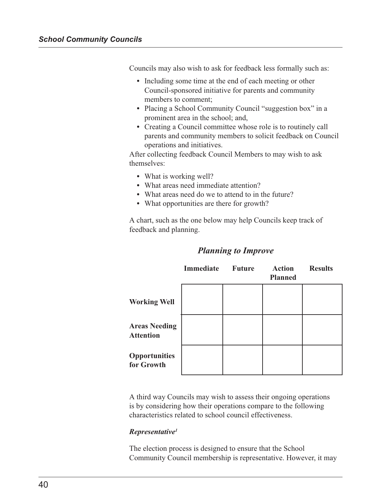Councils may also wish to ask for feedback less formally such as:

- **•** Including some time at the end of each meeting or other Council-sponsored initiative for parents and community members to comment;
- Placing a School Community Council "suggestion box" in a prominent area in the school; and,
- **•** Creating a Council committee whose role is to routinely call parents and community members to solicit feedback on Council operations and initiatives.

After collecting feedback Council Members to may wish to ask themselves:

- **•** What is working well?
- **•** What areas need immediate attention?
- **•** What areas need do we to attend to in the future?
- **•** What opportunities are there for growth?

A chart, such as the one below may help Councils keep track of feedback and planning.

|                                          | <b>Immediate</b> | <b>Future</b> | <b>Action</b><br><b>Planned</b> | <b>Results</b> |
|------------------------------------------|------------------|---------------|---------------------------------|----------------|
| <b>Working Well</b>                      |                  |               |                                 |                |
| <b>Areas Needing</b><br><b>Attention</b> |                  |               |                                 |                |
| <b>Opportunities</b><br>for Growth       |                  |               |                                 |                |

## *Planning to Improve*

A third way Councils may wish to assess their ongoing operations is by considering how their operations compare to the following characteristics related to school council effectiveness.

#### *Representative1*

The election process is designed to ensure that the School Community Council membership is representative. However, it may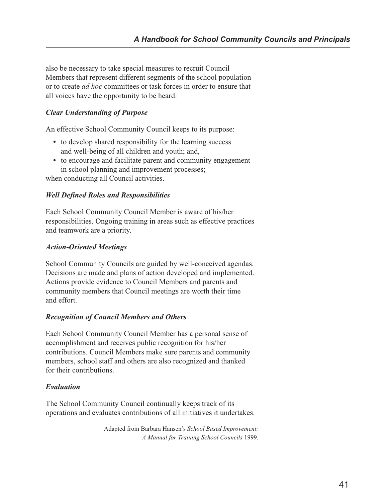also be necessary to take special measures to recruit Council Members that represent different segments of the school population or to create *ad hoc* committees or task forces in order to ensure that all voices have the opportunity to be heard.

# *Clear Understanding of Purpose*

An effective School Community Council keeps to its purpose:

- to develop shared responsibility for the learning success and well-being of all children and youth; and,
- **•** to encourage and facilitate parent and community engagement in school planning and improvement processes;

when conducting all Council activities.

### *Well Defined Roles and Responsibilities*

Each School Community Council Member is aware of his/her responsibilities. Ongoing training in areas such as effective practices and teamwork are a priority.

### *Action-Oriented Meetings*

School Community Councils are guided by well-conceived agendas. Decisions are made and plans of action developed and implemented. Actions provide evidence to Council Members and parents and community members that Council meetings are worth their time and effort.

#### *Recognition of Council Members and Others*

Each School Community Council Member has a personal sense of accomplishment and receives public recognition for his/her contributions. Council Members make sure parents and community members, school staff and others are also recognized and thanked for their contributions.

# *Evaluation*

The School Community Council continually keeps track of its operations and evaluates contributions of all initiatives it undertakes.

> Adapted from Barbara Hansen's *School Based Improvement: A Manual for Training School Councils* 1999.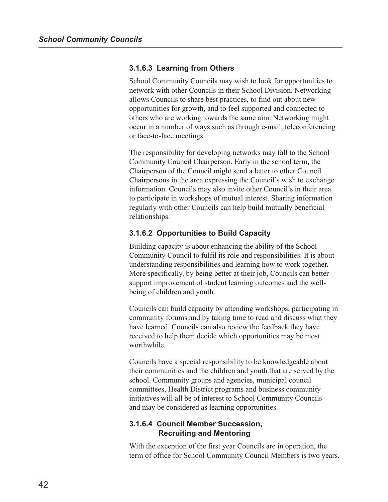#### **3.1.6.3 Learning from Others**

School Community Councils may wish to look for opportunities to network with other Councils in their School Division. Networking allows Councils to share best practices, to find out about new opportunities for growth, and to feel supported and connected to others who are working towards the same aim. Networking might occur in a number of ways such as through e-mail, teleconferencing or face-to-face meetings.

The responsibility for developing networks may fall to the School Community Council Chairperson. Early in the school term, the Chairperson of the Council might send a letter to other Council Chairpersons in the area expressing the Council's wish to exchange information. Councils may also invite other Council's in their area to participate in workshops of mutual interest. Sharing information regularly with other Councils can help build mutually beneficial relationships.

#### **3.1.6.2 Opportunities to Build Capacity**

Building capacity is about enhancing the ability of the School Community Council to fulfil its role and responsibilities. It is about understanding responsibilities and learning how to work together. More specifically, by being better at their job, Councils can better support improvement of student learning outcomes and the wellbeing of children and youth.

Councils can build capacity by attending workshops, participating in community forums and by taking time to read and discuss what they have learned. Councils can also review the feedback they have received to help them decide which opportunities may be most worthwhile.

Councils have a special responsibility to be knowledgeable about their communities and the children and youth that are served by the school. Community groups and agencies, municipal council committees, Health District programs and business community initiatives will all be of interest to School Community Councils and may be considered as learning opportunities.

## **3.1.6.4 Council Member Succession, Recruiting and Mentoring**

With the exception of the first year Councils are in operation, the term of office for School Community Council Members is two years.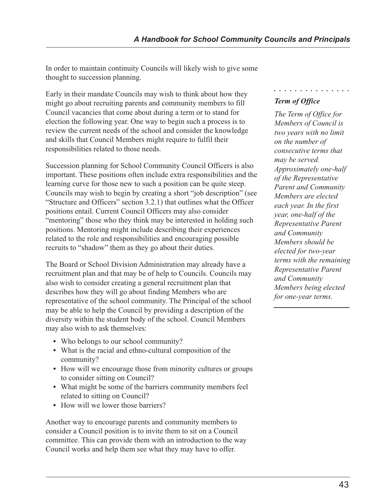In order to maintain continuity Councils will likely wish to give some thought to succession planning.

Early in their mandate Councils may wish to think about how they might go about recruiting parents and community members to fill Council vacancies that come about during a term or to stand for election the following year. One way to begin such a process is to review the current needs of the school and consider the knowledge and skills that Council Members might require to fulfil their responsibilities related to those needs.

Succession planning for School Community Council Officers is also important. These positions often include extra responsibilities and the learning curve for those new to such a position can be quite steep. Councils may wish to begin by creating a short "job description" (see "Structure and Officers" section 3.2.1) that outlines what the Officer positions entail. Current Council Officers may also consider "mentoring" those who they think may be interested in holding such positions. Mentoring might include describing their experiences related to the role and responsibilities and encouraging possible recruits to "shadow" them as they go about their duties.

The Board or School Division Administration may already have a recruitment plan and that may be of help to Councils. Councils may also wish to consider creating a general recruitment plan that describes how they will go about finding Members who are representative of the school community. The Principal of the school may be able to help the Council by providing a description of the diversity within the student body of the school. Council Members may also wish to ask themselves:

- **•** Who belongs to our school community?
- **•** What is the racial and ethno-cultural composition of the community?
- **•** How will we encourage those from minority cultures or groups to consider sitting on Council?
- **•** What might be some of the barriers community members feel related to sitting on Council?
- How will we lower those barriers?

Another way to encourage parents and community members to consider a Council position is to invite them to sit on a Council committee. This can provide them with an introduction to the way Council works and help them see what they may have to offer.

# *Term of Office*

○○○○○○○○○○○○○○○

*The Term of Office for Members of Council is two years with no limit on the number of consecutive terms that may be served. Approximately one-half of the Representative Parent and Community Members are elected each year. In the first year, one-half of the Representative Parent and Community Members should be elected for two-year terms with the remaining Representative Parent and Community Members being elected for one-year terms.*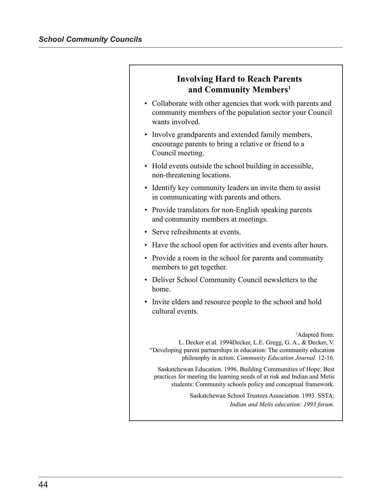# **Involving Hard to Reach Parents and Community Members1**

- Collaborate with other agencies that work with parents and community members of the population sector your Council wants involved.
- Involve grandparents and extended family members, encourage parents to bring a relative or friend to a Council meeting.
- Hold events outside the school building in accessible, non-threatening locations.
- Identify key community leaders an invite them to assist in communicating with parents and others.
- Provide translators for non-English speaking parents and community members at meetings.
- Serve refreshments at events.
- Have the school open for activities and events after hours.
- Provide a room in the school for parents and community members to get together.
- Deliver School Community Council newsletters to the home.
- Invite elders and resource people to the school and hold cultural events.

1 Adapted from:

L. Decker et.al. 1994Decker, L.E. Gregg, G. A., & Decker, V. "Developing parent partnerships in education: The community education philosophy in action. *Community Education Journal.* 12-16.

Saskatchewan Education. 1996. Building Communities of Hope: Best practices for meeting the learning needs of at risk and Indian and Metis students: Community schools policy and conceptual framework.

> Saskatchewan School Trustees Association. 1993. SSTA: *Indian and Metis education: 1993 forum.*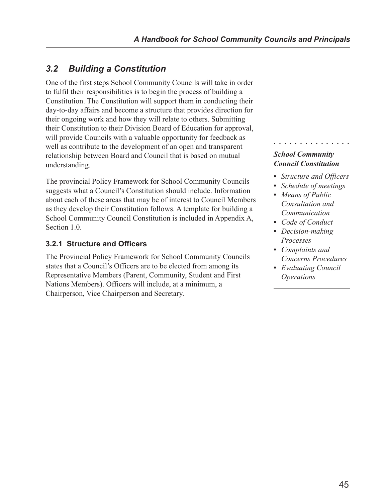# *3.2 Building a Constitution*

One of the first steps School Community Councils will take in order to fulfil their responsibilities is to begin the process of building a Constitution. The Constitution will support them in conducting their day-to-day affairs and become a structure that provides direction for their ongoing work and how they will relate to others. Submitting their Constitution to their Division Board of Education for approval, will provide Councils with a valuable opportunity for feedback as well as contribute to the development of an open and transparent relationship between Board and Council that is based on mutual understanding.

The provincial Policy Framework for School Community Councils suggests what a Council's Constitution should include. Information about each of these areas that may be of interest to Council Members as they develop their Constitution follows. A template for building a School Community Council Constitution is included in Appendix A, Section 1.0.

# **3.2.1 Structure and Officers**

The Provincial Policy Framework for School Community Councils states that a Council's Officers are to be elected from among its Representative Members (Parent, Community, Student and First Nations Members). Officers will include, at a minimum, a Chairperson, Vice Chairperson and Secretary.

# *School Community Council Constitution*

*• Structure and Officers*

○○○○○○○○○○○○○○○

- *• Schedule of meetings*
- *• Means of Public Consultation and Communication*
- *• Code of Conduct*
- *• Decision-making Processes*
- *• Complaints and Concerns Procedures*
- *• Evaluating Council Operations*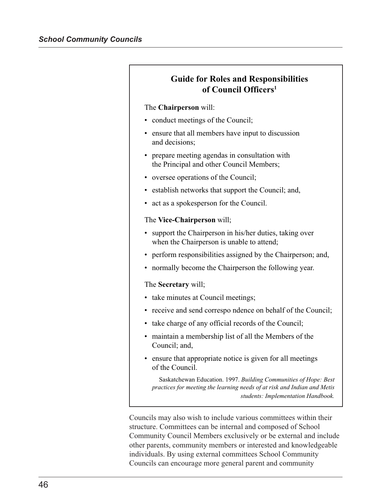| <b>Guide for Roles and Responsibilities</b><br>of Council Officers <sup>1</sup>                                                              |
|----------------------------------------------------------------------------------------------------------------------------------------------|
| The Chairperson will:                                                                                                                        |
| conduct meetings of the Council;                                                                                                             |
| ensure that all members have input to discussion<br>and decisions;                                                                           |
| prepare meeting agendas in consultation with<br>the Principal and other Council Members;                                                     |
| oversee operations of the Council;<br>٠                                                                                                      |
| • establish networks that support the Council; and,                                                                                          |
| act as a spokesperson for the Council.<br>٠                                                                                                  |
| The Vice-Chairperson will;                                                                                                                   |
| support the Chairperson in his/her duties, taking over<br>when the Chairperson is unable to attend;                                          |
| perform responsibilities assigned by the Chairperson; and,<br>$\bullet$                                                                      |
| normally become the Chairperson the following year.                                                                                          |
| The Secretary will;                                                                                                                          |
| take minutes at Council meetings;                                                                                                            |
| receive and send correspondence on behalf of the Council;                                                                                    |
| • take charge of any official records of the Council;                                                                                        |
| maintain a membership list of all the Members of the<br>$\bullet$<br>Council; and,                                                           |
| ensure that appropriate notice is given for all meetings<br>of the Council.                                                                  |
| Saskatchewan Education. 1997. Building Communities of Hope: Best<br>practices for meeting the learning needs of at risk and Indian and Metis |

*students: Implementation Handbook.*

Councils may also wish to include various committees within their structure. Committees can be internal and composed of School Community Council Members exclusively or be external and include other parents, community members or interested and knowledgeable individuals. By using external committees School Community Councils can encourage more general parent and community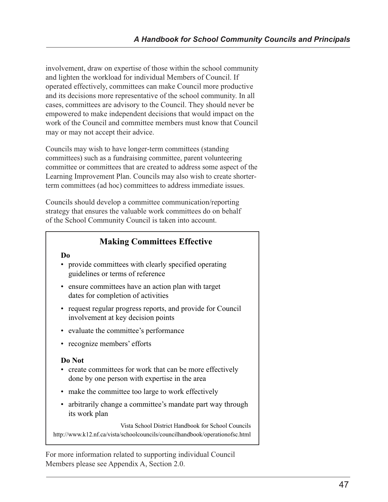involvement, draw on expertise of those within the school community and lighten the workload for individual Members of Council. If operated effectively, committees can make Council more productive and its decisions more representative of the school community. In all cases, committees are advisory to the Council. They should never be empowered to make independent decisions that would impact on the work of the Council and committee members must know that Council may or may not accept their advice.

Councils may wish to have longer-term committees (standing committees) such as a fundraising committee, parent volunteering committee or committees that are created to address some aspect of the Learning Improvement Plan. Councils may also wish to create shorterterm committees (ad hoc) committees to address immediate issues.

Councils should develop a committee communication/reporting strategy that ensures the valuable work committees do on behalf of the School Community Council is taken into account.

# **Making Committees Effective**

#### **Do**

- provide committees with clearly specified operating guidelines or terms of reference
- ensure committees have an action plan with target dates for completion of activities
- request regular progress reports, and provide for Council involvement at key decision points
- evaluate the committee's performance
- recognize members' efforts

#### **Do Not**

- create committees for work that can be more effectively done by one person with expertise in the area
- make the committee too large to work effectively
- arbitrarily change a committee's mandate part way through its work plan

Vista School District Handbook for School Councils http://www.k12.nf.ca/vista/schoolcouncils/councilhandbook/operationofsc.html

For more information related to supporting individual Council Members please see Appendix A, Section 2.0.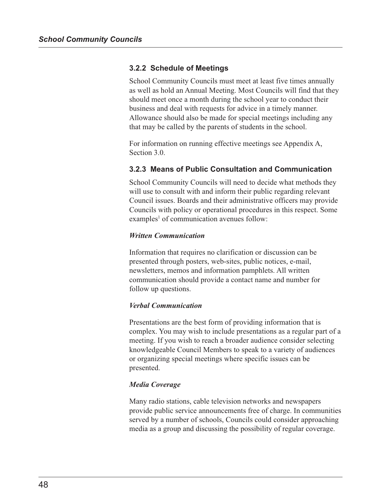## **3.2.2 Schedule of Meetings**

School Community Councils must meet at least five times annually as well as hold an Annual Meeting. Most Councils will find that they should meet once a month during the school year to conduct their business and deal with requests for advice in a timely manner. Allowance should also be made for special meetings including any that may be called by the parents of students in the school.

For information on running effective meetings see Appendix A, Section 3.0.

### **3.2.3 Means of Public Consultation and Communication**

School Community Councils will need to decide what methods they will use to consult with and inform their public regarding relevant Council issues. Boards and their administrative officers may provide Councils with policy or operational procedures in this respect. Some examples<sup>1</sup> of communication avenues follow:

#### *Written Communication*

Information that requires no clarification or discussion can be presented through posters, web-sites, public notices, e-mail, newsletters, memos and information pamphlets. All written communication should provide a contact name and number for follow up questions.

#### *Verbal Communication*

Presentations are the best form of providing information that is complex. You may wish to include presentations as a regular part of a meeting. If you wish to reach a broader audience consider selecting knowledgeable Council Members to speak to a variety of audiences or organizing special meetings where specific issues can be presented.

#### *Media Coverage*

Many radio stations, cable television networks and newspapers provide public service announcements free of charge. In communities served by a number of schools, Councils could consider approaching media as a group and discussing the possibility of regular coverage.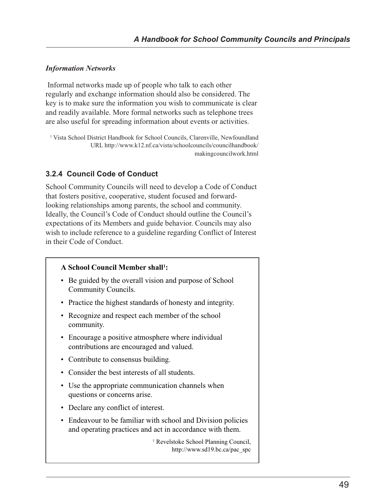# *Information Networks*

 Informal networks made up of people who talk to each other regularly and exchange information should also be considered. The key is to make sure the information you wish to communicate is clear and readily available. More formal networks such as telephone trees are also useful for spreading information about events or activities.

<sup>1</sup> Vista School District Handbook for School Councils, Clarenville, Newfoundland URL http://www.k12.nf.ca/vista/schoolcouncils/councilhandbook/ makingcouncilwork.html

# **3.2.4 Council Code of Conduct**

School Community Councils will need to develop a Code of Conduct that fosters positive, cooperative, student focused and forwardlooking relationships among parents, the school and community. Ideally, the Council's Code of Conduct should outline the Council's expectations of its Members and guide behavior. Councils may also wish to include reference to a guideline regarding Conflict of Interest in their Code of Conduct.

# **A School Council Member shall1 :**

- Be guided by the overall vision and purpose of School Community Councils.
- Practice the highest standards of honesty and integrity.
- Recognize and respect each member of the school community.
- Encourage a positive atmosphere where individual contributions are encouraged and valued.
- Contribute to consensus building.
- Consider the best interests of all students.
- Use the appropriate communication channels when questions or concerns arise.
- Declare any conflict of interest.
- Endeavour to be familiar with school and Division policies and operating practices and act in accordance with them.

<sup>1</sup> Revelstoke School Planning Council, http://www.sd19.bc.ca/pac\_spc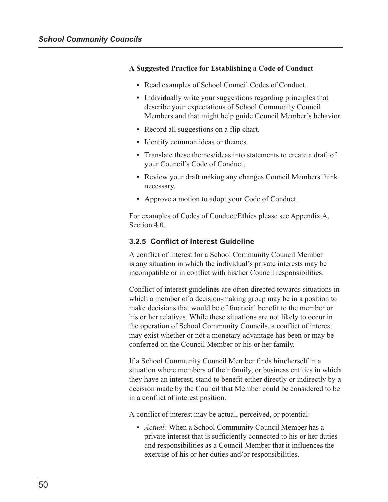#### **A Suggested Practice for Establishing a Code of Conduct**

- **•** Read examples of School Council Codes of Conduct.
- **•** Individually write your suggestions regarding principles that describe your expectations of School Community Council Members and that might help guide Council Member's behavior.
- Record all suggestions on a flip chart.
- Identify common ideas or themes.
- **•** Translate these themes/ideas into statements to create a draft of your Council's Code of Conduct.
- **•** Review your draft making any changes Council Members think necessary.
- **•** Approve a motion to adopt your Code of Conduct.

For examples of Codes of Conduct/Ethics please see Appendix A, Section 4.0.

### **3.2.5 Conflict of Interest Guideline**

A conflict of interest for a School Community Council Member is any situation in which the individual's private interests may be incompatible or in conflict with his/her Council responsibilities.

Conflict of interest guidelines are often directed towards situations in which a member of a decision-making group may be in a position to make decisions that would be of financial benefit to the member or his or her relatives. While these situations are not likely to occur in the operation of School Community Councils, a conflict of interest may exist whether or not a monetary advantage has been or may be conferred on the Council Member or his or her family.

If a School Community Council Member finds him/herself in a situation where members of their family, or business entities in which they have an interest, stand to benefit either directly or indirectly by a decision made by the Council that Member could be considered to be in a conflict of interest position.

A conflict of interest may be actual, perceived, or potential:

• *Actual:* When a School Community Council Member has a private interest that is sufficiently connected to his or her duties and responsibilities as a Council Member that it influences the exercise of his or her duties and/or responsibilities.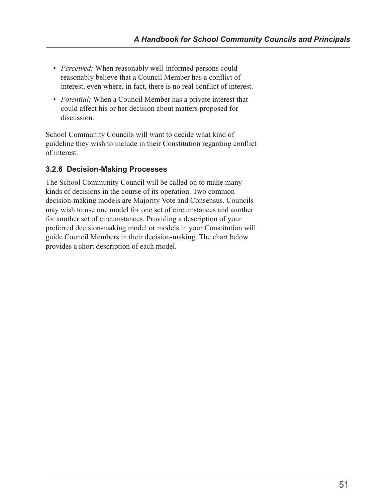- *Perceived:* When reasonably well-informed persons could reasonably believe that a Council Member has a conflict of interest, even where, in fact, there is no real conflict of interest.
- *Potential:* When a Council Member has a private interest that could affect his or her decision about matters proposed for discussion.

School Community Councils will want to decide what kind of guideline they wish to include in their Constitution regarding conflict of interest.

# **3.2.6 Decision-Making Processes**

The School Community Council will be called on to make many kinds of decisions in the course of its operation. Two common decision-making models are Majority Vote and Consensus. Councils may wish to use one model for one set of circumstances and another for another set of circumstances. Providing a description of your preferred decision-making model or models in your Constitution will guide Council Members in their decision-making. The chart below provides a short description of each model.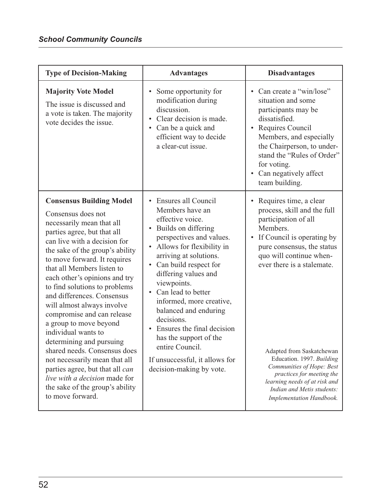| <b>Type of Decision-Making</b>                                                                                                                                                                                                                                                                                                                                                                                                                                                                                                                                                                                                                                                          | <b>Advantages</b>                                                                                                                                                                                                                                                                                                                                                                                                                                                                                                                    | <b>Disadvantages</b>                                                                                                                                                                                                                                                                                                                                                                                                                                    |
|-----------------------------------------------------------------------------------------------------------------------------------------------------------------------------------------------------------------------------------------------------------------------------------------------------------------------------------------------------------------------------------------------------------------------------------------------------------------------------------------------------------------------------------------------------------------------------------------------------------------------------------------------------------------------------------------|--------------------------------------------------------------------------------------------------------------------------------------------------------------------------------------------------------------------------------------------------------------------------------------------------------------------------------------------------------------------------------------------------------------------------------------------------------------------------------------------------------------------------------------|---------------------------------------------------------------------------------------------------------------------------------------------------------------------------------------------------------------------------------------------------------------------------------------------------------------------------------------------------------------------------------------------------------------------------------------------------------|
| <b>Majority Vote Model</b><br>The issue is discussed and<br>a vote is taken. The majority<br>vote decides the issue.                                                                                                                                                                                                                                                                                                                                                                                                                                                                                                                                                                    | Some opportunity for<br>٠<br>modification during<br>discussion.<br>Clear decision is made.<br>Can be a quick and<br>$\bullet$<br>efficient way to decide<br>a clear-cut issue.                                                                                                                                                                                                                                                                                                                                                       | • Can create a "win/lose"<br>situation and some<br>participants may be<br>dissatisfied.<br>Requires Council<br>$\bullet$<br>Members, and especially<br>the Chairperson, to under-<br>stand the "Rules of Order"<br>for voting.<br>Can negatively affect<br>$\bullet$<br>team building.                                                                                                                                                                  |
| <b>Consensus Building Model</b><br>Consensus does not<br>necessarily mean that all<br>parties agree, but that all<br>can live with a decision for<br>the sake of the group's ability<br>to move forward. It requires<br>that all Members listen to<br>each other's opinions and try<br>to find solutions to problems<br>and differences. Consensus<br>will almost always involve<br>compromise and can release<br>a group to move beyond<br>individual wants to<br>determining and pursuing<br>shared needs. Consensus does<br>not necessarily mean that all<br>parties agree, but that all can<br>live with a decision made for<br>the sake of the group's ability<br>to move forward. | Ensures all Council<br>$\bullet$<br>Members have an<br>effective voice.<br>Builds on differing<br>٠<br>perspectives and values.<br>Allows for flexibility in<br>٠<br>arriving at solutions.<br>Can build respect for<br>$\bullet$<br>differing values and<br>viewpoints.<br>Can lead to better<br>$\bullet$<br>informed, more creative,<br>balanced and enduring<br>decisions.<br>Ensures the final decision<br>$\bullet$<br>has the support of the<br>entire Council.<br>If unsuccessful, it allows for<br>decision-making by vote. | Requires time, a clear<br>$\bullet$<br>process, skill and the full<br>participation of all<br>Members.<br>If Council is operating by<br>$\bullet$<br>pure consensus, the status<br>quo will continue when-<br>ever there is a stalemate.<br>Adapted from Saskatchewan<br>Education. 1997. Building<br>Communities of Hope: Best<br>practices for meeting the<br>learning needs of at risk and<br>Indian and Metis students:<br>Implementation Handbook. |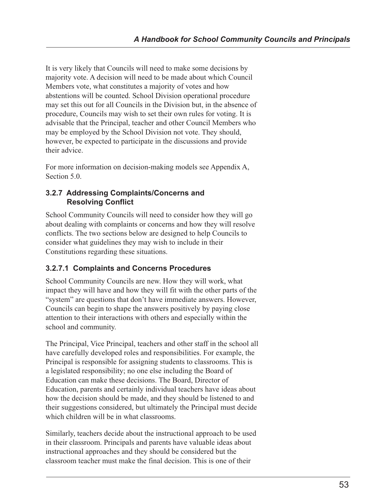It is very likely that Councils will need to make some decisions by majority vote. A decision will need to be made about which Council Members vote, what constitutes a majority of votes and how abstentions will be counted. School Division operational procedure may set this out for all Councils in the Division but, in the absence of procedure, Councils may wish to set their own rules for voting. It is advisable that the Principal, teacher and other Council Members who may be employed by the School Division not vote. They should, however, be expected to participate in the discussions and provide their advice.

For more information on decision-making models see Appendix A, Section 5.0.

# **3.2.7 Addressing Complaints/Concerns and Resolving Conflict**

School Community Councils will need to consider how they will go about dealing with complaints or concerns and how they will resolve conflicts. The two sections below are designed to help Councils to consider what guidelines they may wish to include in their Constitutions regarding these situations.

# **3.2.7.1 Complaints and Concerns Procedures**

School Community Councils are new. How they will work, what impact they will have and how they will fit with the other parts of the "system" are questions that don't have immediate answers. However, Councils can begin to shape the answers positively by paying close attention to their interactions with others and especially within the school and community.

The Principal, Vice Principal, teachers and other staff in the school all have carefully developed roles and responsibilities. For example, the Principal is responsible for assigning students to classrooms. This is a legislated responsibility; no one else including the Board of Education can make these decisions. The Board, Director of Education, parents and certainly individual teachers have ideas about how the decision should be made, and they should be listened to and their suggestions considered, but ultimately the Principal must decide which children will be in what classrooms.

Similarly, teachers decide about the instructional approach to be used in their classroom. Principals and parents have valuable ideas about instructional approaches and they should be considered but the classroom teacher must make the final decision. This is one of their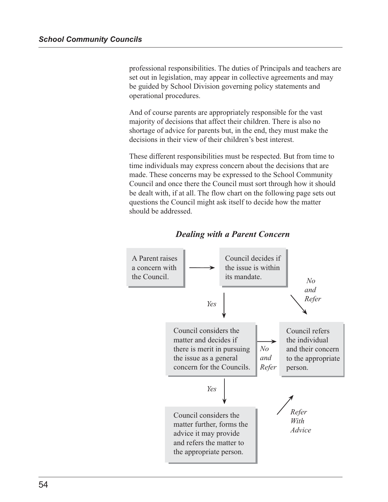professional responsibilities. The duties of Principals and teachers are set out in legislation, may appear in collective agreements and may be guided by School Division governing policy statements and operational procedures.

And of course parents are appropriately responsible for the vast majority of decisions that affect their children. There is also no shortage of advice for parents but, in the end, they must make the decisions in their view of their children's best interest.

These different responsibilities must be respected. But from time to time individuals may express concern about the decisions that are made. These concerns may be expressed to the School Community Council and once there the Council must sort through how it should be dealt with, if at all. The flow chart on the following page sets out questions the Council might ask itself to decide how the matter should be addressed.



# *Dealing with a Parent Concern*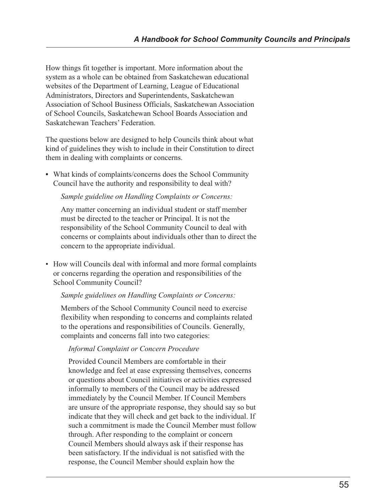How things fit together is important. More information about the system as a whole can be obtained from Saskatchewan educational websites of the Department of Learning, League of Educational Administrators, Directors and Superintendents, Saskatchewan Association of School Business Officials, Saskatchewan Association of School Councils, Saskatchewan School Boards Association and Saskatchewan Teachers' Federation.

The questions below are designed to help Councils think about what kind of guidelines they wish to include in their Constitution to direct them in dealing with complaints or concerns.

**•** What kinds of complaints/concerns does the School Community Council have the authority and responsibility to deal with?

### *Sample guideline on Handling Complaints or Concerns:*

Any matter concerning an individual student or staff member must be directed to the teacher or Principal. It is not the responsibility of the School Community Council to deal with concerns or complaints about individuals other than to direct the concern to the appropriate individual.

• How will Councils deal with informal and more formal complaints or concerns regarding the operation and responsibilities of the School Community Council?

#### *Sample guidelines on Handling Complaints or Concerns:*

Members of the School Community Council need to exercise flexibility when responding to concerns and complaints related to the operations and responsibilities of Councils. Generally, complaints and concerns fall into two categories:

# *Informal Complaint or Concern Procedure*

Provided Council Members are comfortable in their knowledge and feel at ease expressing themselves, concerns or questions about Council initiatives or activities expressed informally to members of the Council may be addressed immediately by the Council Member. If Council Members are unsure of the appropriate response, they should say so but indicate that they will check and get back to the individual. If such a commitment is made the Council Member must follow through. After responding to the complaint or concern Council Members should always ask if their response has been satisfactory. If the individual is not satisfied with the response, the Council Member should explain how the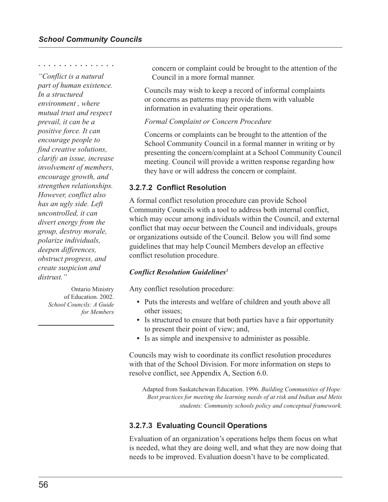○○○○○○○○○○○○○○○

*"Conflict is a natural part of human existence. In a structured environment , where mutual trust and respect prevail, it can be a positive force. It can encourage people to find creative solutions, clarify an issue, increase involvement of members, encourage growth, and strengthen relationships. However, conflict also has an ugly side. Left uncontrolled, it can divert energy from the group, destroy morale, polarize individuals, deepen differences, obstruct progress, and create suspicion and distrust."*

> Ontario Ministry of Education. 2002. *School Councils: A Guide for Members*

concern or complaint could be brought to the attention of the Council in a more formal manner.

Councils may wish to keep a record of informal complaints or concerns as patterns may provide them with valuable information in evaluating their operations.

#### *Formal Complaint or Concern Procedure*

Concerns or complaints can be brought to the attention of the School Community Council in a formal manner in writing or by presenting the concern/complaint at a School Community Council meeting. Council will provide a written response regarding how they have or will address the concern or complaint.

### **3.2.7.2 Conflict Resolution**

A formal conflict resolution procedure can provide School Community Councils with a tool to address both internal conflict, which may occur among individuals within the Council, and external conflict that may occur between the Council and individuals, groups or organizations outside of the Council. Below you will find some guidelines that may help Council Members develop an effective conflict resolution procedure.

#### *Conflict Resolution Guidelines1*

Any conflict resolution procedure:

- **•** Puts the interests and welfare of children and youth above all other issues;
- **•** Is structured to ensure that both parties have a fair opportunity to present their point of view; and,
- **•** Is as simple and inexpensive to administer as possible.

Councils may wish to coordinate its conflict resolution procedures with that of the School Division. For more information on steps to resolve conflict, see Appendix A, Section 6.0.

Adapted from Saskatchewan Education. 1996. *Building Communities of Hope: Best practices for meeting the learning needs of at risk and Indian and Metis students: Community schools policy and conceptual framework.*

# **3.2.7.3 Evaluating Council Operations**

Evaluation of an organization's operations helps them focus on what is needed, what they are doing well, and what they are now doing that needs to be improved. Evaluation doesn't have to be complicated.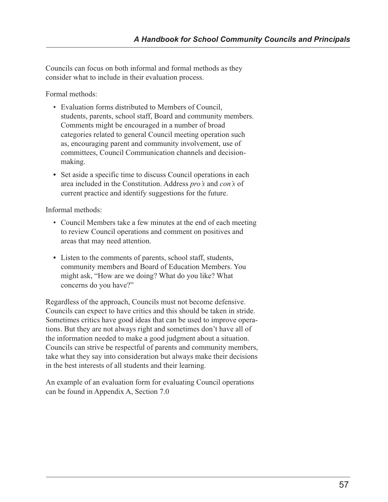Councils can focus on both informal and formal methods as they consider what to include in their evaluation process.

Formal methods:

- Evaluation forms distributed to Members of Council, students, parents, school staff, Board and community members. Comments might be encouraged in a number of broad categories related to general Council meeting operation such as, encouraging parent and community involvement, use of committees, Council Communication channels and decisionmaking.
- **•** Set aside a specific time to discuss Council operations in each area included in the Constitution. Address *pro's* and *con's* of current practice and identify suggestions for the future.

Informal methods:

- Council Members take a few minutes at the end of each meeting to review Council operations and comment on positives and areas that may need attention.
- **•** Listen to the comments of parents, school staff, students, community members and Board of Education Members. You might ask, "How are we doing? What do you like? What concerns do you have?"

Regardless of the approach, Councils must not become defensive. Councils can expect to have critics and this should be taken in stride. Sometimes critics have good ideas that can be used to improve operations. But they are not always right and sometimes don't have all of the information needed to make a good judgment about a situation. Councils can strive be respectful of parents and community members, take what they say into consideration but always make their decisions in the best interests of all students and their learning.

An example of an evaluation form for evaluating Council operations can be found in Appendix A, Section 7.0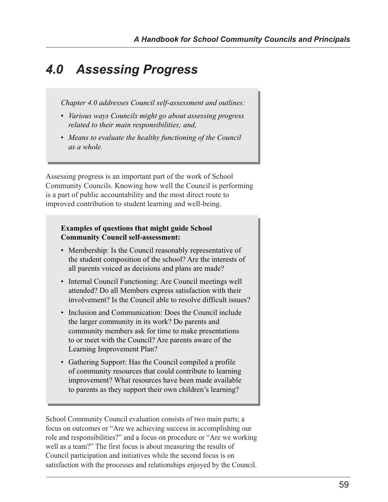# *4.0 Assessing Progress*

*Chapter 4.0 addresses Council self-assessment and outlines:*

- *Various ways Councils might go about assessing progress related to their main responsibilities; and,*
- *Means to evaluate the healthy functioning of the Council as a whole.*

Assessing progress is an important part of the work of School Community Councils. Knowing how well the Council is performing is a part of public accountability and the most direct route to improved contribution to student learning and well-being.

# **Examples of questions that might guide School Community Council self-assessment:**

- Membership: Is the Council reasonably representative of the student composition of the school? Are the interests of all parents voiced as decisions and plans are made?
- Internal Council Functioning: Are Council meetings well attended? Do all Members express satisfaction with their involvement? Is the Council able to resolve difficult issues?
- Inclusion and Communication: Does the Council include the larger community in its work? Do parents and community members ask for time to make presentations to or meet with the Council? Are parents aware of the Learning Improvement Plan?
- Gathering Support: Has the Council compiled a profile of community resources that could contribute to learning improvement? What resources have been made available to parents as they support their own children's learning?

School Community Council evaluation consists of two main parts; a focus on outcomes or "Are we achieving success in accomplishing our role and responsibilities?" and a focus on procedure or "Are we working well as a team?" The first focus is about measuring the results of Council participation and initiatives while the second focus is on satisfaction with the processes and relationships enjoyed by the Council.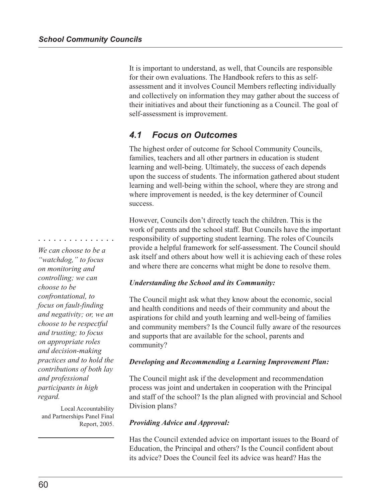It is important to understand, as well, that Councils are responsible for their own evaluations. The Handbook refers to this as selfassessment and it involves Council Members reflecting individually and collectively on information they may gather about the success of their initiatives and about their functioning as a Council. The goal of self-assessment is improvement.

# *4.1 Focus on Outcomes*

The highest order of outcome for School Community Councils, families, teachers and all other partners in education is student learning and well-being. Ultimately, the success of each depends upon the success of students. The information gathered about student learning and well-being within the school, where they are strong and where improvement is needed, is the key determiner of Council success.

However, Councils don't directly teach the children. This is the work of parents and the school staff. But Councils have the important responsibility of supporting student learning. The roles of Councils provide a helpful framework for self-assessment. The Council should ask itself and others about how well it is achieving each of these roles and where there are concerns what might be done to resolve them.

# *Understanding the School and its Community:*

The Council might ask what they know about the economic, social and health conditions and needs of their community and about the aspirations for child and youth learning and well-being of families and community members? Is the Council fully aware of the resources and supports that are available for the school, parents and community?

#### *Developing and Recommending a Learning Improvement Plan:*

The Council might ask if the development and recommendation process was joint and undertaken in cooperation with the Principal and staff of the school? Is the plan aligned with provincial and School Division plans?

#### *Providing Advice and Approval:*

Has the Council extended advice on important issues to the Board of Education, the Principal and others? Is the Council confident about its advice? Does the Council feel its advice was heard? Has the

*We can choose to be a "watchdog," to focus on monitoring and controlling; we can choose to be confrontational, to focus on fault-finding and negativity; or, we an choose to be respectful and trusting; to focus on appropriate roles and decision-making practices and to hold the contributions of both lay and professional participants in high regard.*

○○○○○○○○○○○○○○○

Local Accountability and Partnerships Panel Final Report, 2005.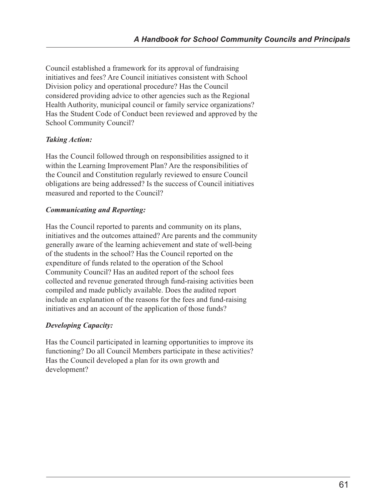Council established a framework for its approval of fundraising initiatives and fees? Are Council initiatives consistent with School Division policy and operational procedure? Has the Council considered providing advice to other agencies such as the Regional Health Authority, municipal council or family service organizations? Has the Student Code of Conduct been reviewed and approved by the School Community Council?

# *Taking Action:*

Has the Council followed through on responsibilities assigned to it within the Learning Improvement Plan? Are the responsibilities of the Council and Constitution regularly reviewed to ensure Council obligations are being addressed? Is the success of Council initiatives measured and reported to the Council?

### *Communicating and Reporting:*

Has the Council reported to parents and community on its plans, initiatives and the outcomes attained? Are parents and the community generally aware of the learning achievement and state of well-being of the students in the school? Has the Council reported on the expenditure of funds related to the operation of the School Community Council? Has an audited report of the school fees collected and revenue generated through fund-raising activities been compiled and made publicly available. Does the audited report include an explanation of the reasons for the fees and fund-raising initiatives and an account of the application of those funds?

# *Developing Capacity:*

Has the Council participated in learning opportunities to improve its functioning? Do all Council Members participate in these activities? Has the Council developed a plan for its own growth and development?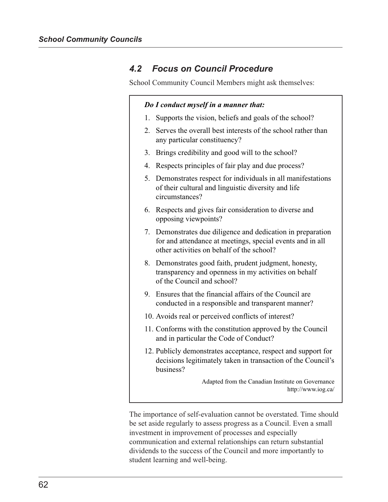# *4.2 Focus on Council Procedure*

School Community Council Members might ask themselves:

|                | Do I conduct myself in a manner that:                                                                                                                                 |
|----------------|-----------------------------------------------------------------------------------------------------------------------------------------------------------------------|
| 1.             | Supports the vision, beliefs and goals of the school?                                                                                                                 |
| 2.             | Serves the overall best interests of the school rather than<br>any particular constituency?                                                                           |
| 3 <sub>1</sub> | Brings credibility and good will to the school?                                                                                                                       |
| 4.             | Respects principles of fair play and due process?                                                                                                                     |
| 5.             | Demonstrates respect for individuals in all manifestations<br>of their cultural and linguistic diversity and life<br>circumstances?                                   |
| 6.             | Respects and gives fair consideration to diverse and<br>opposing viewpoints?                                                                                          |
|                | 7. Demonstrates due diligence and dedication in preparation<br>for and attendance at meetings, special events and in all<br>other activities on behalf of the school? |
| 8.             | Demonstrates good faith, prudent judgment, honesty,<br>transparency and openness in my activities on behalf<br>of the Council and school?                             |
| 9.             | Ensures that the financial affairs of the Council are.<br>conducted in a responsible and transparent manner?                                                          |
|                | 10. Avoids real or perceived conflicts of interest?                                                                                                                   |
|                | 11. Conforms with the constitution approved by the Council<br>and in particular the Code of Conduct?                                                                  |
|                | 12. Publicly demonstrates acceptance, respect and support for<br>decisions legitimately taken in transaction of the Council's<br>business?                            |
|                | Adapted from the Canadian Institute on Governance<br>http://www.iog.ca/                                                                                               |

The importance of self-evaluation cannot be overstated. Time should be set aside regularly to assess progress as a Council. Even a small investment in improvement of processes and especially communication and external relationships can return substantial dividends to the success of the Council and more importantly to student learning and well-being.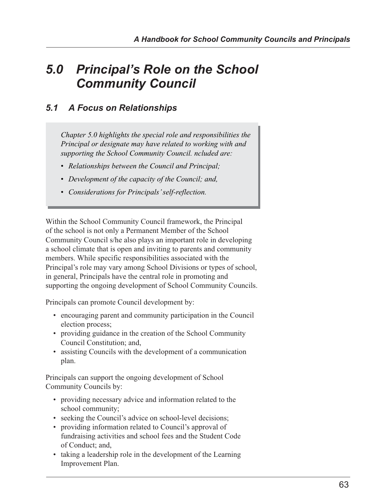# *5.0 Principal's Role on the School Community Council*

# *5.1 A Focus on Relationships*

*Chapter 5.0 highlights the special role and responsibilities the Principal or designate may have related to working with and supporting the School Community Council. ncluded are:*

- *Relationships between the Council and Principal;*
- *Development of the capacity of the Council; and,*
- *Considerations for Principals' self-reflection.*

Within the School Community Council framework, the Principal of the school is not only a Permanent Member of the School Community Council s/he also plays an important role in developing a school climate that is open and inviting to parents and community members. While specific responsibilities associated with the Principal's role may vary among School Divisions or types of school, in general, Principals have the central role in promoting and supporting the ongoing development of School Community Councils.

Principals can promote Council development by:

- encouraging parent and community participation in the Council election process;
- providing guidance in the creation of the School Community Council Constitution; and,
- assisting Councils with the development of a communication plan.

Principals can support the ongoing development of School Community Councils by:

- providing necessary advice and information related to the school community;
- seeking the Council's advice on school-level decisions;
- providing information related to Council's approval of fundraising activities and school fees and the Student Code of Conduct; and,
- taking a leadership role in the development of the Learning Improvement Plan.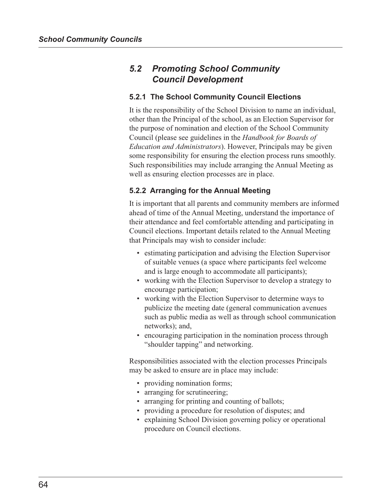# *5.2 Promoting School Community Council Development*

### **5.2.1 The School Community Council Elections**

It is the responsibility of the School Division to name an individual, other than the Principal of the school, as an Election Supervisor for the purpose of nomination and election of the School Community Council (please see guidelines in the *Handbook for Boards of Education and Administrators*). However, Principals may be given some responsibility for ensuring the election process runs smoothly. Such responsibilities may include arranging the Annual Meeting as well as ensuring election processes are in place.

## **5.2.2 Arranging for the Annual Meeting**

It is important that all parents and community members are informed ahead of time of the Annual Meeting, understand the importance of their attendance and feel comfortable attending and participating in Council elections. Important details related to the Annual Meeting that Principals may wish to consider include:

- estimating participation and advising the Election Supervisor of suitable venues (a space where participants feel welcome and is large enough to accommodate all participants);
- working with the Election Supervisor to develop a strategy to encourage participation;
- working with the Election Supervisor to determine ways to publicize the meeting date (general communication avenues such as public media as well as through school communication networks); and,
- encouraging participation in the nomination process through "shoulder tapping" and networking.

Responsibilities associated with the election processes Principals may be asked to ensure are in place may include:

- providing nomination forms;
- arranging for scrutineering;
- arranging for printing and counting of ballots;
- providing a procedure for resolution of disputes; and
- explaining School Division governing policy or operational procedure on Council elections.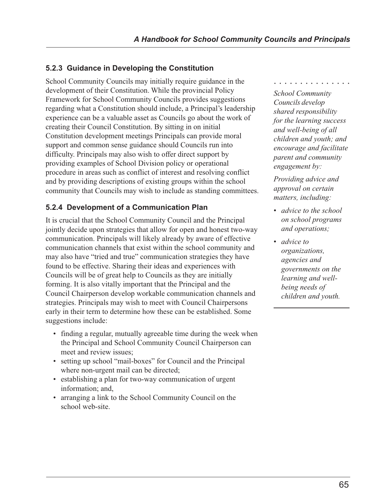## **5.2.3 Guidance in Developing the Constitution**

School Community Councils may initially require guidance in the development of their Constitution. While the provincial Policy Framework for School Community Councils provides suggestions regarding what a Constitution should include, a Principal's leadership experience can be a valuable asset as Councils go about the work of creating their Council Constitution. By sitting in on initial Constitution development meetings Principals can provide moral support and common sense guidance should Councils run into difficulty. Principals may also wish to offer direct support by providing examples of School Division policy or operational procedure in areas such as conflict of interest and resolving conflict and by providing descriptions of existing groups within the school community that Councils may wish to include as standing committees.

## **5.2.4 Development of a Communication Plan**

It is crucial that the School Community Council and the Principal jointly decide upon strategies that allow for open and honest two-way communication. Principals will likely already by aware of effective communication channels that exist within the school community and may also have "tried and true" communication strategies they have found to be effective. Sharing their ideas and experiences with Councils will be of great help to Councils as they are initially forming. It is also vitally important that the Principal and the Council Chairperson develop workable communication channels and strategies. Principals may wish to meet with Council Chairpersons early in their term to determine how these can be established. Some suggestions include:

- finding a regular, mutually agreeable time during the week when the Principal and School Community Council Chairperson can meet and review issues;
- setting up school "mail-boxes" for Council and the Principal where non-urgent mail can be directed;
- establishing a plan for two-way communication of urgent information; and,
- arranging a link to the School Community Council on the school web-site.

○○○○○○○○○○○○○○○

*School Community Councils develop shared responsibility for the learning success and well-being of all children and youth; and encourage and facilitate parent and community engagement by:*

*Providing advice and approval on certain matters, including:*

- *advice to the school on school programs and operations;*
- *advice to organizations, agencies and governments on the learning and wellbeing needs of children and youth.*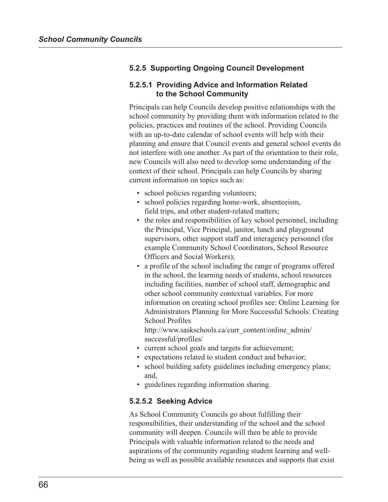## **5.2.5 Supporting Ongoing Council Development**

#### **5.2.5.1 Providing Advice and Information Related to the School Community**

Principals can help Councils develop positive relationships with the school community by providing them with information related to the policies, practices and routines of the school. Providing Councils with an up-to-date calendar of school events will help with their planning and ensure that Council events and general school events do not interfere with one another. As part of the orientation to their role, new Councils will also need to develop some understanding of the context of their school. Principals can help Councils by sharing current information on topics such as:

- school policies regarding volunteers;
- school policies regarding home-work, absenteeism, field trips, and other student-related matters;
- the roles and responsibilities of key school personnel, including the Principal, Vice Principal, janitor, lunch and playground supervisors, other support staff and interagency personnel (for example Community School Coordinators, School Resource Officers and Social Workers);
- a profile of the school including the range of programs offered in the school, the learning needs of students, school resources including facilities, number of school staff, demographic and other school community contextual variables. For more information on creating school profiles see: Online Learning for Administrators Planning for More Successful Schools: Creating School Profiles

http://www.saskschools.ca/curr\_content/online\_admin/ successful/profiles/

- current school goals and targets for achievement;
- expectations related to student conduct and behavior;
- school building safety guidelines including emergency plans; and,
- guidelines regarding information sharing.

#### **5.2.5.2 Seeking Advice**

As School Community Councils go about fulfilling their responsibilities, their understanding of the school and the school community will deepen. Councils will then be able to provide Principals with valuable information related to the needs and aspirations of the community regarding student learning and wellbeing as well as possible available resources and supports that exist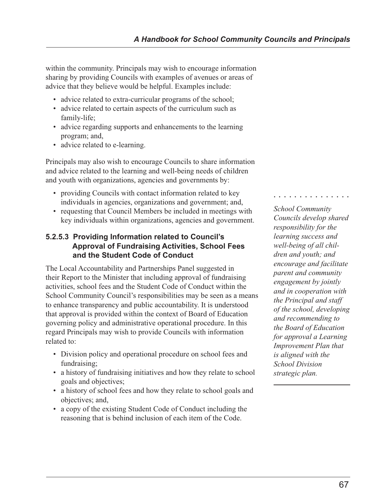within the community. Principals may wish to encourage information sharing by providing Councils with examples of avenues or areas of advice that they believe would be helpful. Examples include:

- advice related to extra-curricular programs of the school;
- advice related to certain aspects of the curriculum such as family-life;
- advice regarding supports and enhancements to the learning program; and,
- advice related to e-learning.

Principals may also wish to encourage Councils to share information and advice related to the learning and well-being needs of children and youth with organizations, agencies and governments by:

- providing Councils with contact information related to key individuals in agencies, organizations and government; and,
- requesting that Council Members be included in meetings with key individuals within organizations, agencies and government.

### **5.2.5.3 Providing Information related to Council's Approval of Fundraising Activities, School Fees and the Student Code of Conduct**

The Local Accountability and Partnerships Panel suggested in their Report to the Minister that including approval of fundraising activities, school fees and the Student Code of Conduct within the School Community Council's responsibilities may be seen as a means to enhance transparency and public accountability. It is understood that approval is provided within the context of Board of Education governing policy and administrative operational procedure. In this regard Principals may wish to provide Councils with information related to:

- Division policy and operational procedure on school fees and fundraising;
- a history of fundraising initiatives and how they relate to school goals and objectives;
- a history of school fees and how they relate to school goals and objectives; and,
- a copy of the existing Student Code of Conduct including the reasoning that is behind inclusion of each item of the Code.

*School Community Councils develop shared responsibility for the learning success and well-being of all children and youth; and encourage and facilitate parent and community engagement by jointly and in cooperation with the Principal and staff of the school, developing and recommending to the Board of Education for approval a Learning Improvement Plan that is aligned with the School Division strategic plan.*

○○○○○○○○○○○○○○○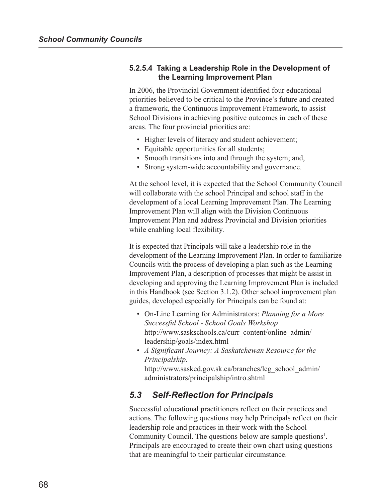### **5.2.5.4 Taking a Leadership Role in the Development of the Learning Improvement Plan**

In 2006, the Provincial Government identified four educational priorities believed to be critical to the Province's future and created a framework, the Continuous Improvement Framework, to assist School Divisions in achieving positive outcomes in each of these areas. The four provincial priorities are:

- Higher levels of literacy and student achievement;
- Equitable opportunities for all students;
- Smooth transitions into and through the system; and,
- Strong system-wide accountability and governance.

At the school level, it is expected that the School Community Council will collaborate with the school Principal and school staff in the development of a local Learning Improvement Plan. The Learning Improvement Plan will align with the Division Continuous Improvement Plan and address Provincial and Division priorities while enabling local flexibility.

It is expected that Principals will take a leadership role in the development of the Learning Improvement Plan. In order to familiarize Councils with the process of developing a plan such as the Learning Improvement Plan, a description of processes that might be assist in developing and approving the Learning Improvement Plan is included in this Handbook (see Section 3.1.2). Other school improvement plan guides, developed especially for Principals can be found at:

- On-Line Learning for Administrators: *Planning for a More Successful School - School Goals Workshop* http://www.saskschools.ca/curr\_content/online\_admin/ leadership/goals/index.html
- *A Significant Journey: A Saskatchewan Resource for the Principalship.* http://www.sasked.gov.sk.ca/branches/leg\_school\_admin/ administrators/principalship/intro.shtml

## *5.3 Self-Reflection for Principals*

Successful educational practitioners reflect on their practices and actions. The following questions may help Principals reflect on their leadership role and practices in their work with the School Community Council. The questions below are sample questions<sup>1</sup>. Principals are encouraged to create their own chart using questions that are meaningful to their particular circumstance.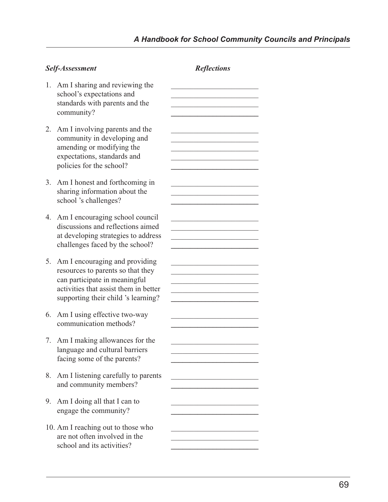| Self-Assessment |                                                                                                                                                                                      | <b>Reflections</b> |
|-----------------|--------------------------------------------------------------------------------------------------------------------------------------------------------------------------------------|--------------------|
| 1.              | Am I sharing and reviewing the<br>school's expectations and<br>standards with parents and the<br>community?                                                                          |                    |
| 2.              | Am I involving parents and the<br>community in developing and<br>amending or modifying the<br>expectations, standards and<br>policies for the school?                                |                    |
| 3.              | Am I honest and forthcoming in<br>sharing information about the<br>school 's challenges?                                                                                             |                    |
| 4.              | Am I encouraging school council<br>discussions and reflections aimed<br>at developing strategies to address<br>challenges faced by the school?                                       |                    |
| 5.              | Am I encouraging and providing<br>resources to parents so that they<br>can participate in meaningful<br>activities that assist them in better<br>supporting their child 's learning? |                    |
| 6.              | Am I using effective two-way<br>communication methods?                                                                                                                               |                    |
|                 | 7. Am I making allowances for the<br>language and cultural barriers<br>facing some of the parents?                                                                                   |                    |
| 8.              | Am I listening carefully to parents<br>and community members?                                                                                                                        |                    |
| 9.              | Am I doing all that I can to<br>engage the community?                                                                                                                                |                    |
|                 | 10. Am I reaching out to those who<br>are not often involved in the                                                                                                                  |                    |

school and its activities? **\_\_\_\_\_\_\_\_\_\_\_\_\_\_\_\_\_\_\_\_\_\_\_**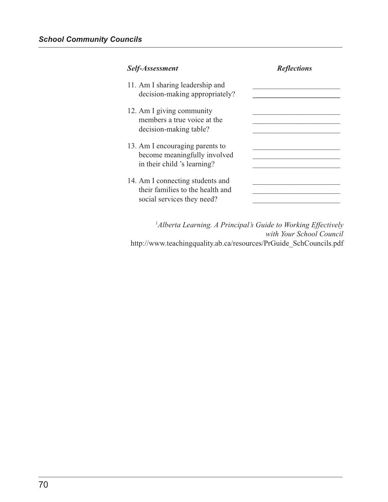| Self-Assessment                                                                                    | <b>Reflections</b> |
|----------------------------------------------------------------------------------------------------|--------------------|
| 11. Am I sharing leadership and<br>decision-making appropriately?                                  |                    |
| 12. Am I giving community<br>members a true voice at the<br>decision-making table?                 |                    |
| 13. Am I encouraging parents to<br>become meaningfully involved<br>in their child 's learning?     |                    |
| 14. Am I connecting students and<br>their families to the health and<br>social services they need? |                    |

1 *Alberta Learning. A Principal's Guide to Working Effectively with Your School Council* http://www.teachingquality.ab.ca/resources/PrGuide\_SchCouncils.pdf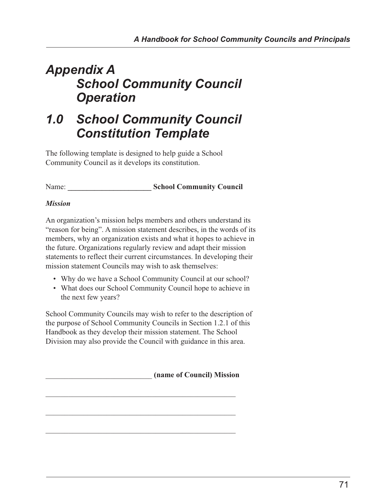# *Appendix A School Community Council Operation*

# *1.0 School Community Council Constitution Template*

The following template is designed to help guide a School Community Council as it develops its constitution.

Name: **\_\_\_\_\_\_\_\_\_\_\_\_\_\_\_\_\_\_\_\_\_\_ School Community Council**

## *Mission*

An organization's mission helps members and others understand its "reason for being". A mission statement describes, in the words of its members, why an organization exists and what it hopes to achieve in the future. Organizations regularly review and adapt their mission statements to reflect their current circumstances. In developing their mission statement Councils may wish to ask themselves:

- Why do we have a School Community Council at our school?
- What does our School Community Council hope to achieve in the next few years?

School Community Councils may wish to refer to the description of the purpose of School Community Councils in Section 1.2.1 of this Handbook as they develop their mission statement. The School Division may also provide the Council with guidance in this area.

\_\_\_\_\_\_\_\_\_\_\_\_\_\_\_\_\_\_\_\_\_\_\_\_\_\_\_\_\_\_\_\_\_\_\_\_\_\_\_\_\_\_\_\_\_\_\_\_\_\_

\_\_\_\_\_\_\_\_\_\_\_\_\_\_\_\_\_\_\_\_\_\_\_\_\_\_\_\_\_\_\_\_\_\_\_\_\_\_\_\_\_\_\_\_\_\_\_\_\_\_

\_\_\_\_\_\_\_\_\_\_\_\_\_\_\_\_\_\_\_\_\_\_\_\_\_\_\_\_ **(name of Council) Mission** \_\_\_\_\_\_\_\_\_\_\_\_\_\_\_\_\_\_\_\_\_\_\_\_\_\_\_\_\_\_\_\_\_\_\_\_\_\_\_\_\_\_\_\_\_\_\_\_\_\_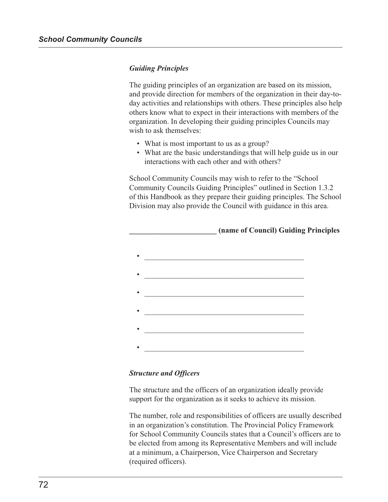#### *Guiding Principles*

The guiding principles of an organization are based on its mission, and provide direction for members of the organization in their day-today activities and relationships with others. These principles also help others know what to expect in their interactions with members of the organization. In developing their guiding principles Councils may wish to ask themselves:

- What is most important to us as a group?
- What are the basic understandings that will help guide us in our interactions with each other and with others?

School Community Councils may wish to refer to the "School Community Councils Guiding Principles" outlined in Section 1.3.2 of this Handbook as they prepare their guiding principles. The School Division may also provide the Council with guidance in this area.



#### *Structure and Officers*

The structure and the officers of an organization ideally provide support for the organization as it seeks to achieve its mission.

The number, role and responsibilities of officers are usually described in an organization's constitution. The Provincial Policy Framework for School Community Councils states that a Council's officers are to be elected from among its Representative Members and will include at a minimum, a Chairperson, Vice Chairperson and Secretary (required officers).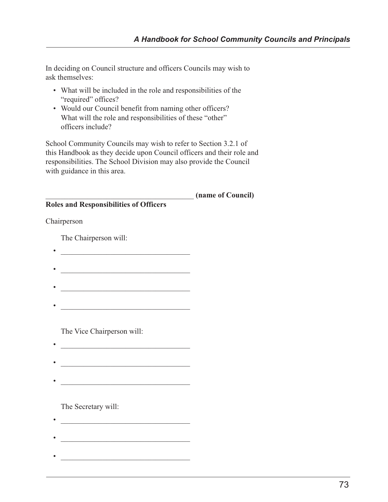In deciding on Council structure and officers Councils may wish to ask themselves:

- What will be included in the role and responsibilities of the "required" offices?
- Would our Council benefit from naming other officers? What will the role and responsibilities of these "other" officers include?

School Community Councils may wish to refer to Section 3.2.1 of this Handbook as they decide upon Council officers and their role and responsibilities. The School Division may also provide the Council with guidance in this area.

|                                               | (name of Council) |
|-----------------------------------------------|-------------------|
| <b>Roles and Responsibilities of Officers</b> |                   |
| Chairperson                                   |                   |
| The Chairperson will:                         |                   |
|                                               |                   |
|                                               |                   |
|                                               |                   |
|                                               |                   |
|                                               |                   |

The Vice Chairperson will:

- 
- 

The Secretary will:

- 
-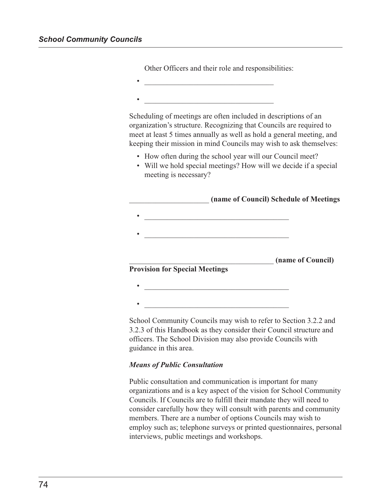| <u> 1989 - Johann John Stone, mars eta bat eta bat eta bat eta bat eta bat eta bat eta bat eta bat eta bat eta b</u><br>Scheduling of meetings are often included in descriptions of an                            |
|--------------------------------------------------------------------------------------------------------------------------------------------------------------------------------------------------------------------|
| organization's structure. Recognizing that Councils are required to<br>meet at least 5 times annually as well as hold a general meeting, and<br>keeping their mission in mind Councils may wish to ask themselves: |
| • How often during the school year will our Council meet?<br>• Will we hold special meetings? How will we decide if a special<br>meeting is necessary?                                                             |
|                                                                                                                                                                                                                    |
| (name of Council) Schedule of Meetings                                                                                                                                                                             |
| <u> 1989 - Johann John Harry Hermes, fransk politik (d. 19</u><br><u> 1989 - Johann Barbara, martxa alemaniar a</u>                                                                                                |
| (name of Council)<br><b>Provision for Special Meetings</b>                                                                                                                                                         |
| <u> 1986 - Johann Stoff, deutscher Stoffen und der Stoffen und der Stoffen und der Stoffen und der Stoffen und der </u>                                                                                            |

Other Officers and their role and responsibilities:

3.2.3 of this Handbook as they consider their Council structure and officers. The School Division may also provide Councils with guidance in this area.

#### *Means of Public Consultation*

Public consultation and communication is important for many organizations and is a key aspect of the vision for School Community Councils. If Councils are to fulfill their mandate they will need to consider carefully how they will consult with parents and community members. There are a number of options Councils may wish to employ such as; telephone surveys or printed questionnaires, personal interviews, public meetings and workshops.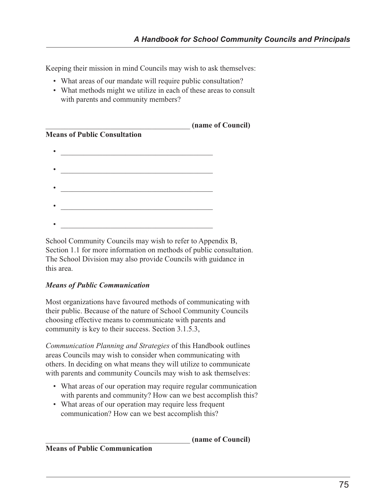Keeping their mission in mind Councils may wish to ask themselves:

- What areas of our mandate will require public consultation?
- What methods might we utilize in each of these areas to consult with parents and community members?

|                                     | (name of Council) |
|-------------------------------------|-------------------|
| <b>Means of Public Consultation</b> |                   |
|                                     |                   |
|                                     |                   |
|                                     |                   |
|                                     |                   |
|                                     |                   |
|                                     |                   |

School Community Councils may wish to refer to Appendix B, Section 1.1 for more information on methods of public consultation. The School Division may also provide Councils with guidance in this area.

#### *Means of Public Communication*

Most organizations have favoured methods of communicating with their public. Because of the nature of School Community Councils choosing effective means to communicate with parents and community is key to their success. Section 3.1.5.3,

*Communication Planning and Strategies* of this Handbook outlines areas Councils may wish to consider when communicating with others. In deciding on what means they will utilize to communicate with parents and community Councils may wish to ask themselves:

- What areas of our operation may require regular communication with parents and community? How can we best accomplish this?
- What areas of our operation may require less frequent communication? How can we best accomplish this?

\_\_\_\_\_\_\_\_\_\_\_\_\_\_\_\_\_\_\_\_\_\_\_\_\_\_\_\_\_\_\_\_\_\_\_\_\_\_ **(name of Council)**

**Means of Public Communication**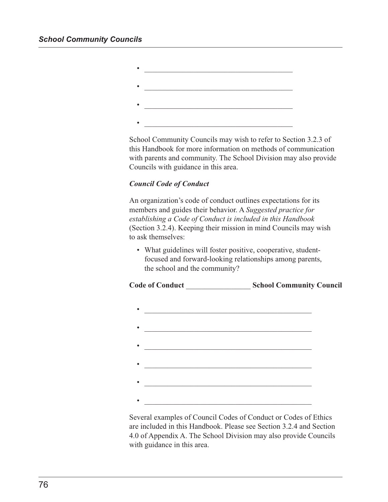| ٠ |  |
|---|--|
|   |  |
| ٠ |  |
| ٠ |  |
|   |  |
|   |  |
|   |  |

School Community Councils may wish to refer to Section 3.2.3 of this Handbook for more information on methods of communication with parents and community. The School Division may also provide Councils with guidance in this area.

#### *Council Code of Conduct*

An organization's code of conduct outlines expectations for its members and guides their behavior. A *Suggested practice for establishing a Code of Conduct is included in this Handbook* (Section 3.2.4). Keeping their mission in mind Councils may wish to ask themselves:

• What guidelines will foster positive, cooperative, studentfocused and forward-looking relationships among parents, the school and the community?





Several examples of Council Codes of Conduct or Codes of Ethics are included in this Handbook. Please see Section 3.2.4 and Section 4.0 of Appendix A. The School Division may also provide Councils with guidance in this area.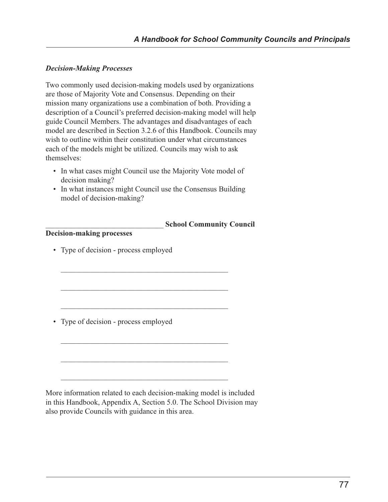#### *Decision-Making Processes*

Two commonly used decision-making models used by organizations are those of Majority Vote and Consensus. Depending on their mission many organizations use a combination of both. Providing a description of a Council's preferred decision-making model will help guide Council Members. The advantages and disadvantages of each model are described in Section 3.2.6 of this Handbook. Councils may wish to outline within their constitution under what circumstances each of the models might be utilized. Councils may wish to ask themselves:

- In what cases might Council use the Majority Vote model of decision making?
- In what instances might Council use the Consensus Building model of decision-making?

 $\mathcal{L}_\mathcal{L}$  , which is a set of the set of the set of the set of the set of the set of the set of the set of the set of the set of the set of the set of the set of the set of the set of the set of the set of the set of

 $\mathcal{L}_\mathcal{L}$  , which is a set of the set of the set of the set of the set of the set of the set of the set of the set of the set of the set of the set of the set of the set of the set of the set of the set of the set of

 $\mathcal{L}_\mathcal{L}$  , which is a set of the set of the set of the set of the set of the set of the set of the set of the set of the set of the set of the set of the set of the set of the set of the set of the set of the set of

 $\mathcal{L}_\mathcal{L}$  , which is a set of the set of the set of the set of the set of the set of the set of the set of the set of the set of the set of the set of the set of the set of the set of the set of the set of the set of

 $\mathcal{L}_\mathcal{L}$  , which is a set of the set of the set of the set of the set of the set of the set of the set of the set of the set of the set of the set of the set of the set of the set of the set of the set of the set of

#### \_\_\_\_\_\_\_\_\_\_\_\_\_\_\_\_\_\_\_\_\_\_\_\_\_\_\_\_\_\_\_ **School Community Council**

#### **Decision-making processes**

• Type of decision - process employed

• Type of decision - process employed

More information related to each decision-making model is included in this Handbook, Appendix A, Section 5.0. The School Division may also provide Councils with guidance in this area.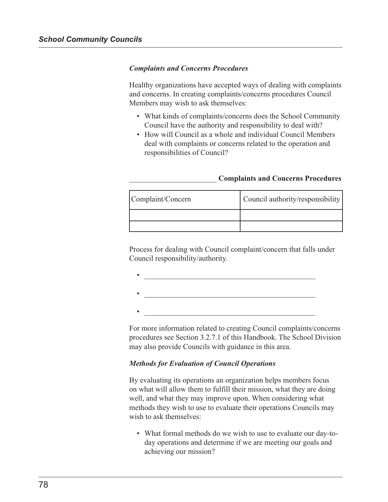#### *Complaints and Concerns Procedures*

Healthy organizations have accepted ways of dealing with complaints and concerns. In creating complaints/concerns procedures Council Members may wish to ask themselves:

- What kinds of complaints/concerns does the School Community Council have the authority and responsibility to deal with?
- How will Council as a whole and individual Council Members deal with complaints or concerns related to the operation and responsibilities of Council?

#### \_\_\_\_\_\_\_\_\_\_\_\_\_\_\_\_\_\_\_\_\_\_\_ **Complaints and Concerns Procedures**

| Complaint/Concern | Council authority/responsibility |
|-------------------|----------------------------------|
|                   |                                  |
|                   |                                  |

Process for dealing with Council complaint/concern that falls under Council responsibility/authority.

For more information related to creating Council complaints/concerns procedures see Section 3.2.7.1 of this Handbook. The School Division may also provide Councils with guidance in this area.

#### *Methods for Evaluation of Council Operations*

By evaluating its operations an organization helps members focus on what will allow them to fulfill their mission, what they are doing well, and what they may improve upon. When considering what methods they wish to use to evaluate their operations Councils may wish to ask themselves:

• What formal methods do we wish to use to evaluate our day-today operations and determine if we are meeting our goals and achieving our mission?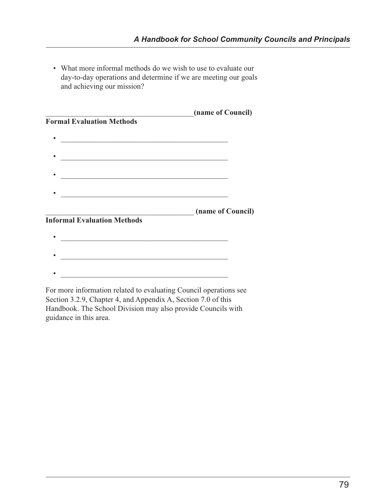• What more informal methods do we wish to use to evaluate our day-to-day operations and determine if we are meeting our goals and achieving our mission?

|                                                                                                                       | (name of Council) |
|-----------------------------------------------------------------------------------------------------------------------|-------------------|
| <b>Formal Evaluation Methods</b>                                                                                      |                   |
|                                                                                                                       |                   |
| <u> 1980 - Johann Barn, mars ann an t-Amhain an t-Amhain an t-Amhain an t-Amhain an t-Amhain an t-Amhain an t-Amh</u> |                   |
|                                                                                                                       |                   |
|                                                                                                                       |                   |
| <u> 1989 - Paris Amerikaanse kommunister († 1908)</u>                                                                 |                   |
|                                                                                                                       |                   |
| <u> 1989 - Johann John Stein, marwolaeth a bhannaich an t-Amhain an t-Amhain an t-Amhain an t-Amhain an t-Amhain</u>  |                   |
|                                                                                                                       | (name of Council) |
| <b>Informal Evaluation Methods</b>                                                                                    |                   |
|                                                                                                                       |                   |
| <u> 1989 - Johann John Stein, marwolaethau (b. 1989)</u>                                                              |                   |
|                                                                                                                       |                   |
|                                                                                                                       |                   |
| <u> 1989 - Johann John Stone, mars eta bainar eta bainar eta baina eta baina eta baina eta baina eta baina eta b</u>  |                   |
| For more information related to evaluating Council operations see                                                     |                   |

Section 3.2.9, Chapter 4, and Appendix A, Section 7.0 of this Handbook. The School Division may also provide Councils with guidance in this area.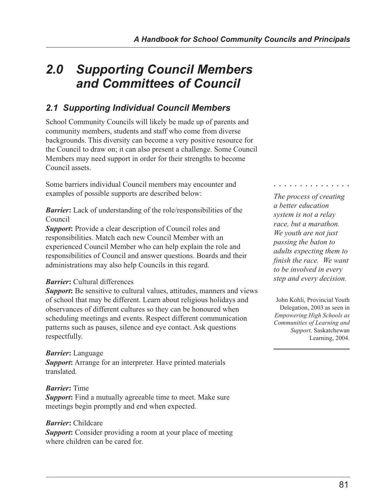# *2.0 Supporting Council Members and Committees of Council*

# *2.1 Supporting Individual Council Members*

School Community Councils will likely be made up of parents and community members, students and staff who come from diverse backgrounds. This diversity can become a very positive resource for the Council to draw on; it can also present a challenge. Some Council Members may need support in order for their strengths to become Council assets.

Some barriers individual Council members may encounter and examples of possible supports are described below:

*Barrier***:** Lack of understanding of the role/responsibilities of the Council

*Support***:** Provide a clear description of Council roles and responsibilities. Match each new Council Member with an experienced Council Member who can help explain the role and responsibilities of Council and answer questions. Boards and their administrations may also help Councils in this regard.

#### *Barrier***:** Cultural differences

*Support*: Be sensitive to cultural values, attitudes, manners and views of school that may be different. Learn about religious holidays and observances of different cultures so they can be honoured when scheduling meetings and events. Respect different communication patterns such as pauses, silence and eye contact. Ask questions respectfully.

## *Barrier***:** Language

*Support***:** Arrange for an interpreter. Have printed materials translated.

## *Barrier***:** Time

*Support***:** Find a mutually agreeable time to meet. Make sure meetings begin promptly and end when expected.

#### *Barrier***:** Childcare

**Support:** Consider providing a room at your place of meeting where children can be cared for.

#### ○○○○○○○○○○○○○○○

*The process of creating a better education system is not a relay race, but a marathon. We youth are not just passing the baton to adults expecting them to finish the race. We want to be involved in every step and every decision.*

John Kohli, Provincial Youth Delegation, 2003 as seen in *Empowering High Schools as Communities of Learning and Support,* Saskatchewan Learning, 2004.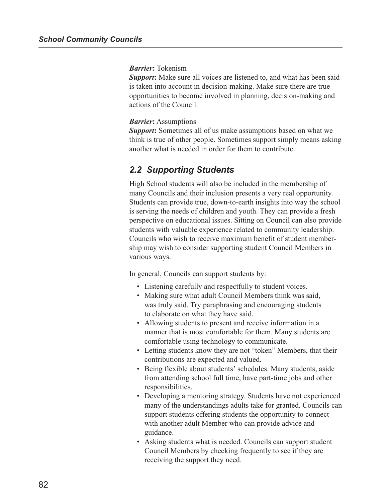#### *Barrier***:** Tokenism

**Support:** Make sure all voices are listened to, and what has been said is taken into account in decision-making. Make sure there are true opportunities to become involved in planning, decision-making and actions of the Council.

#### *Barrier***:** Assumptions

*Support***:** Sometimes all of us make assumptions based on what we think is true of other people. Sometimes support simply means asking another what is needed in order for them to contribute.

## *2.2 Supporting Students*

High School students will also be included in the membership of many Councils and their inclusion presents a very real opportunity. Students can provide true, down-to-earth insights into way the school is serving the needs of children and youth. They can provide a fresh perspective on educational issues. Sitting on Council can also provide students with valuable experience related to community leadership. Councils who wish to receive maximum benefit of student membership may wish to consider supporting student Council Members in various ways.

In general, Councils can support students by:

- Listening carefully and respectfully to student voices.
- Making sure what adult Council Members think was said, was truly said. Try paraphrasing and encouraging students to elaborate on what they have said.
- Allowing students to present and receive information in a manner that is most comfortable for them. Many students are comfortable using technology to communicate.
- Letting students know they are not "token" Members, that their contributions are expected and valued.
- Being flexible about students' schedules. Many students, aside from attending school full time, have part-time jobs and other responsibilities.
- Developing a mentoring strategy. Students have not experienced many of the understandings adults take for granted. Councils can support students offering students the opportunity to connect with another adult Member who can provide advice and guidance.
- Asking students what is needed. Councils can support student Council Members by checking frequently to see if they are receiving the support they need.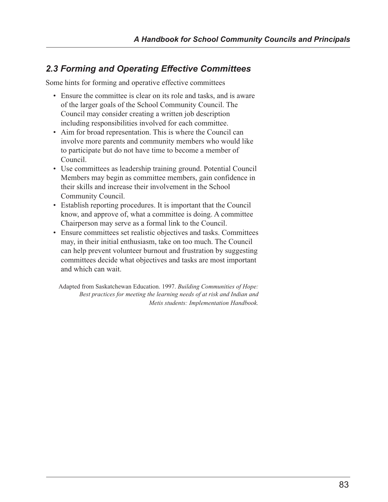## *2.3 Forming and Operating Effective Committees*

Some hints for forming and operative effective committees

- Ensure the committee is clear on its role and tasks, and is aware of the larger goals of the School Community Council. The Council may consider creating a written job description including responsibilities involved for each committee.
- Aim for broad representation. This is where the Council can involve more parents and community members who would like to participate but do not have time to become a member of Council.
- Use committees as leadership training ground. Potential Council Members may begin as committee members, gain confidence in their skills and increase their involvement in the School Community Council.
- Establish reporting procedures. It is important that the Council know, and approve of, what a committee is doing. A committee Chairperson may serve as a formal link to the Council.
- Ensure committees set realistic objectives and tasks. Committees may, in their initial enthusiasm, take on too much. The Council can help prevent volunteer burnout and frustration by suggesting committees decide what objectives and tasks are most important and which can wait.

Adapted from Saskatchewan Education. 1997. *Building Communities of Hope: Best practices for meeting the learning needs of at risk and Indian and Metis students: Implementation Handbook.*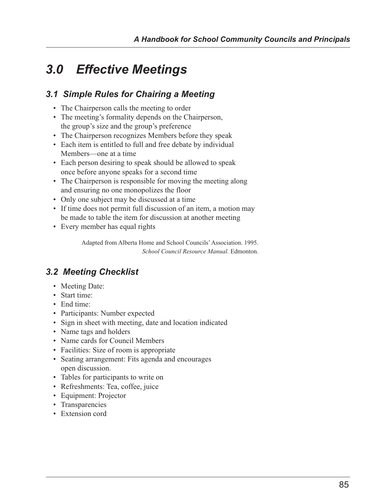# *3.0 Effective Meetings*

# *3.1 Simple Rules for Chairing a Meeting*

- The Chairperson calls the meeting to order
- The meeting's formality depends on the Chairperson, the group's size and the group's preference
- The Chairperson recognizes Members before they speak
- Each item is entitled to full and free debate by individual Members—one at a time
- Each person desiring to speak should be allowed to speak once before anyone speaks for a second time
- The Chairperson is responsible for moving the meeting along and ensuring no one monopolizes the floor
- Only one subject may be discussed at a time
- If time does not permit full discussion of an item, a motion may be made to table the item for discussion at another meeting
- Every member has equal rights

Adapted from Alberta Home and School Councils' Association. 1995. *School Council Resource Manual.* Edmonton.

# *3.2 Meeting Checklist*

- Meeting Date:
- Start time:
- End time:
- Participants: Number expected
- Sign in sheet with meeting, date and location indicated
- Name tags and holders
- Name cards for Council Members
- Facilities: Size of room is appropriate
- Seating arrangement: Fits agenda and encourages open discussion.
- Tables for participants to write on
- Refreshments: Tea, coffee, juice
- Equipment: Projector
- Transparencies
- Extension cord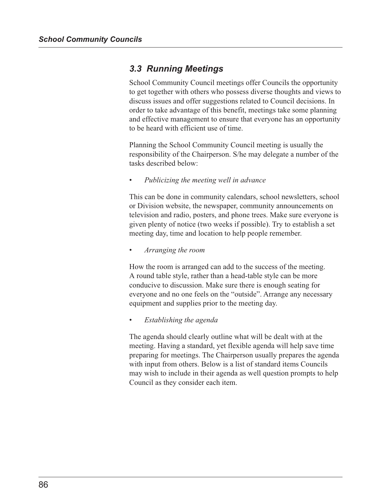## *3.3 Running Meetings*

School Community Council meetings offer Councils the opportunity to get together with others who possess diverse thoughts and views to discuss issues and offer suggestions related to Council decisions. In order to take advantage of this benefit, meetings take some planning and effective management to ensure that everyone has an opportunity to be heard with efficient use of time.

Planning the School Community Council meeting is usually the responsibility of the Chairperson. S/he may delegate a number of the tasks described below:

*• Publicizing the meeting well in advance*

This can be done in community calendars, school newsletters, school or Division website, the newspaper, community announcements on television and radio, posters, and phone trees. Make sure everyone is given plenty of notice (two weeks if possible). Try to establish a set meeting day, time and location to help people remember.

*• Arranging the room*

How the room is arranged can add to the success of the meeting. A round table style, rather than a head-table style can be more conducive to discussion. Make sure there is enough seating for everyone and no one feels on the "outside". Arrange any necessary equipment and supplies prior to the meeting day.

*• Establishing the agenda*

The agenda should clearly outline what will be dealt with at the meeting. Having a standard, yet flexible agenda will help save time preparing for meetings. The Chairperson usually prepares the agenda with input from others. Below is a list of standard items Councils may wish to include in their agenda as well question prompts to help Council as they consider each item.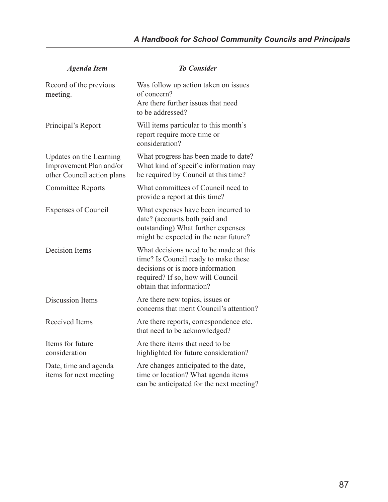| <b>Agenda Item</b>                                                               | <b>To Consider</b>                                                                                                                                                                  |
|----------------------------------------------------------------------------------|-------------------------------------------------------------------------------------------------------------------------------------------------------------------------------------|
| Record of the previous<br>meeting.                                               | Was follow up action taken on issues<br>of concern?<br>Are there further issues that need<br>to be addressed?                                                                       |
| Principal's Report                                                               | Will items particular to this month's<br>report require more time or<br>consideration?                                                                                              |
| Updates on the Learning<br>Improvement Plan and/or<br>other Council action plans | What progress has been made to date?<br>What kind of specific information may<br>be required by Council at this time?                                                               |
| <b>Committee Reports</b>                                                         | What committees of Council need to<br>provide a report at this time?                                                                                                                |
| <b>Expenses of Council</b>                                                       | What expenses have been incurred to<br>date? (accounts both paid and<br>outstanding) What further expenses<br>might be expected in the near future?                                 |
| Decision Items                                                                   | What decisions need to be made at this<br>time? Is Council ready to make these<br>decisions or is more information<br>required? If so, how will Council<br>obtain that information? |
| <b>Discussion Items</b>                                                          | Are there new topics, issues or<br>concerns that merit Council's attention?                                                                                                         |
| Received Items                                                                   | Are there reports, correspondence etc.<br>that need to be acknowledged?                                                                                                             |
| Items for future<br>consideration                                                | Are there items that need to be<br>highlighted for future consideration?                                                                                                            |
| Date, time and agenda<br>items for next meeting                                  | Are changes anticipated to the date,<br>time or location? What agenda items<br>can be anticipated for the next meeting?                                                             |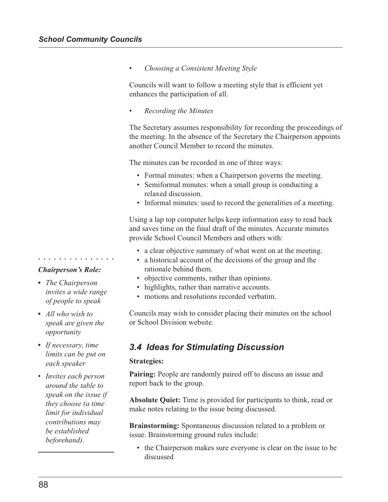*• Choosing a Consistent Meeting Style*

Councils will want to follow a meeting style that is efficient yet enhances the participation of all.

*• Recording the Minutes*

The Secretary assumes responsibility for recording the proceedings of the meeting. In the absence of the Secretary the Chairperson appoints another Council Member to record the minutes.

The minutes can be recorded in one of three ways:

- Formal minutes: when a Chairperson governs the meeting.
- Semiformal minutes: when a small group is conducting a relaxed discussion.
- Informal minutes: used to record the generalities of a meeting.

Using a lap top computer helps keep information easy to read back and saves time on the final draft of the minutes. Accurate minutes provide School Council Members and others with:

- a clear objective summary of what went on at the meeting.
- a historical account of the decisions of the group and the rationale behind them.
- objective comments, rather than opinions.
- highlights, rather than narrative accounts.
- motions and resolutions recorded verbatim.

Councils may wish to consider placing their minutes on the school or School Division website.

## *3.4 Ideas for Stimulating Discussion*

#### **Strategies:**

**Pairing:** People are randomly paired off to discuss an issue and report back to the group.

**Absolute Quiet:** Time is provided for participants to think, read or make notes relating to the issue being discussed.

**Brainstorming:** Spontaneous discussion related to a problem or issue. Brainstorming ground rules include:

• the Chairperson makes sure everyone is clear on the issue to be discussed

## *Chairperson's Role:*

○○○○○○○○○○○○○○○

- *• The Chairperson invites a wide range of people to speak*
- *• All who wish to speak are given the opportunity*
- *• If necessary, time limits can be put on each speaker*
- *Invites each person around the table to speak on the issue if they choose (a time limit for individual contributions may be established beforehand).*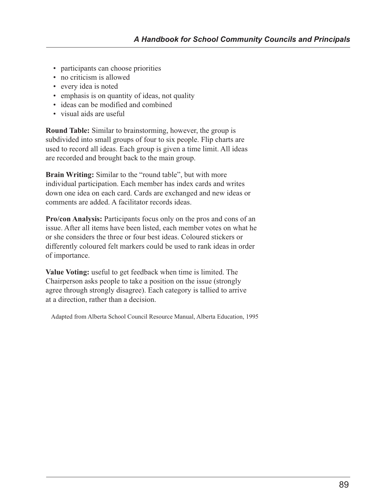- participants can choose priorities
- no criticism is allowed
- every idea is noted
- emphasis is on quantity of ideas, not quality
- ideas can be modified and combined
- visual aids are useful

**Round Table:** Similar to brainstorming, however, the group is subdivided into small groups of four to six people. Flip charts are used to record all ideas. Each group is given a time limit. All ideas are recorded and brought back to the main group.

**Brain Writing:** Similar to the "round table", but with more individual participation. Each member has index cards and writes down one idea on each card. Cards are exchanged and new ideas or comments are added. A facilitator records ideas.

**Pro/con Analysis:** Participants focus only on the pros and cons of an issue. After all items have been listed, each member votes on what he or she considers the three or four best ideas. Coloured stickers or differently coloured felt markers could be used to rank ideas in order of importance.

**Value Voting:** useful to get feedback when time is limited. The Chairperson asks people to take a position on the issue (strongly agree through strongly disagree). Each category is tallied to arrive at a direction, rather than a decision.

Adapted from Alberta School Council Resource Manual, Alberta Education, 1995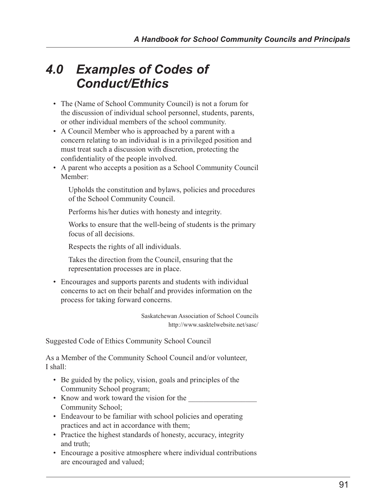# *4.0 Examples of Codes of Conduct/Ethics*

- The (Name of School Community Council) is not a forum for the discussion of individual school personnel, students, parents, or other individual members of the school community.
- A Council Member who is approached by a parent with a concern relating to an individual is in a privileged position and must treat such a discussion with discretion, protecting the confidentiality of the people involved.
- A parent who accepts a position as a School Community Council Member:

Upholds the constitution and bylaws, policies and procedures of the School Community Council.

Performs his/her duties with honesty and integrity.

Works to ensure that the well-being of students is the primary focus of all decisions.

Respects the rights of all individuals.

Takes the direction from the Council, ensuring that the representation processes are in place.

• Encourages and supports parents and students with individual concerns to act on their behalf and provides information on the process for taking forward concerns.

> Saskatchewan Association of School Councils http://www.sasktelwebsite.net/sasc/

Suggested Code of Ethics Community School Council

As a Member of the Community School Council and/or volunteer, I shall:

- Be guided by the policy, vision, goals and principles of the Community School program;
- Know and work toward the vision for the Community School;
- Endeavour to be familiar with school policies and operating practices and act in accordance with them;
- Practice the highest standards of honesty, accuracy, integrity and truth;
- Encourage a positive atmosphere where individual contributions are encouraged and valued;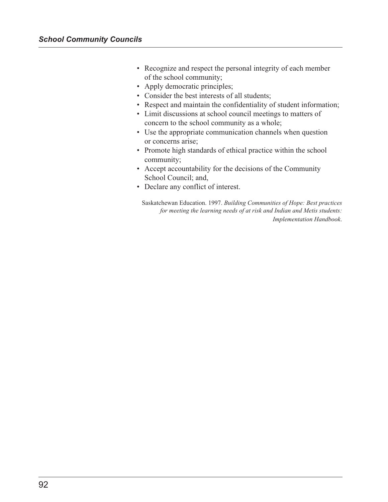- Recognize and respect the personal integrity of each member of the school community;
- Apply democratic principles;
- Consider the best interests of all students;
- Respect and maintain the confidentiality of student information;
- Limit discussions at school council meetings to matters of concern to the school community as a whole;
- Use the appropriate communication channels when question or concerns arise;
- Promote high standards of ethical practice within the school community;
- Accept accountability for the decisions of the Community School Council; and,
- Declare any conflict of interest.

Saskatchewan Education. 1997. *Building Communities of Hope: Best practices for meeting the learning needs of at risk and Indian and Metis students: Implementation Handbook*.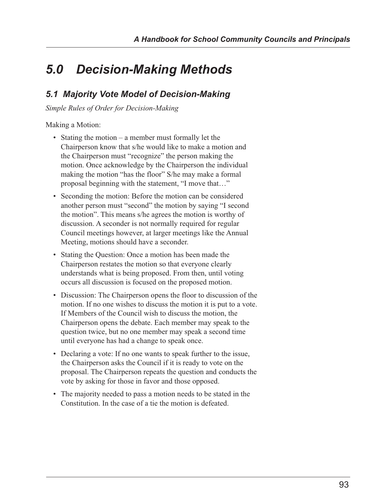# *5.0 Decision-Making Methods*

# *5.1 Majority Vote Model of Decision-Making*

*Simple Rules of Order for Decision-Making*

Making a Motion:

- Stating the motion a member must formally let the Chairperson know that s/he would like to make a motion and the Chairperson must "recognize" the person making the motion. Once acknowledge by the Chairperson the individual making the motion "has the floor" S/he may make a formal proposal beginning with the statement, "I move that…"
- Seconding the motion: Before the motion can be considered another person must "second" the motion by saying "I second the motion". This means s/he agrees the motion is worthy of discussion. A seconder is not normally required for regular Council meetings however, at larger meetings like the Annual Meeting, motions should have a seconder.
- Stating the Question: Once a motion has been made the Chairperson restates the motion so that everyone clearly understands what is being proposed. From then, until voting occurs all discussion is focused on the proposed motion.
- Discussion: The Chairperson opens the floor to discussion of the motion. If no one wishes to discuss the motion it is put to a vote. If Members of the Council wish to discuss the motion, the Chairperson opens the debate. Each member may speak to the question twice, but no one member may speak a second time until everyone has had a change to speak once.
- Declaring a vote: If no one wants to speak further to the issue, the Chairperson asks the Council if it is ready to vote on the proposal. The Chairperson repeats the question and conducts the vote by asking for those in favor and those opposed.
- The majority needed to pass a motion needs to be stated in the Constitution. In the case of a tie the motion is defeated.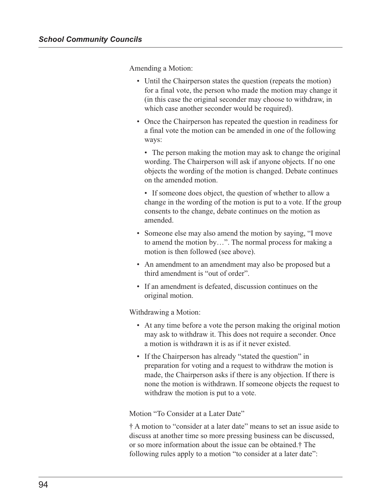Amending a Motion:

- Until the Chairperson states the question (repeats the motion) for a final vote, the person who made the motion may change it (in this case the original seconder may choose to withdraw, in which case another seconder would be required).
- Once the Chairperson has repeated the question in readiness for a final vote the motion can be amended in one of the following ways:
	- The person making the motion may ask to change the original wording. The Chairperson will ask if anyone objects. If no one objects the wording of the motion is changed. Debate continues on the amended motion.
	- If someone does object, the question of whether to allow a change in the wording of the motion is put to a vote. If the group consents to the change, debate continues on the motion as amended.
- Someone else may also amend the motion by saying, "I move to amend the motion by…". The normal process for making a motion is then followed (see above).
- An amendment to an amendment may also be proposed but a third amendment is "out of order".
- If an amendment is defeated, discussion continues on the original motion.

Withdrawing a Motion:

- At any time before a vote the person making the original motion may ask to withdraw it. This does not require a seconder. Once a motion is withdrawn it is as if it never existed.
- If the Chairperson has already "stated the question" in preparation for voting and a request to withdraw the motion is made, the Chairperson asks if there is any objection. If there is none the motion is withdrawn. If someone objects the request to withdraw the motion is put to a vote.

Motion "To Consider at a Later Date"

† A motion to "consider at a later date" means to set an issue aside to discuss at another time so more pressing business can be discussed, or so more information about the issue can be obtained.† The following rules apply to a motion "to consider at a later date":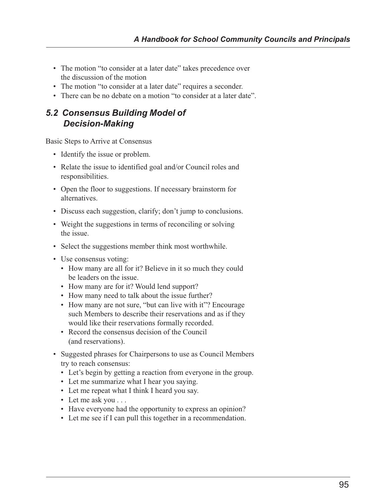- The motion "to consider at a later date" takes precedence over the discussion of the motion
- The motion "to consider at a later date" requires a seconder.
- There can be no debate on a motion "to consider at a later date"

## *5.2 Consensus Building Model of Decision-Making*

Basic Steps to Arrive at Consensus

- Identify the issue or problem.
- Relate the issue to identified goal and/or Council roles and responsibilities.
- Open the floor to suggestions. If necessary brainstorm for alternatives.
- Discuss each suggestion, clarify; don't jump to conclusions.
- Weight the suggestions in terms of reconciling or solving the issue.
- Select the suggestions member think most worthwhile.
- Use consensus voting:
	- How many are all for it? Believe in it so much they could be leaders on the issue.
	- How many are for it? Would lend support?
	- How many need to talk about the issue further?
	- How many are not sure, "but can live with it"? Encourage such Members to describe their reservations and as if they would like their reservations formally recorded.
	- Record the consensus decision of the Council (and reservations).
- Suggested phrases for Chairpersons to use as Council Members try to reach consensus:
	- Let's begin by getting a reaction from everyone in the group.
	- Let me summarize what I hear you saying.
	- Let me repeat what I think I heard you say.
	- Let me ask you . . .
	- Have everyone had the opportunity to express an opinion?
	- Let me see if I can pull this together in a recommendation.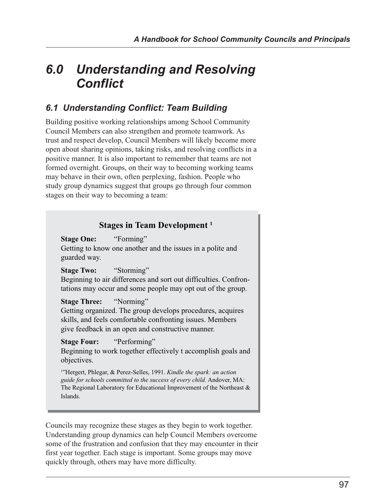# *6.0 Understanding and Resolving Conflict*

# *6.1 Understanding Conflict: Team Building*

Building positive working relationships among School Community Council Members can also strengthen and promote teamwork. As trust and respect develop, Council Members will likely become more open about sharing opinions, taking risks, and resolving conflicts in a positive manner. It is also important to remember that teams are not formed overnight. Groups, on their way to becoming working teams may behave in their own, often perplexing, fashion. People who study group dynamics suggest that groups go through four common stages on their way to becoming a team:

## **Stages in Team Development 1**

**Stage One:** "Forming" Getting to know one another and the issues in a polite and guarded way.

**Stage Two:** "Storming"

Beginning to air differences and sort out difficulties. Confrontations may occur and some people may opt out of the group.

## **Stage Three:** "Norming"

Getting organized. The group develops procedures, acquires skills, and feels comfortable confronting issues. Members give feedback in an open and constructive manner.

**Stage Four:** "Performing"

Beginning to work together effectively t accomplish goals and objectives.

1 "Hergert, Phlegar, & Perez-Selles, 1991. *Kindle the spark: an action guide for schools committed to the success of every child.* Andover, MA: The Regional Laboratory for Educational Improvement of the Northeast & Islands.

Councils may recognize these stages as they begin to work together. Understanding group dynamics can help Council Members overcome some of the frustration and confusion that they may encounter in their first year together. Each stage is important. Some groups may move quickly through, others may have more difficulty.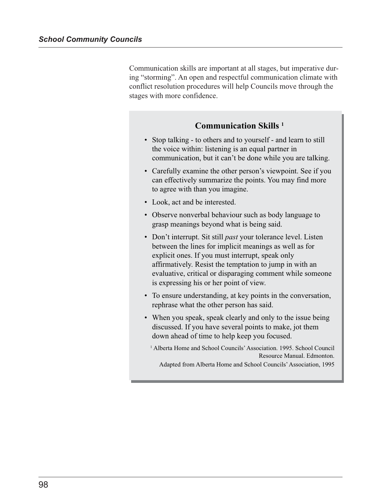Communication skills are important at all stages, but imperative during "storming". An open and respectful communication climate with conflict resolution procedures will help Councils move through the stages with more confidence.

## **Communication Skills 1**

- Stop talking to others and to yourself and learn to still the voice within: listening is an equal partner in communication, but it can't be done while you are talking.
- Carefully examine the other person's viewpoint. See if you can effectively summarize the points. You may find more to agree with than you imagine.
- Look, act and be interested.
- Observe nonverbal behaviour such as body language to grasp meanings beyond what is being said.
- Don't interrupt. Sit still *past* your tolerance level. Listen between the lines for implicit meanings as well as for explicit ones. If you must interrupt, speak only affirmatively. Resist the temptation to jump in with an evaluative, critical or disparaging comment while someone is expressing his or her point of view.
- To ensure understanding, at key points in the conversation, rephrase what the other person has said.
- When you speak, speak clearly and only to the issue being discussed. If you have several points to make, jot them down ahead of time to help keep you focused.
	- <sup>1</sup> Alberta Home and School Councils' Association. 1995. School Council Resource Manual. Edmonton.

Adapted from Alberta Home and School Councils' Association, 1995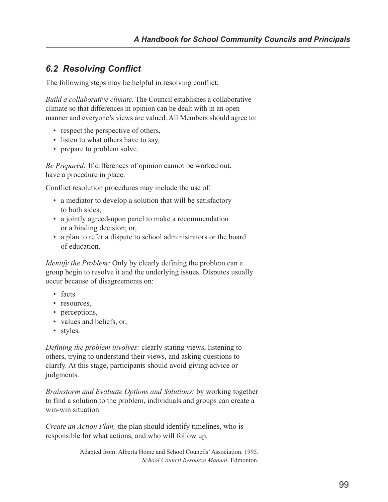# *6.2 Resolving Conflict*

The following steps may be helpful in resolving conflict:

*Build a collaborative climate.* The Council establishes a collaborative climate so that differences in opinion can be dealt with in an open manner and everyone's views are valued. All Members should agree to:

- respect the perspective of others,
- listen to what others have to say,
- prepare to problem solve.

*Be Prepared:* If differences of opinion cannot be worked out, have a procedure in place.

Conflict resolution procedures may include the use of:

- a mediator to develop a solution that will be satisfactory to both sides;
- a jointly agreed-upon panel to make a recommendation or a binding decision; or,
- a plan to refer a dispute to school administrators or the board of education.

*Identify the Problem:* Only by clearly defining the problem can a group begin to resolve it and the underlying issues. Disputes usually occur because of disagreements on:

- facts
- resources,
- perceptions,
- values and beliefs, or,
- styles.

*Defining the problem involves:* clearly stating views, listening to others, trying to understand their views, and asking questions to clarify. At this stage, participants should avoid giving advice or judgments.

*Brainstorm and Evaluate Options and Solutions:* by working together to find a solution to the problem, individuals and groups can create a win-win situation.

*Create an Action Plan;* the plan should identify timelines, who is responsible for what actions, and who will follow up.

> Adapted from: Alberta Home and School Councils' Association. 1995. *School Council Resource Manual.* Edmonton.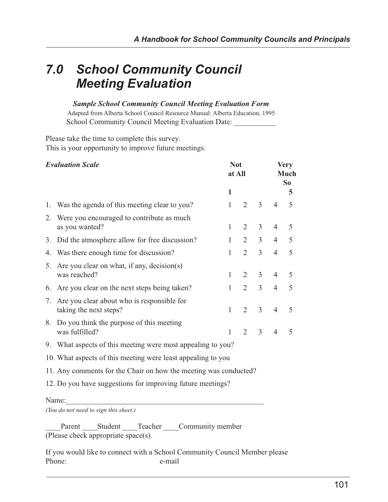# *7.0 School Community Council Meeting Evaluation*

#### *Sample School Community Council Meeting Evaluation Form*

Adapted from Alberta School Council Resource Manual: Alberta Education, 1995 School Community Council Meeting Evaluation Date:

Please take the time to complete this survey. This is your opportunity to improve future meetings.

| <b>Evaluation Scale</b>                                          |                                                                      | <b>Not</b><br>at All |                             | <b>Very</b><br>Much<br>So |                |   |
|------------------------------------------------------------------|----------------------------------------------------------------------|----------------------|-----------------------------|---------------------------|----------------|---|
|                                                                  |                                                                      | 1                    |                             |                           |                | 5 |
| 1.                                                               | Was the agenda of this meeting clear to you?                         | 1                    | $\mathcal{D}_{\mathcal{L}}$ | $\overline{3}$            | $\overline{4}$ | 5 |
| 2.                                                               | Were you encouraged to contribute as much<br>as you wanted?          | $\mathbf{1}$         | $\overline{2}$              | $\overline{3}$            | $\overline{4}$ | 5 |
| 3.                                                               | Did the atmosphere allow for free discussion?                        | 1                    | 2                           | $\overline{3}$            | $\overline{4}$ | 5 |
| 4.                                                               | Was there enough time for discussion?                                | 1                    | 2                           | $\overline{3}$            | $\overline{4}$ | 5 |
| 5.                                                               | Are you clear on what, if any, decision(s)<br>was reached?           | 1                    | 2                           | 3                         | $\overline{4}$ | 5 |
| 6.                                                               | Are you clear on the next steps being taken?                         | $\mathbf{1}$         | $\overline{2}$              | $\overline{3}$            | $\overline{4}$ | 5 |
| 7.                                                               | Are you clear about who is responsible for<br>taking the next steps? | 1                    | 2                           | $\overline{3}$            | $\overline{4}$ | 5 |
| 8.                                                               | Do you think the purpose of this meeting<br>was fulfilled?           | 1                    | $\mathcal{D}_{\mathcal{L}}$ | 3                         | $\overline{4}$ | 5 |
|                                                                  | 9. What aspects of this meeting were most appealing to you?          |                      |                             |                           |                |   |
| 10. What aspects of this meeting were least appealing to you     |                                                                      |                      |                             |                           |                |   |
| 11. Any comments for the Chair on how the meeting was conducted? |                                                                      |                      |                             |                           |                |   |
| 12. Do you have suggestions for improving future meetings?       |                                                                      |                      |                             |                           |                |   |
|                                                                  |                                                                      |                      |                             |                           |                |   |

#### Name:

*(You do not need to sign this sheet.)*

Parent Student Teacher Community member (Please check appropriate space(s).

If you would like to connect with a School Community Council Member please Phone: e-mail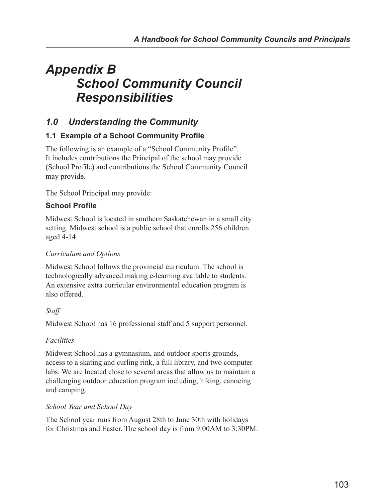# *Appendix B School Community Council Responsibilities*

# *1.0 Understanding the Community*

# **1.1 Example of a School Community Profile**

The following is an example of a "School Community Profile". It includes contributions the Principal of the school may provide (School Profile) and contributions the School Community Council may provide.

The School Principal may provide:

## **School Profile**

Midwest School is located in southern Saskatchewan in a small city setting. Midwest school is a public school that enrolls 256 children aged 4-14.

### *Curriculum and Options*

Midwest School follows the provincial curriculum. The school is technologically advanced making e-learning available to students. An extensive extra curricular environmental education program is also offered.

## *Staff*

Midwest School has 16 professional staff and 5 support personnel.

## *Facilities*

Midwest School has a gymnasium, and outdoor sports grounds, access to a skating and curling rink, a full library, and two computer labs. We are located close to several areas that allow us to maintain a challenging outdoor education program including, hiking, canoeing and camping.

#### *School Year and School Day*

The School year runs from August 28th to June 30th with holidays for Christmas and Easter. The school day is from 9:00AM to 3:30PM.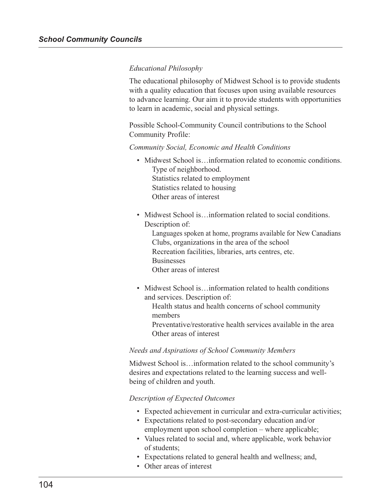#### *Educational Philosophy*

The educational philosophy of Midwest School is to provide students with a quality education that focuses upon using available resources to advance learning. Our aim it to provide students with opportunities to learn in academic, social and physical settings.

Possible School-Community Council contributions to the School Community Profile:

*Community Social, Economic and Health Conditions*

- Midwest School is... information related to economic conditions. Type of neighborhood. Statistics related to employment Statistics related to housing Other areas of interest
- Midwest School is... information related to social conditions. Description of:

Languages spoken at home, programs available for New Canadians Clubs, organizations in the area of the school Recreation facilities, libraries, arts centres, etc. **Businesses** Other areas of interest

• Midwest School is... information related to health conditions and services. Description of:

Health status and health concerns of school community members Preventative/restorative health services available in the area Other areas of interest

#### *Needs and Aspirations of School Community Members*

Midwest School is…information related to the school community's desires and expectations related to the learning success and wellbeing of children and youth.

#### *Description of Expected Outcomes*

- Expected achievement in curricular and extra-curricular activities;
- Expectations related to post-secondary education and/or employment upon school completion – where applicable;
- Values related to social and, where applicable, work behavior of students;
- Expectations related to general health and wellness; and,
- Other areas of interest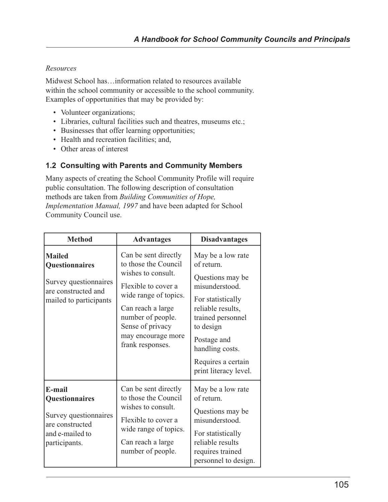### *Resources*

Midwest School has…information related to resources available within the school community or accessible to the school community. Examples of opportunities that may be provided by:

- Volunteer organizations;
- Libraries, cultural facilities such and theatres, museums etc.;
- Businesses that offer learning opportunities;
- Health and recreation facilities; and,
- Other areas of interest

#### **1.2 Consulting with Parents and Community Members**

Many aspects of creating the School Community Profile will require public consultation. The following description of consultation methods are taken from *Building Communities of Hope, Implementation Manual, 1997* and have been adapted for School Community Council use.

| <b>Method</b>                                                                                             | <b>Advantages</b>                                                                                                                                                                                                          | <b>Disadvantages</b>                                                                                                                                                                                                              |
|-----------------------------------------------------------------------------------------------------------|----------------------------------------------------------------------------------------------------------------------------------------------------------------------------------------------------------------------------|-----------------------------------------------------------------------------------------------------------------------------------------------------------------------------------------------------------------------------------|
| <b>Mailed</b><br>Questionnaires<br>Survey questionnaires<br>are constructed and<br>mailed to participants | Can be sent directly<br>to those the Council<br>wishes to consult.<br>Flexible to cover a<br>wide range of topics.<br>Can reach a large<br>number of people.<br>Sense of privacy<br>may encourage more<br>frank responses. | May be a low rate<br>of return<br>Questions may be<br>misunderstood.<br>For statistically<br>reliable results,<br>trained personnel<br>to design<br>Postage and<br>handling costs.<br>Requires a certain<br>print literacy level. |
| E-mail<br>Questionnaires<br>Survey questionnaires<br>are constructed<br>and e-mailed to<br>participants.  | Can be sent directly<br>to those the Council<br>wishes to consult.<br>Flexible to cover a<br>wide range of topics.<br>Can reach a large<br>number of people.                                                               | May be a low rate<br>of return.<br>Questions may be<br>misunderstood.<br>For statistically<br>reliable results<br>requires trained<br>personnel to design.                                                                        |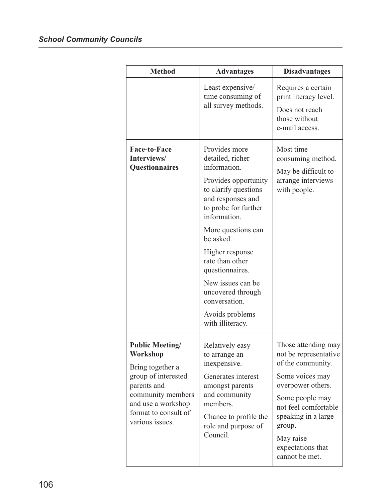| <b>Method</b>                                                                                                                                                                      | <b>Advantages</b>                                                                                                                                                                                                                                                                                                                                            | <b>Disadvantages</b>                                                                                                                                                                                                                      |
|------------------------------------------------------------------------------------------------------------------------------------------------------------------------------------|--------------------------------------------------------------------------------------------------------------------------------------------------------------------------------------------------------------------------------------------------------------------------------------------------------------------------------------------------------------|-------------------------------------------------------------------------------------------------------------------------------------------------------------------------------------------------------------------------------------------|
|                                                                                                                                                                                    | Least expensive/<br>time consuming of<br>all survey methods.                                                                                                                                                                                                                                                                                                 | Requires a certain<br>print literacy level.<br>Does not reach<br>those without<br>e-mail access.                                                                                                                                          |
| <b>Face-to-Face</b><br>Interviews/<br>Questionnaires                                                                                                                               | Provides more<br>detailed, richer<br>information.<br>Provides opportunity<br>to clarify questions<br>and responses and<br>to probe for further<br>information.<br>More questions can<br>be asked.<br>Higher response<br>rate than other<br>questionnaires.<br>New issues can be<br>uncovered through<br>conversation.<br>Avoids problems<br>with illiteracy. | Most time<br>consuming method.<br>May be difficult to<br>arrange interviews<br>with people.                                                                                                                                               |
| <b>Public Meeting/</b><br>Workshop<br>Bring together a<br>group of interested<br>parents and<br>community members<br>and use a workshop<br>format to consult of<br>various issues. | Relatively easy<br>to arrange an<br>inexpensive.<br>Generates interest<br>amongst parents<br>and community<br>members.<br>Chance to profile the<br>role and purpose of<br>Council.                                                                                                                                                                           | Those attending may<br>not be representative<br>of the community.<br>Some voices may<br>overpower others.<br>Some people may<br>not feel comfortable<br>speaking in a large<br>group.<br>May raise<br>expectations that<br>cannot be met. |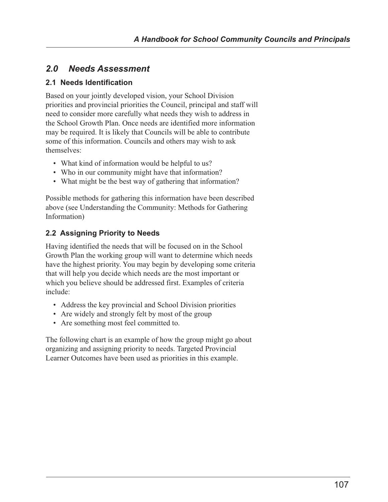# *2.0 Needs Assessment*

# **2.1 Needs Identification**

Based on your jointly developed vision, your School Division priorities and provincial priorities the Council, principal and staff will need to consider more carefully what needs they wish to address in the School Growth Plan. Once needs are identified more information may be required. It is likely that Councils will be able to contribute some of this information. Councils and others may wish to ask themselves:

- What kind of information would be helpful to us?
- Who in our community might have that information?
- What might be the best way of gathering that information?

Possible methods for gathering this information have been described above (see Understanding the Community: Methods for Gathering Information)

# **2.2 Assigning Priority to Needs**

Having identified the needs that will be focused on in the School Growth Plan the working group will want to determine which needs have the highest priority. You may begin by developing some criteria that will help you decide which needs are the most important or which you believe should be addressed first. Examples of criteria include:

- Address the key provincial and School Division priorities
- Are widely and strongly felt by most of the group
- Are something most feel committed to.

The following chart is an example of how the group might go about organizing and assigning priority to needs. Targeted Provincial Learner Outcomes have been used as priorities in this example.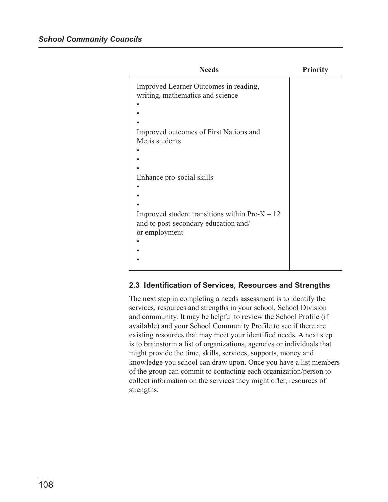| <b>Needs</b>                                                              | <b>Priority</b> |
|---------------------------------------------------------------------------|-----------------|
| Improved Learner Outcomes in reading,<br>writing, mathematics and science |                 |
|                                                                           |                 |
|                                                                           |                 |
| Improved outcomes of First Nations and                                    |                 |
| Metis students                                                            |                 |
|                                                                           |                 |
|                                                                           |                 |
|                                                                           |                 |
| Enhance pro-social skills                                                 |                 |
|                                                                           |                 |
|                                                                           |                 |
|                                                                           |                 |
| Improved student transitions within $Pre-K - 12$                          |                 |
| and to post-secondary education and/                                      |                 |
| or employment                                                             |                 |
|                                                                           |                 |
|                                                                           |                 |
|                                                                           |                 |
|                                                                           |                 |

## **2.3 Identification of Services, Resources and Strengths**

The next step in completing a needs assessment is to identify the services, resources and strengths in your school, School Division and community. It may be helpful to review the School Profile (if available) and your School Community Profile to see if there are existing resources that may meet your identified needs. A next step is to brainstorm a list of organizations, agencies or individuals that might provide the time, skills, services, supports, money and knowledge you school can draw upon. Once you have a list members of the group can commit to contacting each organization/person to collect information on the services they might offer, resources of strengths.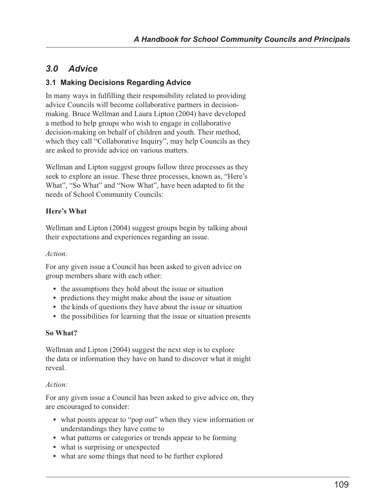# *3.0 Advice*

# **3.1 Making Decisions Regarding Advice**

In many ways in fulfilling their responsibility related to providing advice Councils will become collaborative partners in decisionmaking. Bruce Wellman and Laura Lipton (2004) have developed a method to help groups who wish to engage in collaborative decision-making on behalf of children and youth. Their method, which they call "Collaborative Inquiry", may help Councils as they are asked to provide advice on various matters.

Wellman and Lipton suggest groups follow three processes as they seek to explore an issue. These three processes, known as, "Here's What", "So What" and "Now What", have been adapted to fit the needs of School Community Councils:

### **Here's What**

Wellman and Lipton (2004) suggest groups begin by talking about their expectations and experiences regarding an issue.

#### *Action:*

For any given issue a Council has been asked to given advice on group members share with each other:

- **•** the assumptions they hold about the issue or situation
- predictions they might make about the issue or situation
- **•** the kinds of questions they have about the issue or situation
- the possibilities for learning that the issue or situation presents

#### **So What?**

Wellman and Lipton (2004) suggest the next step is to explore the data or information they have on hand to discover what it might reveal.

#### *Action:*

For any given issue a Council has been asked to give advice on, they are encouraged to consider:

- **•** what points appear to "pop out" when they view information or understandings they have come to
- what patterns or categories or trends appear to be forming
- what is surprising or unexpected
- **•** what are some things that need to be further explored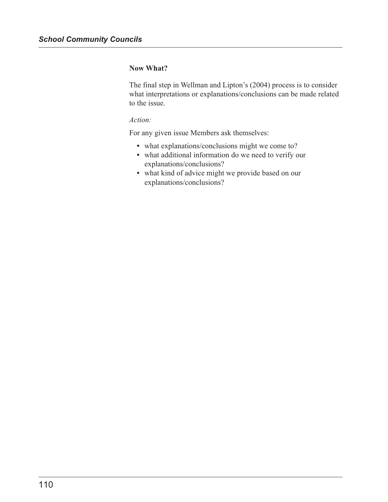#### **Now What?**

The final step in Wellman and Lipton's (2004) process is to consider what interpretations or explanations/conclusions can be made related to the issue.

#### *Action:*

For any given issue Members ask themselves:

- **•** what explanations/conclusions might we come to?
- **•** what additional information do we need to verify our explanations/conclusions?
- **•** what kind of advice might we provide based on our explanations/conclusions?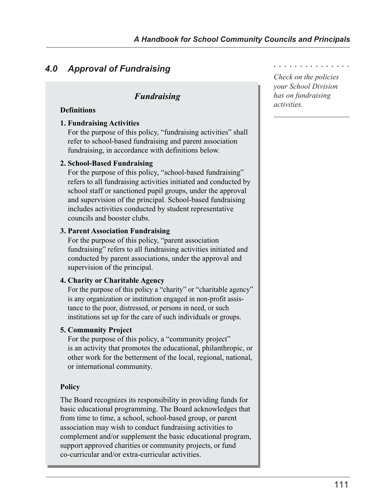# *4.0 Approval of Fundraising*

# *Fundraising*

#### **Definitions**

#### **1. Fundraising Activities**

For the purpose of this policy, "fundraising activities" shall refer to school-based fundraising and parent association fundraising, in accordance with definitions below.

#### **2. School-Based Fundraising**

For the purpose of this policy, "school-based fundraising" refers to all fundraising activities initiated and conducted by school staff or sanctioned pupil groups, under the approval and supervision of the principal. School-based fundraising includes activities conducted by student representative councils and booster clubs.

#### **3. Parent Association Fundraising**

For the purpose of this policy, "parent association fundraising" refers to all fundraising activities initiated and conducted by parent associations, under the approval and supervision of the principal.

#### **4. Charity or Charitable Agency**

For the purpose of this policy a "charity" or "charitable agency" is any organization or institution engaged in non-profit assistance to the poor, distressed, or persons in need, or such institutions set up for the care of such individuals or groups.

#### **5. Community Project**

For the purpose of this policy, a "community project" is an activity that promotes the educational, philanthropic, or other work for the betterment of the local, regional, national, or international community.

#### **Policy**

The Board recognizes its responsibility in providing funds for basic educational programming. The Board acknowledges that from time to time, a school, school-based group, or parent association may wish to conduct fundraising activities to complement and/or supplement the basic educational program, support approved charities or community projects, or fund co-curricular and/or extra-curricular activities.

*Check on the policies* ○○○○○○○○○○○○○○○

*your School Division has on fundraising activities.*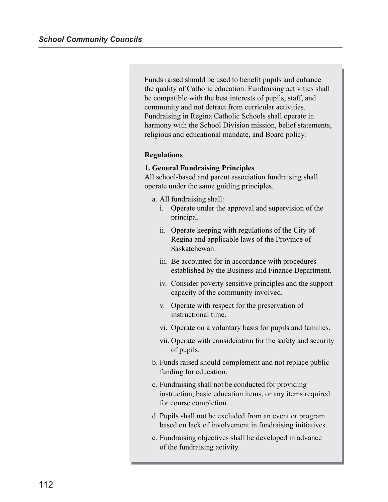Funds raised should be used to benefit pupils and enhance the quality of Catholic education. Fundraising activities shall be compatible with the best interests of pupils, staff, and community and not detract from curricular activities. Fundraising in Regina Catholic Schools shall operate in harmony with the School Division mission, belief statements, religious and educational mandate, and Board policy.

#### **Regulations**

#### **1. General Fundraising Principles**

All school-based and parent association fundraising shall operate under the same guiding principles.

- a. All fundraising shall:
	- i. Operate under the approval and supervision of the principal.
	- ii. Operate keeping with regulations of the City of Regina and applicable laws of the Province of Saskatchewan.
	- iii. Be accounted for in accordance with procedures established by the Business and Finance Department.
	- iv. Consider poverty sensitive principles and the support capacity of the community involved.
	- v. Operate with respect for the preservation of instructional time.
	- vi. Operate on a voluntary basis for pupils and families.
	- vii. Operate with consideration for the safety and security of pupils.
- b. Funds raised should complement and not replace public funding for education.
- c. Fundraising shall not be conducted for providing instruction, basic education items, or any items required for course completion.
- d. Pupils shall not be excluded from an event or program based on lack of involvement in fundraising initiatives.
- e. Fundraising objectives shall be developed in advance of the fundraising activity.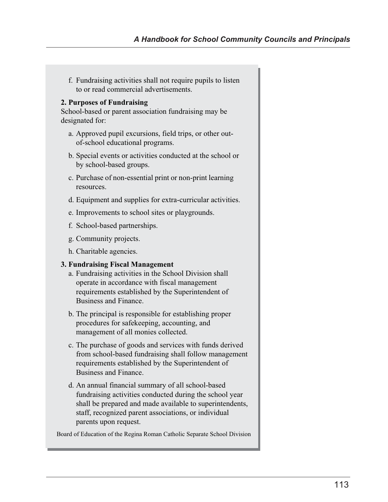f. Fundraising activities shall not require pupils to listen to or read commercial advertisements.

#### **2. Purposes of Fundraising**

School-based or parent association fundraising may be designated for:

- a. Approved pupil excursions, field trips, or other outof-school educational programs.
- b. Special events or activities conducted at the school or by school-based groups.
- c. Purchase of non-essential print or non-print learning resources.
- d. Equipment and supplies for extra-curricular activities.
- e. Improvements to school sites or playgrounds.
- f. School-based partnerships.
- g. Community projects.
- h. Charitable agencies.

#### **3. Fundraising Fiscal Management**

- a. Fundraising activities in the School Division shall operate in accordance with fiscal management requirements established by the Superintendent of Business and Finance.
- b. The principal is responsible for establishing proper procedures for safekeeping, accounting, and management of all monies collected.
- c. The purchase of goods and services with funds derived from school-based fundraising shall follow management requirements established by the Superintendent of Business and Finance.
- d. An annual financial summary of all school-based fundraising activities conducted during the school year shall be prepared and made available to superintendents, staff, recognized parent associations, or individual parents upon request.

Board of Education of the Regina Roman Catholic Separate School Division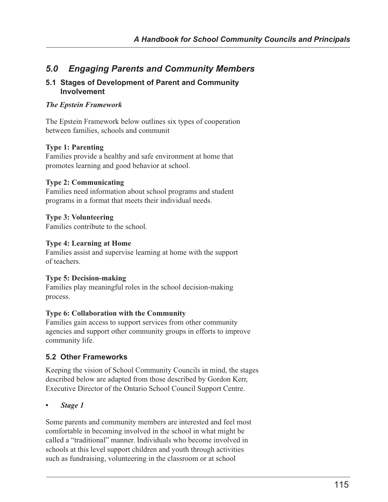# *5.0 Engaging Parents and Community Members*

#### **5.1 Stages of Development of Parent and Community Involvement**

#### *The Epstein Framework*

The Epstein Framework below outlines six types of cooperation between families, schools and communit

### **Type 1: Parenting**

Families provide a healthy and safe environment at home that promotes learning and good behavior at school.

### **Type 2: Communicating**

Families need information about school programs and student programs in a format that meets their individual needs.

### **Type 3: Volunteering**

Families contribute to the school.

### **Type 4: Learning at Home**

Families assist and supervise learning at home with the support of teachers.

#### **Type 5: Decision-making**

Families play meaningful roles in the school decision-making process.

#### **Type 6: Collaboration with the Community**

Families gain access to support services from other community agencies and support other community groups in efforts to improve community life.

## **5.2 Other Frameworks**

Keeping the vision of School Community Councils in mind, the stages described below are adapted from those described by Gordon Kerr, Executive Director of the Ontario School Council Support Centre.

#### *• Stage 1*

Some parents and community members are interested and feel most comfortable in becoming involved in the school in what might be called a "traditional" manner. Individuals who become involved in schools at this level support children and youth through activities such as fundraising, volunteering in the classroom or at school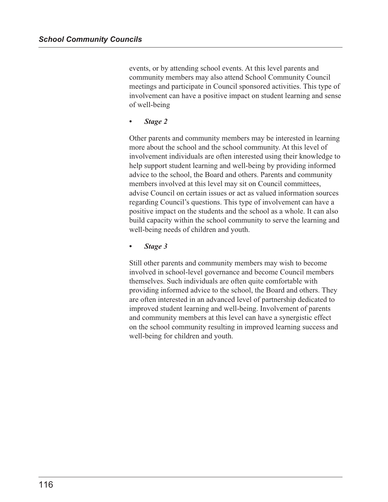events, or by attending school events. At this level parents and community members may also attend School Community Council meetings and participate in Council sponsored activities. This type of involvement can have a positive impact on student learning and sense of well-being

*• Stage 2*

Other parents and community members may be interested in learning more about the school and the school community. At this level of involvement individuals are often interested using their knowledge to help support student learning and well-being by providing informed advice to the school, the Board and others. Parents and community members involved at this level may sit on Council committees, advise Council on certain issues or act as valued information sources regarding Council's questions. This type of involvement can have a positive impact on the students and the school as a whole. It can also build capacity within the school community to serve the learning and well-being needs of children and youth.

*• Stage 3*

Still other parents and community members may wish to become involved in school-level governance and become Council members themselves. Such individuals are often quite comfortable with providing informed advice to the school, the Board and others. They are often interested in an advanced level of partnership dedicated to improved student learning and well-being. Involvement of parents and community members at this level can have a synergistic effect on the school community resulting in improved learning success and well-being for children and youth.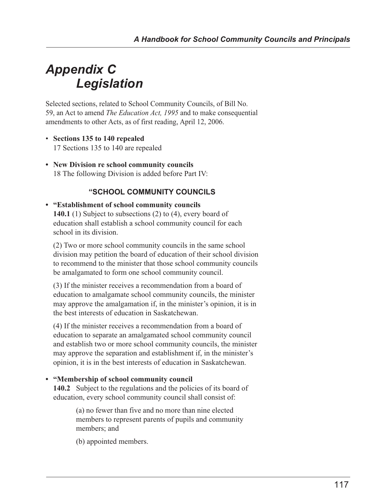# *Appendix C Legislation*

Selected sections, related to School Community Councils, of Bill No. 59, an Act to amend *The Education Act, 1995* and to make consequential amendments to other Acts, as of first reading, April 12, 2006.

- **Sections 135 to 140 repealed** 17 Sections 135 to 140 are repealed
- **New Division re school community councils** 18 The following Division is added before Part IV:

# **"SCHOOL COMMUNITY COUNCILS**

#### **• "Establishment of school community councils 140.1** (1) Subject to subsections (2) to (4), every board of education shall establish a school community council for each school in its division.

(2) Two or more school community councils in the same school division may petition the board of education of their school division to recommend to the minister that those school community councils be amalgamated to form one school community council.

(3) If the minister receives a recommendation from a board of education to amalgamate school community councils, the minister may approve the amalgamation if, in the minister's opinion, it is in the best interests of education in Saskatchewan.

(4) If the minister receives a recommendation from a board of education to separate an amalgamated school community council and establish two or more school community councils, the minister may approve the separation and establishment if, in the minister's opinion, it is in the best interests of education in Saskatchewan.

#### **• "Membership of school community council**

140.2 Subject to the regulations and the policies of its board of education, every school community council shall consist of:

> (a) no fewer than five and no more than nine elected members to represent parents of pupils and community members; and

(b) appointed members.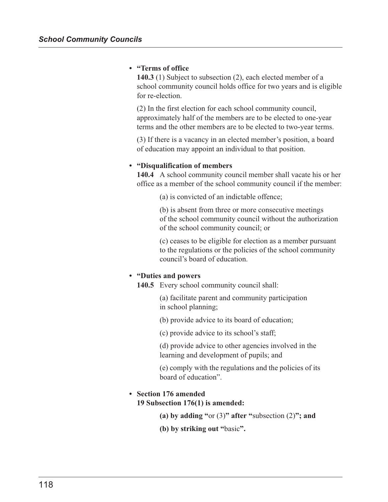#### **• "Terms of office**

**140.3** (1) Subject to subsection (2), each elected member of a school community council holds office for two years and is eligible for re-election.

(2) In the first election for each school community council, approximately half of the members are to be elected to one-year terms and the other members are to be elected to two-year terms.

(3) If there is a vacancy in an elected member's position, a board of education may appoint an individual to that position.

#### **• "Disqualification of members**

**140.4** A school community council member shall vacate his or her office as a member of the school community council if the member:

(a) is convicted of an indictable offence;

(b) is absent from three or more consecutive meetings of the school community council without the authorization of the school community council; or

(c) ceases to be eligible for election as a member pursuant to the regulations or the policies of the school community council's board of education.

#### **• "Duties and powers**

**140.5** Every school community council shall:

(a) facilitate parent and community participation in school planning;

(b) provide advice to its board of education;

(c) provide advice to its school's staff;

(d) provide advice to other agencies involved in the learning and development of pupils; and

(e) comply with the regulations and the policies of its board of education".

#### **• Section 176 amended 19 Subsection 176(1) is amended:**

**(a) by adding "**or (3)**" after "**subsection (2)**"; and**

**(b) by striking out "**basic**".**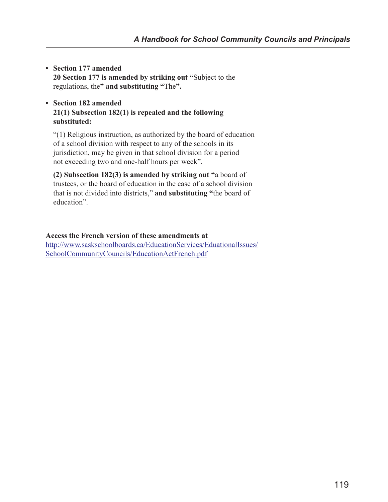- **Section 177 amended 20 Section 177 is amended by striking out "**Subject to the regulations, the**" and substituting "**The**".**
- **Section 182 amended 21(1) Subsection 182(1) is repealed and the following substituted:**

"(1) Religious instruction, as authorized by the board of education of a school division with respect to any of the schools in its jurisdiction, may be given in that school division for a period not exceeding two and one-half hours per week".

**(2) Subsection 182(3) is amended by striking out "**a board of trustees, or the board of education in the case of a school division that is not divided into districts," **and substituting "**the board of education".

# **Access the French version of these amendments at**

[http://www.saskschoolboards.ca/EducationServices/EduationalIssues/](http://www.saskschoolboards.ca/EducationServices/EduationalIssues/SchoolCommunityCouncils/EducationActFrench.pdf) SchoolCommunityCouncils/EducationActFrench.pdf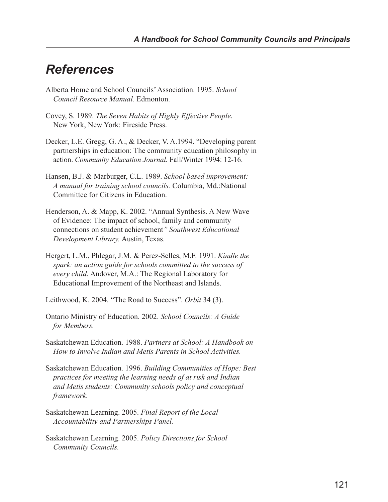# *References*

- Alberta Home and School Councils' Association. 1995. *School Council Resource Manual.* Edmonton.
- Covey, S. 1989. *The Seven Habits of Highly Effective People.* New York, New York: Fireside Press.
- Decker, L.E. Gregg, G. A., & Decker, V. A.1994. "Developing parent partnerships in education: The community education philosophy in action. *Community Education Journal.* Fall/Winter 1994: 12-16.
- Hansen, B.J. & Marburger, C.L. 1989. *School based improvement: A manual for training school councils.* Columbia, Md.:National Committee for Citizens in Education.
- Henderson, A. & Mapp, K. 2002. "Annual Synthesis. A New Wave of Evidence: The impact of school, family and community connections on student achievement*" Southwest Educational Development Library.* Austin, Texas.
- Hergert, L.M., Phlegar, J.M. & Perez-Selles, M.F. 1991. *Kindle the spark: an action guide for schools committed to the success of every child*. Andover, M.A.: The Regional Laboratory for Educational Improvement of the Northeast and Islands.
- Leithwood, K. 2004. "The Road to Success". *Orbit* 34 (3).
- Ontario Ministry of Education. 2002. *School Councils: A Guide for Members.*
- Saskatchewan Education. 1988. *Partners at School: A Handbook on How to Involve Indian and Metis Parents in School Activities.*
- Saskatchewan Education. 1996. *Building Communities of Hope: Best practices for meeting the learning needs of at risk and Indian and Metis students: Community schools policy and conceptual framework.*
- Saskatchewan Learning. 2005. *Final Report of the Local Accountability and Partnerships Panel.*
- Saskatchewan Learning. 2005. *Policy Directions for School Community Councils.*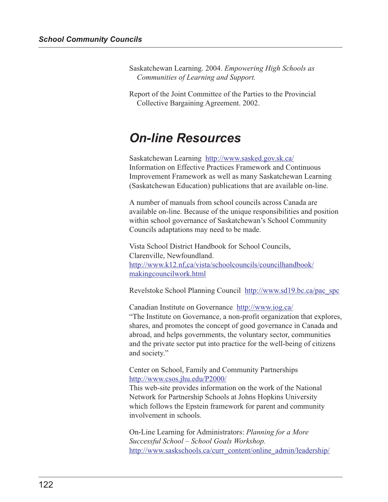Saskatchewan Learning. 2004. *Empowering High Schools as Communities of Learning and Support.*

Report of the Joint Committee of the Parties to the Provincial Collective Bargaining Agreement. 2002.

# *On-line Resources*

Saskatchewan Learning http://www.sasked.gov.sk.ca/ Information on Effective Practices Framework and Continuous Improvement Framework as well as many Saskatchewan Learning (Saskatchewan Education) publications that are available on-line.

A number of manuals from school councils across Canada are available on-line. Because of the unique responsibilities and position within school governance of Saskatchewan's School Community Councils adaptations may need to be made.

Vista School District Handbook for School Councils, Clarenville, Newfoundland. [http://www.k12.nf,ca/vista/schoolcouncils/councilhandbook/](http://www.k12.nf.ca/vista/schoolcouncils/councilhandbook/makingcouncilwork.html) makingcouncilwork.html

Revelstoke School Planning Council http://www.sd19.bc.ca/pac\_spc

Canadian Institute on Governance http://www.iog.ca/ "The Institute on Governance, a non-profit organization that explores, shares, and promotes the concept of good governance in Canada and abroad, and helps governments, the voluntary sector, communities and the private sector put into practice for the well-being of citizens and society."

Center on School, Family and Community Partnerships http://www.csos.jhu.edu/P2000/

This web-site provides information on the work of the National Network for Partnership Schools at Johns Hopkins University which follows the Epstein framework for parent and community involvement in schools.

On-Line Learning for Administrators: *Planning for a More Successful School – School Goals Workshop.* http://www.saskschools.ca/curr\_content/online\_admin/leadership/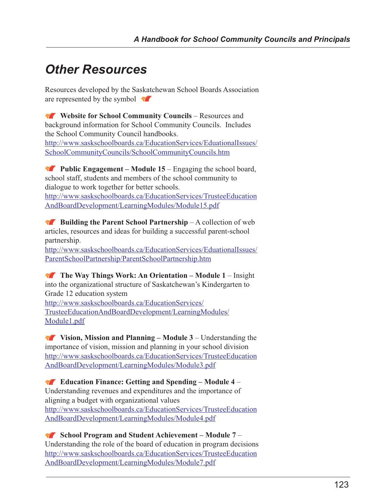# *Other Resources*

Resources developed by the Saskatchewan School Boards Association are represented by the symbol  $\sqrt{\phantom{a}}$ 

Website for School Community Councils – Resources and background information for School Community Councils. Includes the School Community Council handbooks. [http://www.saskschoolboards.ca/EducationServices/EduationalIssues/](http://www.saskschoolboards.ca/EducationServices/EduationalIssues/SchoolCommunityCouncils/SchoolCommunityCouncils.htm) SchoolCommunityCouncils/SchoolCommunityCouncils.htm

**Public Engagement – Module 15** – Engaging the school board, school staff, students and members of the school community to dialogue to work together for better schools. [http://www.saskschoolboards.ca/EducationServices/TrusteeEducation](http://www.saskschoolboards.ca/EducationServices/TrusteeEducationAndBoardDevelopment/LearningModules/Module15.pdf) AndBoardDevelopment/LearningModules/Module15.pdf

**Building the Parent School Partnership** – A collection of web articles, resources and ideas for building a successful parent-school partnership.

[http://www.saskschoolboards.ca/EducationServices/EduationalIssues/](http://www.saskschoolboards.ca/EducationServices/EduationalIssues/ParentSchoolPartnership/ParentSchoolPartnership.htm) ParentSchoolPartnership/ParentSchoolPartnership.htm

**The Way Things Work: An Orientation – Module 1** – Insight into the organizational structure of Saskatchewan's Kindergarten to Grade 12 education system http://www.saskschoolboards.ca/EducationServices/ [TrusteeEducationAndBoardDevelopment/LearningModules/](http://www.saskschoolboards.ca/EducationServices/TrusteeEducationAndBoardDevelopment/LearningModules/Module1.pdf) Module1.pdf

**Vision, Mission and Planning – Module 3** – Understanding the importance of vision, mission and planning in your school division [http://www.saskschoolboards.ca/EducationServices/TrusteeEducation](http://www.saskschoolboards.ca/EducationServices/TrusteeEducationAndBoardDevelopment/LearningModules/Module3.pdf) AndBoardDevelopment/LearningModules/Module3.pdf

**Education Finance: Getting and Spending – Module 4** – Understanding revenues and expenditures and the importance of aligning a budget with organizational values [http://www.saskschoolboards.ca/EducationServices/TrusteeEducation](http://www.saskschoolboards.ca/EducationServices/TrusteeEducationAndBoardDevelopment/LearningModules/Module4.pdf) AndBoardDevelopment/LearningModules/Module4.pdf

**School Program and Student Achievement – Module 7** – Understanding the role of the board of education in program decisions [http://www.saskschoolboards.ca/EducationServices/TrusteeEducation](http://www.saskschoolboards.ca/EducationServices/TrusteeEducationAndBoardDevelopment/LearningModules/Module7.pdf) AndBoardDevelopment/LearningModules/Module7.pdf